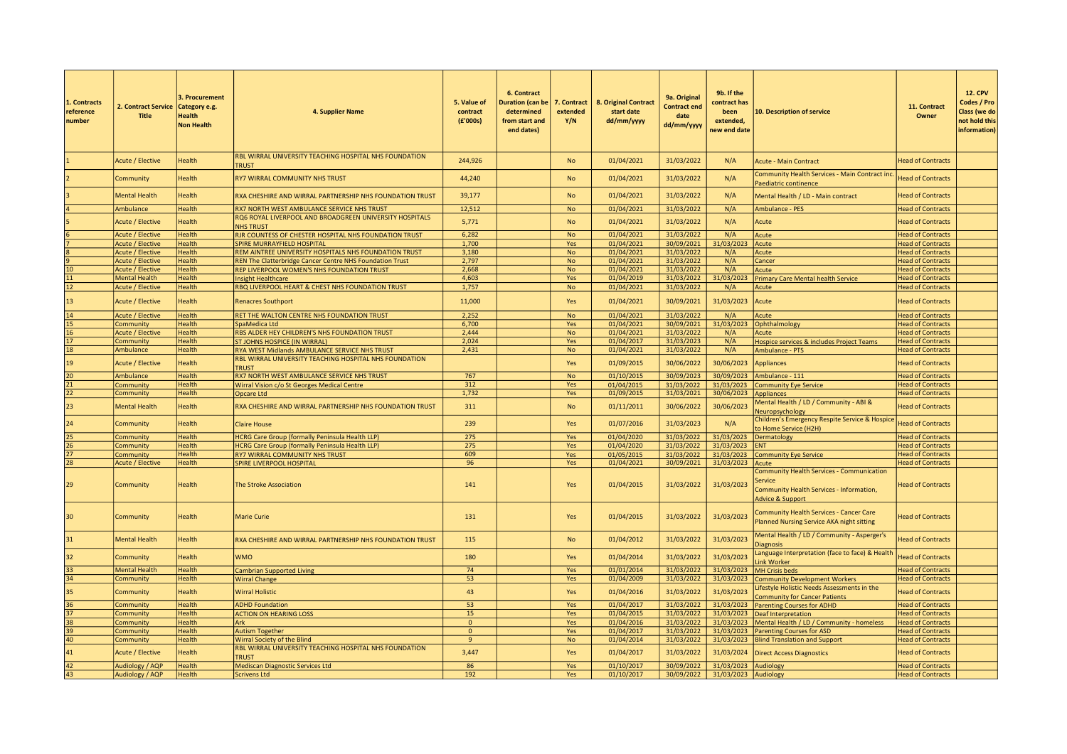| 1. Contracts<br>reference<br>number | 2. Contract Service<br><b>Title</b>                | 3. Procurement<br>Category e.g.<br>Health<br><b>Non Health</b> | 4. Supplier Name                                                                                      | 5. Value of<br>contract<br>(E'000s) | 6. Contract<br><b>Duration (can be</b><br>determined<br>from start and<br>end dates) | 7. Contract<br>extended<br>Y/N | 8. Original Contract<br>start date<br>dd/mm/yyyy | 9a. Original<br><b>Contract end</b><br>date<br>dd/mm/yyyy | 9b. If the<br>contract has<br>been<br>extended,<br>new end date | 10. Description of service                                                                                                                    | 11. Contract<br>Owner                                | <b>12. CPV</b><br>Codes / Pro<br>Class (we do<br>not hold this<br>information) |
|-------------------------------------|----------------------------------------------------|----------------------------------------------------------------|-------------------------------------------------------------------------------------------------------|-------------------------------------|--------------------------------------------------------------------------------------|--------------------------------|--------------------------------------------------|-----------------------------------------------------------|-----------------------------------------------------------------|-----------------------------------------------------------------------------------------------------------------------------------------------|------------------------------------------------------|--------------------------------------------------------------------------------|
|                                     | Acute / Elective                                   | Health                                                         | RBL WIRRAL UNIVERSITY TEACHING HOSPITAL NHS FOUNDATION<br><b>TRUST</b>                                | 244,926                             |                                                                                      | <b>No</b>                      | 01/04/2021                                       | 31/03/2022                                                | N/A                                                             | <b>Acute - Main Contract</b>                                                                                                                  | <b>Head of Contracts</b>                             |                                                                                |
|                                     | Community                                          | Health                                                         | <b>RY7 WIRRAL COMMUNITY NHS TRUST</b>                                                                 | 44,240                              |                                                                                      | <b>No</b>                      | 01/04/2021                                       | 31/03/2022                                                | N/A                                                             | <b>Community Health Services - Main Contract inc</b><br>Paediatric continence                                                                 | <b>Head of Contracts</b>                             |                                                                                |
|                                     | <b>Mental Health</b>                               | <b>Health</b>                                                  | RXA CHESHIRE AND WIRRAL PARTNERSHIP NHS FOUNDATION TRUST                                              | 39,177                              |                                                                                      | <b>No</b>                      | 01/04/2021                                       | 31/03/2022                                                | N/A                                                             | Mental Health / LD - Main contract                                                                                                            | <b>Head of Contracts</b>                             |                                                                                |
|                                     | Ambulance                                          | <b>Health</b>                                                  | RX7 NORTH WEST AMBULANCE SERVICE NHS TRUST                                                            | 12,512                              |                                                                                      | <b>No</b>                      | 01/04/2021                                       | 31/03/2022                                                | N/A                                                             | Ambulance - PES                                                                                                                               | <b>Head of Contracts</b>                             |                                                                                |
|                                     | Acute / Elective                                   | Health                                                         | RQ6 ROYAL LIVERPOOL AND BROADGREEN UNIVERSITY HOSPITALS<br><b>NHS TRUST</b>                           | 5,771                               |                                                                                      | <b>No</b>                      | 01/04/2021                                       | 31/03/2022                                                | N/A                                                             | Acute                                                                                                                                         | <b>Head of Contracts</b>                             |                                                                                |
|                                     | Acute / Elective                                   | <b>Health</b>                                                  | RJR COUNTESS OF CHESTER HOSPITAL NHS FOUNDATION TRUST                                                 | 6,282                               |                                                                                      | <b>No</b>                      | 01/04/2021                                       | 31/03/2022                                                | N/A                                                             | Acute                                                                                                                                         | <b>Head of Contracts</b>                             |                                                                                |
|                                     | <b>Acute / Elective</b>                            | <b>Health</b>                                                  | <b>SPIRE MURRAYFIELD HOSPITAL</b>                                                                     | 1,700                               |                                                                                      | Yes                            | 01/04/2021                                       | 30/09/2021                                                | 31/03/2023                                                      | <b>Acute</b>                                                                                                                                  | <b>Head of Contracts</b>                             |                                                                                |
|                                     | <b>Acute / Elective</b>                            | <b>Health</b>                                                  | REM AINTREE UNIVERSITY HOSPITALS NHS FOUNDATION TRUST                                                 | 3.180                               |                                                                                      | <b>No</b>                      | 01/04/2021                                       | 31/03/2022                                                | N/A                                                             | Acute                                                                                                                                         | <b>Head of Contracts</b>                             |                                                                                |
|                                     | <b>Acute / Elective</b>                            | <b>Health</b>                                                  | REN The Clatterbridge Cancer Centre NHS Foundation Trust                                              | 2,797                               |                                                                                      | No                             | 01/04/2021                                       | 31/03/2022                                                | N/A                                                             | Cancer                                                                                                                                        | <b>Head of Contracts</b>                             |                                                                                |
|                                     | Acute / Elective                                   | <b>Health</b>                                                  | REP LIVERPOOL WOMEN'S NHS FOUNDATION TRUST                                                            | 2,668                               |                                                                                      | <b>No</b>                      | 01/04/2021                                       | 31/03/2022                                                | N/A                                                             | Acute                                                                                                                                         | <b>Head of Contracts</b>                             |                                                                                |
| 11<br>12                            | <b>Mental Health</b>                               | <b>Health</b>                                                  | <b>Insight Healthcare</b>                                                                             | 4,603                               |                                                                                      | Yes                            | 01/04/2019                                       | 31/03/2022                                                | 31/03/2023                                                      | <b>Primary Care Mental health Service</b>                                                                                                     | <b>Head of Contracts</b>                             |                                                                                |
| 13                                  | <b>Acute / Elective</b><br><b>Acute / Elective</b> | Health<br><b>Health</b>                                        | RBQ LIVERPOOL HEART & CHEST NHS FOUNDATION TRUST<br><b>Renacres Southport</b>                         | 1,757<br>11,000                     |                                                                                      | <b>No</b><br>Yes               | 01/04/2021<br>01/04/2021                         | 31/03/2022<br>30/09/2021                                  | N/A<br>31/03/2023                                               | Acute<br>Acute                                                                                                                                | <b>Head of Contracts</b><br><b>Head of Contracts</b> |                                                                                |
| 14                                  | <b>Acute / Elective</b>                            | <b>Health</b>                                                  | RET THE WALTON CENTRE NHS FOUNDATION TRUST                                                            | 2,252                               |                                                                                      | <b>No</b>                      | 01/04/2021                                       | 31/03/2022                                                | N/A                                                             | Acute                                                                                                                                         | <b>Head of Contracts</b>                             |                                                                                |
| 15                                  | Community                                          | Health                                                         | SpaMedica Ltd                                                                                         | 6,700                               |                                                                                      | Yes                            | 01/04/2021                                       | 30/09/2021                                                | 31/03/2023                                                      | Ophthalmology                                                                                                                                 | <b>Head of Contracts</b>                             |                                                                                |
| 16                                  | <b>Acute / Elective</b>                            | <b>Health</b>                                                  | RBS ALDER HEY CHILDREN'S NHS FOUNDATION TRUST                                                         | 2,444                               |                                                                                      | <b>No</b>                      | 01/04/2021                                       | 31/03/2022                                                | N/A                                                             | Acute                                                                                                                                         | <b>Head of Contracts</b>                             |                                                                                |
| 17                                  | Community                                          | <b>Health</b>                                                  | ST JOHNS HOSPICE (IN WIRRAL)                                                                          | 2,024                               |                                                                                      | Yes                            | 01/04/2017                                       | 31/03/2023                                                | N/A                                                             | Hospice services & includes Project Teams                                                                                                     | <b>Head of Contracts</b>                             |                                                                                |
| 18                                  | Ambulance                                          | <b>Health</b>                                                  | RYA WEST Midlands AMBULANCE SERVICE NHS TRUST                                                         | 2,431                               |                                                                                      | <b>No</b>                      | 01/04/2021                                       | 31/03/2022                                                | N/A                                                             | Ambulance - PTS                                                                                                                               | <b>Head of Contracts</b>                             |                                                                                |
| 19                                  | <b>Acute / Elective</b>                            | <b>Health</b>                                                  | RBL WIRRAL UNIVERSITY TEACHING HOSPITAL NHS FOUNDATION<br><b>TRUST</b>                                |                                     |                                                                                      | Yes                            | 01/09/2015                                       | 30/06/2022                                                | 30/06/2023                                                      | Appliances                                                                                                                                    | <b>Head of Contracts</b>                             |                                                                                |
| 20                                  | Ambulance                                          | <b>Health</b>                                                  | RX7 NORTH WEST AMBULANCE SERVICE NHS TRUST                                                            | 767                                 |                                                                                      | <b>No</b>                      | 01/10/2015                                       | 30/09/2023                                                |                                                                 | 30/09/2023 Ambulance - 111                                                                                                                    | <b>Head of Contracts</b>                             |                                                                                |
| 21                                  | Community                                          | <b>Health</b>                                                  | Wirral Vision c/o St Georges Medical Centre                                                           | 312                                 |                                                                                      | Yes                            | 01/04/2015                                       | 31/03/2022                                                | 31/03/2023                                                      | Community Eye Service                                                                                                                         | <b>Head of Contracts</b>                             |                                                                                |
| 22                                  | Community                                          | <b>Health</b>                                                  | Opcare Ltd                                                                                            | 1,732                               |                                                                                      | Yes                            | 01/09/2015                                       | 31/03/2021                                                | 30/06/2023 Appliances                                           |                                                                                                                                               | <b>Head of Contracts</b>                             |                                                                                |
| 23                                  | <b>Mental Health</b>                               | <b>Health</b>                                                  | RXA CHESHIRE AND WIRRAL PARTNERSHIP NHS FOUNDATION TRUST                                              | 311                                 |                                                                                      | <b>No</b>                      | 01/11/2011                                       | 30/06/2022                                                | 30/06/2023                                                      | Mental Health / LD / Community - ABI &<br>Neuropsychology                                                                                     | <b>Head of Contracts</b>                             |                                                                                |
| 24                                  | Community                                          | <b>Health</b>                                                  | <b>Claire House</b>                                                                                   | 239                                 |                                                                                      | Yes                            | 01/07/2016                                       | 31/03/2023                                                | N/A                                                             | Children's Emergency Respite Service & Hospice<br>to Home Service (H2H)                                                                       | <b>Head of Contracts</b>                             |                                                                                |
| 25                                  | Community                                          | <b>Health</b>                                                  | HCRG Care Group (formally Peninsula Health LLP)                                                       | 275                                 |                                                                                      | Yes                            | 01/04/2020                                       | 31/03/2022                                                |                                                                 | 31/03/2023 Dermatology                                                                                                                        | <b>Head of Contracts</b>                             |                                                                                |
| 26                                  | Community                                          | <b>Health</b>                                                  | HCRG Care Group (formally Peninsula Health LLP)                                                       | 275                                 |                                                                                      | Yes                            | 01/04/2020                                       | 31/03/2022                                                | 31/03/2023                                                      | <b>ENT</b>                                                                                                                                    | <b>Head of Contracts</b>                             |                                                                                |
| 27                                  | Community                                          | <b>Health</b>                                                  | RY7 WIRRAL COMMUNITY NHS TRUST                                                                        | 609                                 |                                                                                      | Yes                            | 01/05/2015                                       | 31/03/2022                                                |                                                                 | 31/03/2023 Community Eye Service                                                                                                              | <b>Head of Contracts</b>                             |                                                                                |
| 28                                  | Acute / Elective                                   | <b>Health</b>                                                  | SPIRE LIVERPOOL HOSPITAL                                                                              | 96                                  |                                                                                      | Yes                            | 01/04/2021                                       | 30/09/2021                                                | 31/03/2023 Acute                                                |                                                                                                                                               | <b>Head of Contracts</b>                             |                                                                                |
| 29                                  | Community                                          | <b>Health</b>                                                  | <b>The Stroke Association</b>                                                                         | 141                                 |                                                                                      | Yes                            | 01/04/2015                                       | 31/03/2022                                                | 31/03/2023                                                      | <b>Community Health Services - Communication</b><br><b>Service</b><br>Community Health Services - Information,<br><b>Advice &amp; Support</b> | <b>Head of Contracts</b>                             |                                                                                |
| 30                                  | Community                                          | <b>Health</b>                                                  | <b>Marie Curie</b>                                                                                    | 131                                 |                                                                                      | Yes                            | 01/04/2015                                       | 31/03/2022                                                | 31/03/2023                                                      | <b>Community Health Services - Cancer Care</b><br>Planned Nursing Service AKA night sitting                                                   | <b>Head of Contracts</b>                             |                                                                                |
| 31                                  | Mental Health                                      | Health                                                         | RXA CHESHIRE AND WIRRAL PARTNERSHIP NHS FOUNDATION TRUST                                              | 115                                 |                                                                                      | <b>No</b>                      | 01/04/2012                                       | 31/03/2022                                                | 31/03/2023                                                      | Mental Health / LD / Community - Asperger's<br><b>Diagnosis</b>                                                                               | <b>Head of Contracts</b>                             |                                                                                |
| 32                                  | Community                                          | Health                                                         | <b>WMO</b>                                                                                            | 180                                 |                                                                                      | Yes                            | 01/04/2014                                       | 31/03/2022                                                | 31/03/2023                                                      | Language Interpretation (face to face) & Health<br>ink Worker                                                                                 | <b>Head of Contracts</b>                             |                                                                                |
| 33                                  | <b>Mental Health</b>                               | <b>Health</b>                                                  | <b>Cambrian Supported Living</b>                                                                      | 74                                  |                                                                                      | Yes                            | 01/01/2014                                       | 31/03/2022                                                | 31/03/2023                                                      | MH Crisis beds                                                                                                                                | <b>Head of Contracts</b>                             |                                                                                |
| 34                                  | Community                                          | <b>Health</b>                                                  | <b>Wirral Change</b>                                                                                  | 53                                  |                                                                                      | Yes                            | 01/04/2009                                       | 31/03/2022                                                | 31/03/2023                                                      | Community Development Workers                                                                                                                 | <b>Head of Contracts</b>                             |                                                                                |
| 35                                  | Community                                          | <b>Health</b>                                                  | <b>Wirral Holistic</b>                                                                                | 43                                  |                                                                                      | Yes                            | 01/04/2016                                       | 31/03/2022                                                | 31/03/2023                                                      | ifestyle Holistic Needs Assessments in the<br><b>Community for Cancer Patients</b>                                                            | <b>Head of Contracts</b>                             |                                                                                |
| 36                                  | Community                                          | <b>Health</b>                                                  | <b>ADHD Foundation</b>                                                                                | 53                                  |                                                                                      | Yes                            | 01/04/2017                                       | 31/03/2022                                                | 31/03/2023                                                      | Parenting Courses for ADHD                                                                                                                    | <b>Head of Contracts</b>                             |                                                                                |
| $\overline{37}$                     | Community                                          | <b>Health</b>                                                  | <b>ACTION ON HEARING LOSS</b>                                                                         | 15                                  |                                                                                      | Yes                            | 01/04/2015                                       | 31/03/2022                                                |                                                                 | 31/03/2023 Deaf Interpretation                                                                                                                | <b>Head of Contracts</b>                             |                                                                                |
| 38                                  | Community                                          | <b>Health</b>                                                  | Ark                                                                                                   | $\overline{0}$                      |                                                                                      | Yes                            | 01/04/2016                                       | 31/03/2022                                                |                                                                 | 31/03/2023 Mental Health / LD / Community - homeless                                                                                          | <b>Head of Contracts</b>                             |                                                                                |
| 39                                  | Community                                          | Health                                                         | <b>Autism Together</b>                                                                                | $\mathbf 0$<br>$\overline{9}$       |                                                                                      | Yes                            | 01/04/2017                                       | 31/03/2022                                                | 31/03/2023                                                      | <b>Parenting Courses for ASD</b>                                                                                                              | <b>Head of Contracts</b>                             |                                                                                |
| 40<br>41                            | Community<br><b>Acute / Elective</b>               | <b>Health</b><br><b>Health</b>                                 | Wirral Society of the Blind<br>RBL WIRRAL UNIVERSITY TEACHING HOSPITAL NHS FOUNDATION<br><b>TRUST</b> | 3,447                               |                                                                                      | <b>No</b><br>Yes               | 01/04/2014<br>01/04/2017                         | 31/03/2022<br>31/03/2022                                  | 31/03/2024                                                      | 31/03/2023 Blind Translation and Support<br><b>Direct Access Diagnostics</b>                                                                  | <b>Head of Contracts</b><br><b>Head of Contracts</b> |                                                                                |
| 42                                  | Audiology / AQP                                    | <b>Health</b>                                                  | Mediscan Diagnostic Services Ltd                                                                      | 86                                  |                                                                                      | Yes                            | 01/10/2017                                       | 30/09/2022                                                | 31/03/2023 Audiology                                            |                                                                                                                                               | <b>Head of Contracts</b>                             |                                                                                |
| 43                                  | Audiology / AQP                                    | <b>Health</b>                                                  | <b>Scrivens Ltd</b>                                                                                   | 192                                 |                                                                                      | Yes                            | 01/10/2017                                       | 30/09/2022                                                | 31/03/2023 Audiology                                            |                                                                                                                                               | <b>Head of Contracts</b>                             |                                                                                |
|                                     |                                                    |                                                                |                                                                                                       |                                     |                                                                                      |                                |                                                  |                                                           |                                                                 |                                                                                                                                               |                                                      |                                                                                |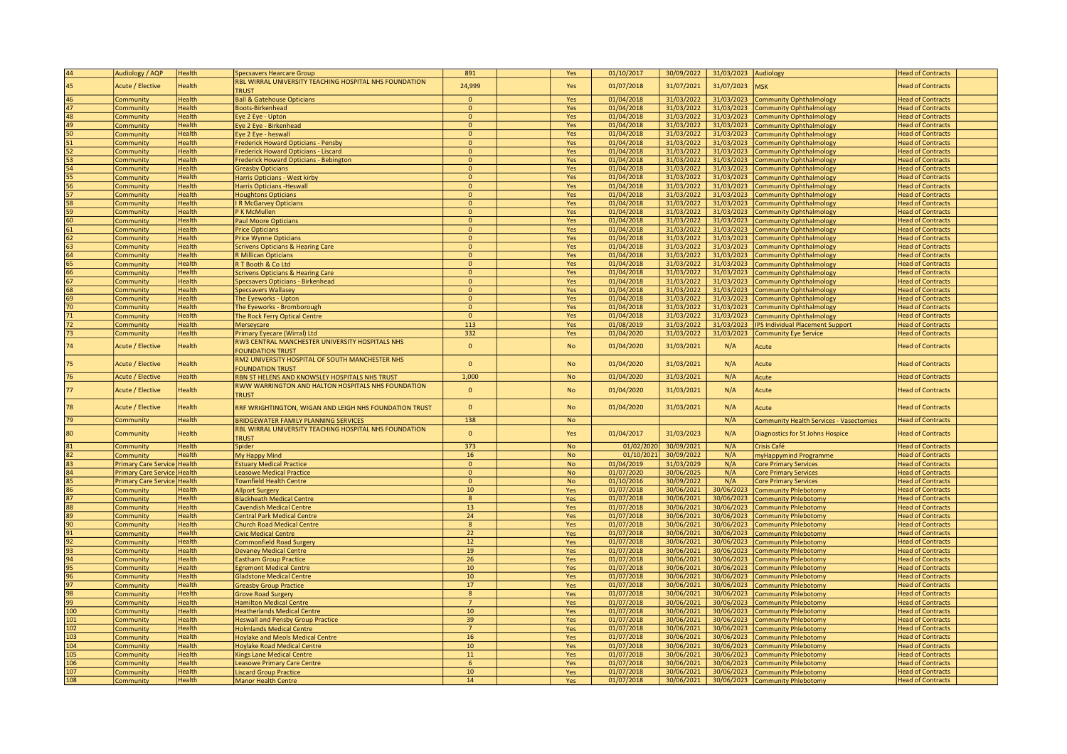| 44       | Audiology / AQP             | Health                         | <b>Specsavers Hearcare Group</b>                                           | 891                     | Yes        | 01/10/2017               | 30/09/2022               | 31/03/2023 Audiology     |                                                            | <b>Head of Contracts</b>                             |
|----------|-----------------------------|--------------------------------|----------------------------------------------------------------------------|-------------------------|------------|--------------------------|--------------------------|--------------------------|------------------------------------------------------------|------------------------------------------------------|
| 45       | <b>Acute / Elective</b>     | Health                         | RBL WIRRAL UNIVERSITY TEACHING HOSPITAL NHS FOUNDATION<br><b>TRUST</b>     | 24,999                  | Yes        | 01/07/2018               | 31/07/2021               | 31/07/2023               | <b>MSK</b>                                                 | <b>Head of Contracts</b>                             |
| 46       | Community                   | Health                         | <b>Ball &amp; Gatehouse Opticians</b>                                      | $\Omega$                | Yes        | 01/04/2018               | 31/03/2022               | 31/03/2023               | <b>Community Ophthalmology</b>                             | <b>Head of Contracts</b>                             |
| 47       | Community                   | <b>Health</b>                  | <b>Boots-Birkenhead</b>                                                    | $\mathbf{0}$            | Yes        | 01/04/2018               | 31/03/2022               | 31/03/2023               | <b>Community Ophthalmology</b>                             | <b>Head of Contracts</b>                             |
| 48       | ommunity                    | <b>Health</b>                  | Eye 2 Eye - Upton                                                          | $\mathbf{0}$            | Yes        | 01/04/2018               | 31/03/2022               | 31/03/2023               | <b>Community Ophthalmology</b>                             | <b>Head of Contracts</b>                             |
| 49       | community                   | Health                         | Eye 2 Eye - Birkenhead                                                     | $\mathbf{0}$            | Yes        | 01/04/2018               | 31/03/2022               | 31/03/2023               | <b>Community Ophthalmology</b>                             | <b>Head of Contracts</b>                             |
| 50       | community                   | Health                         | Eye 2 Eye - heswall                                                        | $\mathbf{0}$            | Yes        | 01/04/2018               | 31/03/2022               | 31/03/2023               | <b>Community Ophthalmology</b>                             | <b>Head of Contracts</b>                             |
| 51       | community.                  | Health                         | Frederick Howard Opticians - Pensby                                        | $\mathbf{0}$            | Yes        | 01/04/2018               | 31/03/2022               | 31/03/2023               | <b>Community Ophthalmology</b>                             | <b>Head of Contracts</b>                             |
| 52       | Community                   | Health                         | Frederick Howard Opticians - Liscard                                       | $\mathbf{0}$            | Yes        | 01/04/2018               | 31/03/2022               | 31/03/2023               | <b>Community Ophthalmology</b>                             | <b>Head of Contracts</b>                             |
| 53       | <b>Community</b>            | <b>Health</b>                  | Frederick Howard Opticians - Bebington                                     | $\mathbf{0}$            | Yes        | 01/04/2018               | 31/03/2022               | 31/03/2023               | <b>Community Ophthalmology</b>                             | <b>Head of Contracts</b>                             |
| 54       | community                   | <b>Health</b>                  | <b>Greasby Opticians</b>                                                   | $\mathbf{0}$            | Yes        | 01/04/2018               | 31/03/2022               | 31/03/2023               | <b>Community Ophthalmology</b>                             | <b>Head of Contracts</b>                             |
| 55       | community.                  | <b>Health</b>                  | Harris Opticians - West kirby                                              | $\mathbf{0}$            | Yes        | 01/04/2018               | 31/03/2022               | 31/03/2023               | <b>Community Ophthalmology</b>                             | <b>Head of Contracts</b>                             |
| 56       | Community                   | <b>Health</b>                  | <b>Harris Opticians - Heswall</b>                                          | $\overline{0}$          | Yes        | 01/04/2018               | 31/03/2022               | 31/03/2023               | <b>Community Ophthalmology</b>                             | <b>Head of Contracts</b>                             |
| 57       | Community                   | Health                         | <b>Houghtons Opticians</b>                                                 | $\mathbf{0}$            | Yes        | 01/04/2018               | 31/03/2022               | 31/03/2023               | <b>Community Ophthalmology</b>                             | <b>Head of Contracts</b>                             |
| 58       | community                   | Health                         | R McGarvey Opticians                                                       | $\mathbf{0}$            | Yes        | 01/04/2018               | 31/03/2022               | 31/03/2023               | <b>Community Ophthalmology</b>                             | <b>Head of Contracts</b>                             |
| 59       | community                   | Health                         | P K McMullen                                                               | $\mathbf{0}$            | Yes        | 01/04/2018               | 31/03/2022               | 31/03/2023               | <b>Community Ophthalmology</b>                             | <b>Head of Contracts</b>                             |
| 60       | Community                   | Health                         | <b>Paul Moore Opticians</b>                                                | $\mathbf{0}$            | Yes        | 01/04/2018               | 31/03/2022               | 31/03/2023               | <b>Community Ophthalmology</b>                             | <b>Head of Contracts</b>                             |
| 61       | Community                   | Health                         | <b>Price Opticians</b>                                                     | $\mathbf{0}$            | Yes        | 01/04/2018               | 31/03/2022               | 31/03/2023               | <b>Community Ophthalmology</b>                             | <b>Head of Contracts</b>                             |
| 62       | Community                   | <b>Health</b>                  | <b>Price Wynne Opticians</b>                                               | $\mathbf{0}$            | Yes        | 01/04/2018               | 31/03/2022               | 31/03/2023               | <b>Community Ophthalmology</b>                             | <b>Head of Contracts</b>                             |
| 63       | Community                   | <b>Health</b>                  | <b>Scrivens Opticians &amp; Hearing Care</b>                               | $\mathbf{0}$            | Yes        | 01/04/2018               | 31/03/2022               | 31/03/2023               | <b>Community Ophthalmology</b>                             | <b>Head of Contracts</b>                             |
| 64       | Community                   | Health                         | <b>R Millican Opticians</b>                                                | $\mathbf{0}$            | Yes        | 01/04/2018               | 31/03/2022               | 31/03/2023               | <b>Community Ophthalmology</b>                             | <b>Head of Contracts</b>                             |
| 65       | Community                   | <b>Health</b>                  | R T Booth & Co Ltd                                                         | $\mathbf{0}$            | Yes        | 01/04/2018               | 31/03/2022               | 31/03/2023               | <b>Community Ophthalmology</b>                             | <b>Head of Contracts</b>                             |
| 66       | <b>Community</b>            | Health                         | <b>Scrivens Opticians &amp; Hearing Care</b>                               | $\overline{0}$          | Yes        | 01/04/2018               | 31/03/2022               | 31/03/2023               | <b>Community Ophthalmology</b>                             | <b>Head of Contracts</b>                             |
| 67       | ommunity                    | <b>Health</b>                  | Specsavers Opticians - Birkenhead                                          | $\Omega$                | Yes        | 01/04/2018               | 31/03/2022               | 31/03/2023               | <b>Community Ophthalmology</b>                             | <b>Head of Contracts</b>                             |
| 68       | ommunity                    | Health                         | Specsavers Wallasey                                                        | $\mathbf{0}$            | Yes        | 01/04/2018               | 31/03/2022               | 31/03/2023               | Community Ophthalmology                                    | <b>Head of Contracts</b>                             |
| 69       | community                   | Health                         | The Eyeworks - Upton                                                       | $\Omega$                | Yes        | 01/04/2018               | 31/03/2022               | 31/03/2023               | <b>Community Ophthalmology</b>                             | <b>Head of Contracts</b>                             |
| 70       | community.                  | Health                         | The Eyeworks - Bromborough                                                 | $\mathbf{0}$            | Yes        | 01/04/2018               | 31/03/2022               | 31/03/2023               | <b>Community Ophthalmology</b>                             | <b>Head of Contracts</b>                             |
| 71       | community                   | <b>Health</b>                  | The Rock Ferry Optical Centre                                              | $\mathbf{0}$            | Yes        | 01/04/2018               | 31/03/2022               | 31/03/2023               | <b>Community Ophthalmology</b>                             | <b>Head of Contracts</b>                             |
| 72<br>73 | ommunity                    | <b>Health</b><br><b>Health</b> | Merseycare                                                                 | 113<br>332              | Yes        | 01/08/2019               | 31/03/2022<br>31/03/2022 | 31/03/2023<br>31/03/2023 | <b>IPS Individual Placement Support</b>                    | <b>Head of Contracts</b><br><b>Head of Contracts</b> |
|          | Community                   |                                | Primary Eyecare (Wirral) Ltd                                               |                         | Yes        | 01/04/2020               |                          |                          | <b>Community Eye Service</b>                               |                                                      |
| 74       | <b>Acute / Elective</b>     | Health                         | RW3 CENTRAL MANCHESTER UNIVERSITY HOSPITALS NHS<br><b>FOUNDATION TRUST</b> | $\mathbf{0}$            | <b>No</b>  | 01/04/2020               | 31/03/2021               | N/A                      | Acute                                                      | <b>Head of Contracts</b>                             |
| 75       | <b>Acute / Elective</b>     | Health                         | RM2 UNIVERSITY HOSPITAL OF SOUTH MANCHESTER NHS<br><b>FOUNDATION TRUST</b> | $\mathbf{0}$            | <b>No</b>  | 01/04/2020               | 31/03/2021               | N/A                      | Acute                                                      | <b>Head of Contracts</b>                             |
| 76       | Acute / Elective            | <b>Health</b>                  | RBN ST HELENS AND KNOWSLEY HOSPITALS NHS TRUST                             | 1,000                   | No         | 01/04/2020               | 31/03/2021               | N/A                      | Acute                                                      | <b>Head of Contracts</b>                             |
| 77       | <b>Acute / Elective</b>     | Health                         | RWW WARRINGTON AND HALTON HOSPITALS NHS FOUNDATION<br><b>TRUST</b>         | $\mathbf{0}$            | <b>No</b>  | 01/04/2020               | 31/03/2021               | N/A                      | Acute                                                      | <b>Head of Contracts</b>                             |
| 78       | <b>Acute / Elective</b>     | Health                         | RRF WRIGHTINGTON, WIGAN AND LEIGH NHS FOUNDATION TRUST                     | $\mathbf{0}$            | <b>No</b>  | 01/04/2020               | 31/03/2021               | N/A                      | Acute                                                      | <b>Head of Contracts</b>                             |
| 79       | Community                   | <b>Health</b>                  | <b>BRIDGEWATER FAMILY PLANNING SERVICES</b>                                | 138                     | No         |                          |                          | N/A                      | <b>Community Health Services - Vasectomies</b>             | <b>Head of Contracts</b>                             |
| 80       | Community                   | <b>Health</b>                  | RBL WIRRAL UNIVERSITY TEACHING HOSPITAL NHS FOUNDATION                     | $\mathbf{0}$            | Yes        | 01/04/2017               | 31/03/2023               | N/A                      | Diagnostics for St Johns Hospice                           | <b>Head of Contracts</b>                             |
|          |                             |                                | <b>TRUST</b>                                                               |                         |            |                          |                          |                          |                                                            |                                                      |
| 81       | community                   | <b>Health</b>                  | Spider                                                                     | 373                     | <b>No</b>  | 01/02/2020               | 30/09/2021               | N/A                      | Crisis Café                                                | <b>Head of Contracts</b>                             |
| 82       | community                   | Health                         | My Happy Mind                                                              | 16                      | No         | 01/10/2021               | 30/09/2022               | N/A                      | myHappymind Programme                                      | <b>Head of Contracts</b>                             |
| 83       | rimary Care Service Health  |                                | <b>Estuary Medical Practice</b>                                            | $\mathbf{0}$            | <b>No</b>  | 01/04/2019               | 31/03/2029               | N/A                      | <b>Core Primary Services</b>                               | <b>Head of Contracts</b>                             |
| 84       | <b>Trimary Care Service</b> | <b>Health</b>                  | <b>Leasowe Medical Practice</b>                                            | $\mathbf{0}$            | No         | 01/07/2020               | 30/06/2025               | N/A                      | <b>Core Primary Services</b>                               | <b>Head of Contracts</b>                             |
| 85       | rimary Care Service Health  |                                | <b>Townfield Health Centre</b>                                             | $\mathbf{0}$            | <b>No</b>  | 01/10/2016               | 30/09/2022               | N/A                      | <b>Core Primary Services</b>                               | <b>Head of Contracts</b>                             |
| 86       | <b>Community</b>            | Health                         | <b>Allport Surgery</b>                                                     | 10                      | Yes        | 01/07/2018               | 30/06/2021               | 30/06/2023               | <b>Community Phlebotomy</b>                                | <b>Head of Contracts</b>                             |
| 87       | community.                  | <b>Health</b>                  | <b>Blackheath Medical Centre</b>                                           | 8                       | Yes        | 01/07/2018               | 30/06/2021               | 30/06/2023               | <b>Community Phlebotomy</b>                                | <b>Head of Contracts</b>                             |
| 88       | community                   | Health                         | <b>Cavendish Medical Centre</b>                                            | $13$<br>$\overline{24}$ | Yes        | 01/07/2018               | 30/06/2021<br>30/06/2021 | 30/06/2023               | <b>Community Phlebotomy</b>                                | <b>Head of Contracts</b>                             |
| 89<br>90 | ommunity                    | <b>Health</b><br>Health        | <b>Central Park Medical Centre</b>                                         | 8                       | Yes        | 01/07/2018<br>01/07/2018 | 30/06/2021               | 30/06/2023<br>30/06/2023 | <b>Community Phlebotomy</b>                                | <b>Head of Contracts</b><br><b>Head of Contracts</b> |
| 91       | ommunity                    | Health                         | <b>Church Road Medical Centre</b><br><b>Civic Medical Centre</b>           | $\overline{22}$         | Yes        | 01/07/2018               | 30/06/2021               | 30/06/2023               | <b>Community Phlebotomy</b>                                | <b>Head of Contracts</b>                             |
| 92       | community.                  | Health                         |                                                                            | 12                      | Yes<br>Yes | 01/07/2018               | 30/06/2021               | 30/06/2023               | <b>Community Phlebotomy</b>                                | <b>Head of Contracts</b>                             |
| 93       | Community<br>Community      | <b>Health</b>                  | <b>Commonfield Road Surgery</b><br><b>Devaney Medical Centre</b>           | 19                      | Yes        | 01/07/2018               | 30/06/2021               | 30/06/2023               | <b>Community Phlebotomy</b><br><b>Community Phlebotomy</b> | <b>Head of Contracts</b>                             |
| 94       | community                   | <b>Health</b>                  | <b>Eastham Group Practice</b>                                              | 26                      | Yes        | 01/07/2018               | 30/06/2021               | 30/06/2023               | Community Phlebotomy                                       | <b>Head of Contracts</b>                             |
| 95       | Community                   | <b>Health</b>                  | <b>Egremont Medical Centre</b>                                             | 10                      | Yes        | 01/07/2018               | 30/06/2021               | 30/06/2023               | <b>Community Phlebotomy</b>                                | <b>Head of Contracts</b>                             |
| 96       | Community                   | Health                         | <b>Gladstone Medical Centre</b>                                            | 10                      | Yes        | 01/07/2018               | 30/06/2021               | 30/06/2023               | Community Phlebotomy                                       | <b>Head of Contracts</b>                             |
| 97       | Community                   | <b>Health</b>                  | <b>Greasby Group Practice</b>                                              | 17                      | Yes        | 01/07/2018               | 30/06/2021               | 30/06/2023               | <b>Community Phlebotomy</b>                                | <b>Head of Contracts</b>                             |
| 98       | community                   | <b>Health</b>                  | <b>Grove Road Surgery</b>                                                  | $\overline{8}$          | Yes        | 01/07/2018               | 30/06/2021               | 30/06/2023               | <b>Community Phlebotomy</b>                                | <b>Head of Contracts</b>                             |
| 99       | community                   | <b>Health</b>                  | <b>Hamilton Medical Centre</b>                                             | $\overline{7}$          | Yes        | 01/07/2018               | 30/06/2021               | 30/06/2023               | <b>Community Phlebotomy</b>                                | <b>Head of Contracts</b>                             |
| 100      | community                   | Health                         | <b>Heatherlands Medical Centre</b>                                         | 10                      | Yes        | 01/07/2018               | 30/06/2021               | 30/06/2023               | <b>Community Phlebotomy</b>                                | <b>Head of Contracts</b>                             |
| 101      | community.                  | Health                         | <b>Heswall and Pensby Group Practice</b>                                   | 39                      | Yes        | 01/07/2018               | 30/06/2021               | 30/06/2023               | Community Phlebotomy                                       | <b>Head of Contracts</b>                             |
| 102      | community.                  | Health                         | <b>Holmlands Medical Centre</b>                                            | $\overline{7}$          | Yes        | 01/07/2018               | 30/06/2021               | 30/06/2023               | Community Phlebotomy                                       | <b>Head of Contracts</b>                             |
| 103      | community                   | <b>Health</b>                  | <b>Hoylake and Meols Medical Centre</b>                                    | 16                      | Yes        | 01/07/2018               | 30/06/2021               | 30/06/2023               | <b>Community Phlebotomy</b>                                | <b>Head of Contracts</b>                             |
| 104      | community                   | <b>Health</b>                  | <b>Hoylake Road Medical Centre</b>                                         | 10                      | Yes        | 01/07/2018               | 30/06/2021               | 30/06/2023               | <b>Community Phlebotomy</b>                                | <b>Head of Contracts</b>                             |
| 105      | community                   | <b>Health</b>                  | <b>Kings Lane Medical Centre</b>                                           | 11                      | Yes        | 01/07/2018               | 30/06/2021               | 30/06/2023               | <b>Community Phlebotomy</b>                                | <b>Head of Contracts</b>                             |
| 106      | ommunity                    | <b>Health</b>                  | <b>Leasowe Primary Care Centre</b>                                         | 6                       | Yes        | 01/07/2018               | 30/06/2021               | 30/06/2023               | <b>Community Phlebotomy</b>                                | <b>Head of Contracts</b>                             |
| 107      | Community                   | Health                         | <b>Liscard Group Practice</b>                                              | 10                      | Yes        | 01/07/2018               | 30/06/2021               |                          | 30/06/2023 Community Phlebotomy                            | <b>Head of Contracts</b>                             |
| 108      | Community                   | Health                         | <b>Manor Health Centre</b>                                                 | 14                      | Yes        | 01/07/2018               | 30/06/2021               |                          | 30/06/2023 Community Phlebotomy                            | <b>Head of Contracts</b>                             |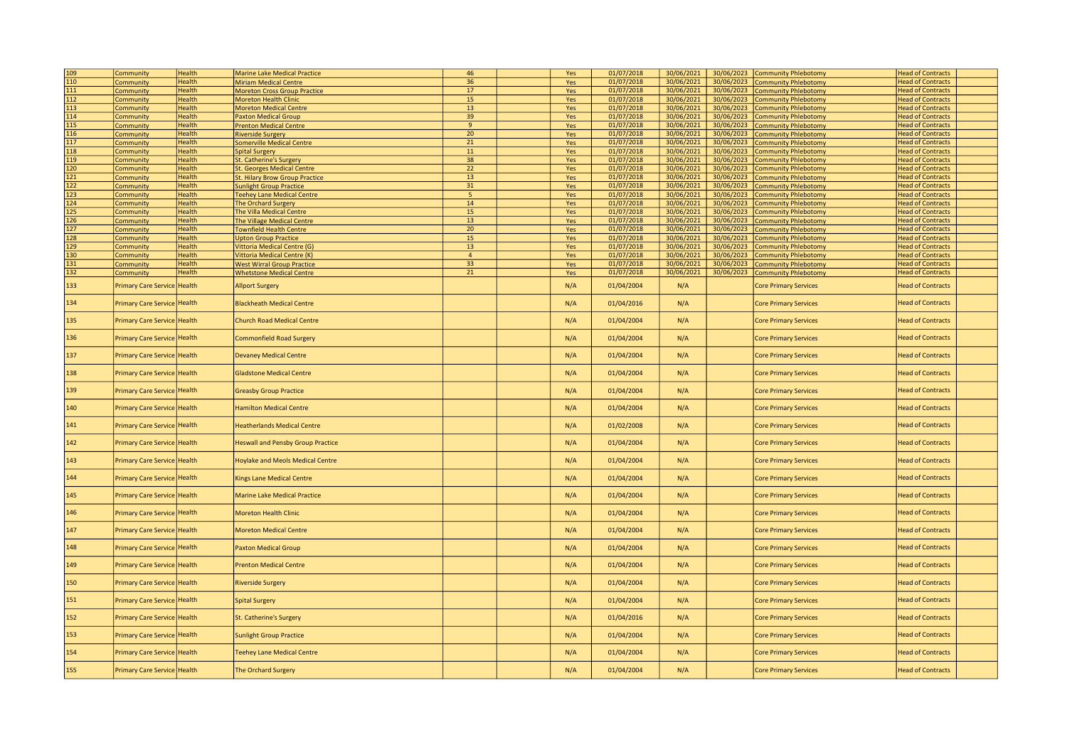| 109              | Community                   | <b>Health</b> | <b>Marine Lake Medical Practice</b>      | 46              | Yes | 01/07/2018 | 30/06/2021 | 30/06/2023 | Community Phlebotomy         | <b>Head of Contracts</b> |  |
|------------------|-----------------------------|---------------|------------------------------------------|-----------------|-----|------------|------------|------------|------------------------------|--------------------------|--|
| 110              | Community                   | <b>Health</b> | <b>Miriam Medical Centre</b>             | 36              | Yes | 01/07/2018 | 30/06/2021 | 30/06/2023 | <b>Community Phlebotomy</b>  | <b>Head of Contracts</b> |  |
| 111              | <b>Community</b>            | <b>Health</b> | <b>Moreton Cross Group Practice</b>      | 17              | Yes | 01/07/2018 | 30/06/2021 | 30/06/2023 | <b>Community Phlebotomy</b>  | <b>Head of Contracts</b> |  |
| 112              | Community                   | Health        | <b>Moreton Health Clinic</b>             | 15              | Yes | 01/07/2018 | 30/06/2021 | 30/06/2023 | <b>Community Phlebotomy</b>  | <b>Head of Contracts</b> |  |
| 113              | Community                   | Health        | <b>Moreton Medical Centre</b>            | 13              | Yes | 01/07/2018 | 30/06/2021 | 30/06/2023 | <b>Community Phlebotomy</b>  | <b>Head of Contracts</b> |  |
| 114              | Community                   | <b>Health</b> | <b>Paxton Medical Group</b>              | 39              | Yes | 01/07/2018 | 30/06/2021 | 30/06/2023 | <b>Community Phlebotomy</b>  | <b>Head of Contracts</b> |  |
| 115              | Community                   | <b>Health</b> | <b>Prenton Medical Centre</b>            | $\mathbf{q}$    | Yes | 01/07/2018 | 30/06/2021 | 30/06/2023 | <b>Community Phlebotomy</b>  | <b>Head of Contracts</b> |  |
| 116              | Community                   | <b>Health</b> | <b>Riverside Surgery</b>                 | $20\,$          | Yes | 01/07/2018 | 30/06/2021 | 30/06/2023 | <b>Community Phlebotomy</b>  | <b>Head of Contracts</b> |  |
| 117              |                             | <b>Health</b> |                                          | 21              |     | 01/07/2018 | 30/06/2021 | 30/06/2023 |                              | <b>Head of Contracts</b> |  |
|                  | Community                   |               | <b>Somerville Medical Centre</b>         |                 | Yes |            |            |            | <b>Community Phlebotomy</b>  |                          |  |
| 118              | Community                   | <b>Health</b> | <b>Spital Surgery</b>                    | 11              | Yes | 01/07/2018 | 30/06/2021 | 30/06/2023 | <b>Community Phlebotomy</b>  | <b>Head of Contracts</b> |  |
| 119              | Community                   | <b>Health</b> | <b>St. Catherine's Surgery</b>           | 38              | Yes | 01/07/2018 | 30/06/2021 | 30/06/2023 | Community Phlebotomy         | <b>Head of Contracts</b> |  |
| 120              | Community                   | <b>Health</b> | <b>St. Georges Medical Centre</b>        | $\overline{22}$ | Yes | 01/07/2018 | 30/06/2021 | 30/06/2023 | <b>Community Phlebotomy</b>  | <b>Head of Contracts</b> |  |
| 121              | Community                   | Health        | St. Hilary Brow Group Practice           | 13              | Yes | 01/07/2018 | 30/06/2021 | 30/06/2023 | <b>Community Phlebotomy</b>  | <b>Head of Contracts</b> |  |
| 122              | Community                   | <b>Health</b> | <b>Sunlight Group Practice</b>           | 31              | Yes | 01/07/2018 | 30/06/2021 | 30/06/2023 | <b>Community Phlebotomy</b>  | <b>Head of Contracts</b> |  |
| $\overline{123}$ | Community                   | <b>Health</b> | <b>Teehey Lane Medical Centre</b>        | 5               | Yes | 01/07/2018 | 30/06/2021 | 30/06/2023 | <b>Community Phlebotomy</b>  | <b>Head of Contracts</b> |  |
| 124              | Community                   | Health        | The Orchard Surgery                      | 14              | Yes | 01/07/2018 | 30/06/2021 | 30/06/2023 | <b>Community Phlebotomy</b>  | <b>Head of Contracts</b> |  |
| 125              | Community                   | Health        | The Villa Medical Centre                 | 15              | Yes | 01/07/2018 | 30/06/2021 | 30/06/2023 | <b>Community Phlebotomy</b>  | <b>Head of Contracts</b> |  |
|                  |                             |               |                                          |                 |     |            |            |            |                              |                          |  |
| 126              | <b>Community</b>            | <b>Health</b> | <b>The Village Medical Centre</b>        | 13              | Yes | 01/07/2018 | 30/06/2021 | 30/06/2023 | Community Phlebotomy         | <b>Head of Contracts</b> |  |
| 127              | Community                   | <b>Health</b> | <b>Townfield Health Centre</b>           | 20              | Yes | 01/07/2018 | 30/06/2021 | 30/06/2023 | <b>Community Phlebotomy</b>  | <b>Head of Contracts</b> |  |
| 128              | Community                   | <b>Health</b> | <b>Upton Group Practice</b>              | 15              | Yes | 01/07/2018 | 30/06/2021 | 30/06/2023 | <b>Community Phlebotomy</b>  | <b>Head of Contracts</b> |  |
| 129              | Community                   | Health        | Vittoria Medical Centre (G)              | $13$            | Yes | 01/07/2018 | 30/06/2021 | 30/06/2023 | <b>Community Phlebotomy</b>  | <b>Head of Contracts</b> |  |
| 130              | Community                   | <b>Health</b> | /ittoria Medical Centre (K)              | $\overline{4}$  | Yes | 01/07/2018 | 30/06/2021 | 30/06/2023 | <b>Community Phlebotomy</b>  | <b>Head of Contracts</b> |  |
| 131              | Community                   | Health        | <b>West Wirral Group Practice</b>        | 33              | Yes | 01/07/2018 | 30/06/2021 | 30/06/2023 | <b>Community Phlebotomy</b>  | <b>Head of Contracts</b> |  |
| 132              |                             | <b>Health</b> |                                          | 21              |     | 01/07/2018 | 30/06/2021 |            |                              | <b>Head of Contracts</b> |  |
|                  | <b>Community</b>            |               | <b>Whetstone Medical Centre</b>          |                 | Yes |            |            | 30/06/2023 | <b>Community Phlebotomy</b>  |                          |  |
| 133              | <b>Primary Care Service</b> | <b>Health</b> | <b>Allport Surgery</b>                   |                 | N/A | 01/04/2004 | N/A        |            | <b>Core Primary Services</b> | <b>Head of Contracts</b> |  |
| 134              | Primary Care Service Health |               | <b>Blackheath Medical Centre</b>         |                 | N/A | 01/04/2016 | N/A        |            | <b>Core Primary Services</b> | <b>Head of Contracts</b> |  |
| 135              | Primary Care Service Health |               | <b>Church Road Medical Centre</b>        |                 | N/A | 01/04/2004 | N/A        |            | <b>Core Primary Services</b> | <b>Head of Contracts</b> |  |
| 136              | <b>Primary Care Service</b> | <b>Health</b> | <b>Commonfield Road Surgery</b>          |                 | N/A | 01/04/2004 | N/A        |            | <b>Core Primary Services</b> | <b>Head of Contracts</b> |  |
| 137              | Primary Care Service Health |               | <b>Devaney Medical Centre</b>            |                 | N/A | 01/04/2004 | N/A        |            | <b>Core Primary Services</b> | <b>Head of Contracts</b> |  |
| 138              | Primary Care Service Health |               | <b>Gladstone Medical Centre</b>          |                 | N/A | 01/04/2004 | N/A        |            | <b>Core Primary Services</b> | <b>Head of Contracts</b> |  |
| 139              | Primary Care Service Health |               | <b>Greasby Group Practice</b>            |                 | N/A | 01/04/2004 | N/A        |            | <b>Core Primary Services</b> | <b>Head of Contracts</b> |  |
| 140              | Primary Care Service Health |               | <b>Hamilton Medical Centre</b>           |                 | N/A | 01/04/2004 | N/A        |            | <b>Core Primary Services</b> | <b>Head of Contracts</b> |  |
| 141              | Primary Care Service Health |               | <b>Heatherlands Medical Centre</b>       |                 | N/A | 01/02/2008 | N/A        |            | <b>Core Primary Services</b> | <b>Head of Contracts</b> |  |
| 142              | Primary Care Service Health |               | <b>Heswall and Pensby Group Practice</b> |                 | N/A | 01/04/2004 | N/A        |            | <b>Core Primary Services</b> | <b>Head of Contracts</b> |  |
| 143              | <b>Primary Care Service</b> | <b>Health</b> | <b>Hoylake and Meols Medical Centre</b>  |                 | N/A | 01/04/2004 | N/A        |            | <b>Core Primary Services</b> | <b>Head of Contracts</b> |  |
| 144              | Primary Care Service Health |               | <b>Kings Lane Medical Centre</b>         |                 | N/A | 01/04/2004 | N/A        |            | <b>Core Primary Services</b> | <b>Head of Contracts</b> |  |
| 145              | Primary Care Service Health |               | <b>Marine Lake Medical Practice</b>      |                 | N/A | 01/04/2004 | N/A        |            | <b>Core Primary Services</b> | <b>Head of Contracts</b> |  |
| 146              | Primary Care Service Health |               | <b>Moreton Health Clinic</b>             |                 | N/A | 01/04/2004 | N/A        |            | <b>Core Primary Services</b> | <b>Head of Contracts</b> |  |
| 147              | Primary Care Service Health |               | <b>Moreton Medical Centre</b>            |                 | N/A | 01/04/2004 | N/A        |            | <b>Core Primary Services</b> | <b>Head of Contracts</b> |  |
| 148              | Primary Care Service Health |               | <b>Paxton Medical Group</b>              |                 | N/A | 01/04/2004 | N/A        |            | <b>Core Primary Services</b> | <b>Head of Contracts</b> |  |
| 149              | Primary Care Service Health |               | <b>Prenton Medical Centre</b>            |                 | N/A | 01/04/2004 | N/A        |            | <b>Core Primary Services</b> | <b>Head of Contracts</b> |  |
| 150              | <b>Primary Care Service</b> | <b>Health</b> | <b>Riverside Surgery</b>                 |                 | N/A | 01/04/2004 | N/A        |            | <b>Core Primary Services</b> | <b>Head of Contracts</b> |  |
| 151              | <b>Primary Care Service</b> | Health        | <b>Spital Surgery</b>                    |                 | N/A | 01/04/2004 | N/A        |            | <b>Core Primary Services</b> | <b>Head of Contracts</b> |  |
| 152              | Primary Care Service Health |               | St. Catherine's Surgery                  |                 | N/A | 01/04/2016 | N/A        |            | <b>Core Primary Services</b> | <b>Head of Contracts</b> |  |
| 153              | Primary Care Service Health |               | <b>Sunlight Group Practice</b>           |                 | N/A | 01/04/2004 | N/A        |            | <b>Core Primary Services</b> | <b>Head of Contracts</b> |  |
| 154              | Primary Care Service Health |               | <b>Teehey Lane Medical Centre</b>        |                 | N/A | 01/04/2004 | N/A        |            | <b>Core Primary Services</b> | <b>Head of Contracts</b> |  |
| 155              | Primary Care Service Health |               | The Orchard Surgery                      |                 | N/A | 01/04/2004 | N/A        |            | <b>Core Primary Services</b> | <b>Head of Contracts</b> |  |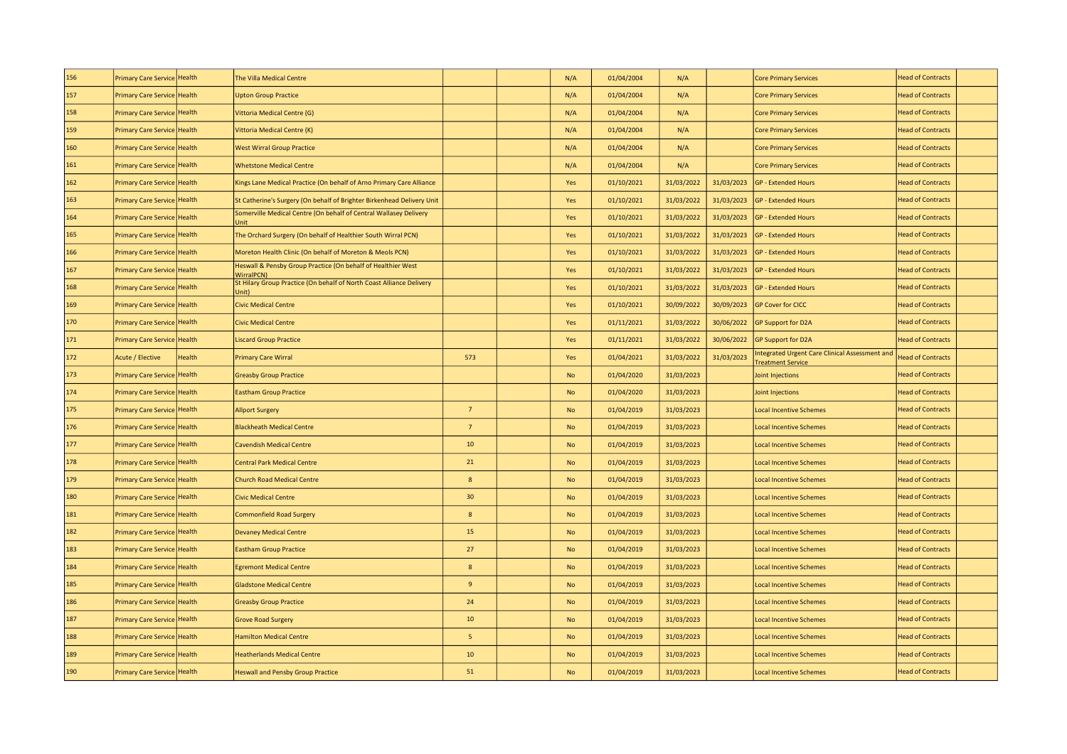| 156 | Primary Care Service Health       | The Villa Medical Centre                                                      |                  | N/A       | 01/04/2004 | N/A        |            | <b>Core Primary Services</b>                                               | <b>Head of Contracts</b> |  |
|-----|-----------------------------------|-------------------------------------------------------------------------------|------------------|-----------|------------|------------|------------|----------------------------------------------------------------------------|--------------------------|--|
| 157 | Primary Care Service Health       | <b>Upton Group Practice</b>                                                   |                  | N/A       | 01/04/2004 | N/A        |            | <b>Core Primary Services</b>                                               | <b>Head of Contracts</b> |  |
| 158 | Primary Care Service Health       | Vittoria Medical Centre (G)                                                   |                  | N/A       | 01/04/2004 | N/A        |            | <b>Core Primary Services</b>                                               | <b>Head of Contracts</b> |  |
| 159 | Primary Care Service Health       | Vittoria Medical Centre (K)                                                   |                  | N/A       | 01/04/2004 | N/A        |            | <b>Core Primary Services</b>                                               | <b>Head of Contracts</b> |  |
| 160 | Primary Care Service Health       | <b>West Wirral Group Practice</b>                                             |                  | N/A       | 01/04/2004 | N/A        |            | <b>Core Primary Services</b>                                               | <b>Head of Contracts</b> |  |
| 161 | Primary Care Service Health       | <b>Whetstone Medical Centre</b>                                               |                  | N/A       | 01/04/2004 | N/A        |            | <b>Core Primary Services</b>                                               | <b>Head of Contracts</b> |  |
| 162 | Primary Care Service Health       | Kings Lane Medical Practice (On behalf of Arno Primary Care Alliance          |                  | Yes       | 01/10/2021 | 31/03/2022 | 31/03/2023 | <b>GP - Extended Hours</b>                                                 | <b>Head of Contracts</b> |  |
| 163 | Primary Care Service Health       | St Catherine's Surgery (On behalf of Brighter Birkenhead Delivery Unit        |                  | Yes       | 01/10/2021 | 31/03/2022 | 31/03/2023 | <b>GP - Extended Hours</b>                                                 | <b>Head of Contracts</b> |  |
| 164 | Primary Care Service Health       | Somerville Medical Centre (On behalf of Central Wallasey Delivery             |                  | Yes       | 01/10/2021 | 31/03/2022 | 31/03/2023 | <b>GP - Extended Hours</b>                                                 | <b>Head of Contracts</b> |  |
| 165 | Primary Care Service Health       | The Orchard Surgery (On behalf of Healthier South Wirral PCN)                 |                  | Yes       | 01/10/2021 | 31/03/2022 | 31/03/2023 | <b>GP - Extended Hours</b>                                                 | <b>Head of Contracts</b> |  |
| 166 | Primary Care Service Health       | Moreton Health Clinic (On behalf of Moreton & Meols PCN)                      |                  | Yes       | 01/10/2021 | 31/03/2022 | 31/03/2023 | <b>GP - Extended Hours</b>                                                 | <b>Head of Contracts</b> |  |
| 167 | Primary Care Service Health       | Heswall & Pensby Group Practice (On behalf of Healthier West<br>WirralPCN)    |                  | Yes       | 01/10/2021 | 31/03/2022 | 31/03/2023 | <b>GP - Extended Hours</b>                                                 | <b>Head of Contracts</b> |  |
| 168 | Primary Care Service Health       | St Hilary Group Practice (On behalf of North Coast Alliance Delivery<br>Jnit) |                  | Yes       | 01/10/2021 | 31/03/2022 | 31/03/2023 | <b>GP - Extended Hours</b>                                                 | <b>Head of Contracts</b> |  |
| 169 | Primary Care Service Health       | <b>Civic Medical Centre</b>                                                   |                  | Yes       | 01/10/2021 | 30/09/2022 | 30/09/2023 | <b>GP Cover for CICC</b>                                                   | <b>Head of Contracts</b> |  |
| 170 | Primary Care Service Health       | Civic Medical Centre                                                          |                  | Yes       | 01/11/2021 | 31/03/2022 | 30/06/2022 | <b>GP Support for D2A</b>                                                  | <b>Head of Contracts</b> |  |
| 171 | Primary Care Service Health       | <b>Liscard Group Practice</b>                                                 |                  | Yes       | 01/11/2021 | 31/03/2022 | 30/06/2022 | <b>GP Support for D2A</b>                                                  | <b>Head of Contracts</b> |  |
| 172 | Acute / Elective<br><b>Health</b> | <b>Primary Care Wirral</b>                                                    | 573              | Yes       | 01/04/2021 | 31/03/2022 | 31/03/2023 | Integrated Urgent Care Clinical Assessment and<br><b>Treatment Service</b> | <b>Head of Contracts</b> |  |
| 173 | Primary Care Service Health       | <b>Greasby Group Practice</b>                                                 |                  | No        | 01/04/2020 | 31/03/2023 |            | Joint Injections                                                           | <b>Head of Contracts</b> |  |
| 174 | Primary Care Service Health       | <b>Eastham Group Practice</b>                                                 |                  | <b>No</b> | 01/04/2020 | 31/03/2023 |            | Joint Injections                                                           | <b>Head of Contracts</b> |  |
| 175 | Primary Care Service Health       | <b>Allport Surgery</b>                                                        | $7^{\circ}$      | No        | 01/04/2019 | 31/03/2023 |            | <b>Local Incentive Schemes</b>                                             | <b>Head of Contracts</b> |  |
| 176 | Primary Care Service Health       | <b>Blackheath Medical Centre</b>                                              | $7\overline{ }$  | <b>No</b> | 01/04/2019 | 31/03/2023 |            | <b>Local Incentive Schemes</b>                                             | <b>Head of Contracts</b> |  |
| 177 | Primary Care Service Health       | <b>Cavendish Medical Centre</b>                                               | 10               | No        | 01/04/2019 | 31/03/2023 |            | <b>Local Incentive Schemes</b>                                             | <b>Head of Contracts</b> |  |
| 178 | Primary Care Service Health       | <b>Central Park Medical Centre</b>                                            | 21               | <b>No</b> | 01/04/2019 | 31/03/2023 |            | <b>Local Incentive Schemes</b>                                             | <b>Head of Contracts</b> |  |
| 179 | Primary Care Service Health       | <b>Church Road Medical Centre</b>                                             | 8                | No        | 01/04/2019 | 31/03/2023 |            | <b>Local Incentive Schemes</b>                                             | <b>Head of Contracts</b> |  |
| 180 | Primary Care Service Health       | <b>Civic Medical Centre</b>                                                   | 30               | <b>No</b> | 01/04/2019 | 31/03/2023 |            | <b>Local Incentive Schemes</b>                                             | <b>Head of Contracts</b> |  |
| 181 | Primary Care Service Health       | Commonfield Road Surgery                                                      | $\boldsymbol{8}$ | No        | 01/04/2019 | 31/03/2023 |            | <b>Local Incentive Schemes</b>                                             | <b>Head of Contracts</b> |  |
| 182 | Primary Care Service Health       | <b>Devaney Medical Centre</b>                                                 | 15               | <b>No</b> | 01/04/2019 | 31/03/2023 |            | <b>Local Incentive Schemes</b>                                             | <b>Head of Contracts</b> |  |
| 183 | Primary Care Service Health       | <b>Eastham Group Practice</b>                                                 | 27               | No        | 01/04/2019 | 31/03/2023 |            | <b>Local Incentive Schemes</b>                                             | <b>Head of Contracts</b> |  |
| 184 | Primary Care Service Health       | <b>Egremont Medical Centre</b>                                                | 8                | <b>No</b> | 01/04/2019 | 31/03/2023 |            | <b>Local Incentive Schemes</b>                                             | <b>Head of Contracts</b> |  |
| 185 | Primary Care Service Health       | <b>Gladstone Medical Centre</b>                                               | $9\,$            | No        | 01/04/2019 | 31/03/2023 |            | <b>Local Incentive Schemes</b>                                             | <b>Head of Contracts</b> |  |
| 186 | Primary Care Service Health       | <b>Greasby Group Practice</b>                                                 | 24               | <b>No</b> | 01/04/2019 | 31/03/2023 |            | <b>Local Incentive Schemes</b>                                             | <b>Head of Contracts</b> |  |
| 187 | Primary Care Service Health       | <b>Grove Road Surgery</b>                                                     | 10               | No        | 01/04/2019 | 31/03/2023 |            | <b>Local Incentive Schemes</b>                                             | <b>Head of Contracts</b> |  |
| 188 | Primary Care Service Health       | <b>Hamilton Medical Centre</b>                                                | 5                | <b>No</b> | 01/04/2019 | 31/03/2023 |            | <b>Local Incentive Schemes</b>                                             | <b>Head of Contracts</b> |  |
| 189 | Primary Care Service Health       | <b>Heatherlands Medical Centre</b>                                            | 10               | No        | 01/04/2019 | 31/03/2023 |            | <b>Local Incentive Schemes</b>                                             | <b>Head of Contracts</b> |  |
| 190 | Primary Care Service Health       | <b>Heswall and Pensby Group Practice</b>                                      | 51               | <b>No</b> | 01/04/2019 | 31/03/2023 |            | <b>Local Incentive Schemes</b>                                             | <b>Head of Contracts</b> |  |
|     |                                   |                                                                               |                  |           |            |            |            |                                                                            |                          |  |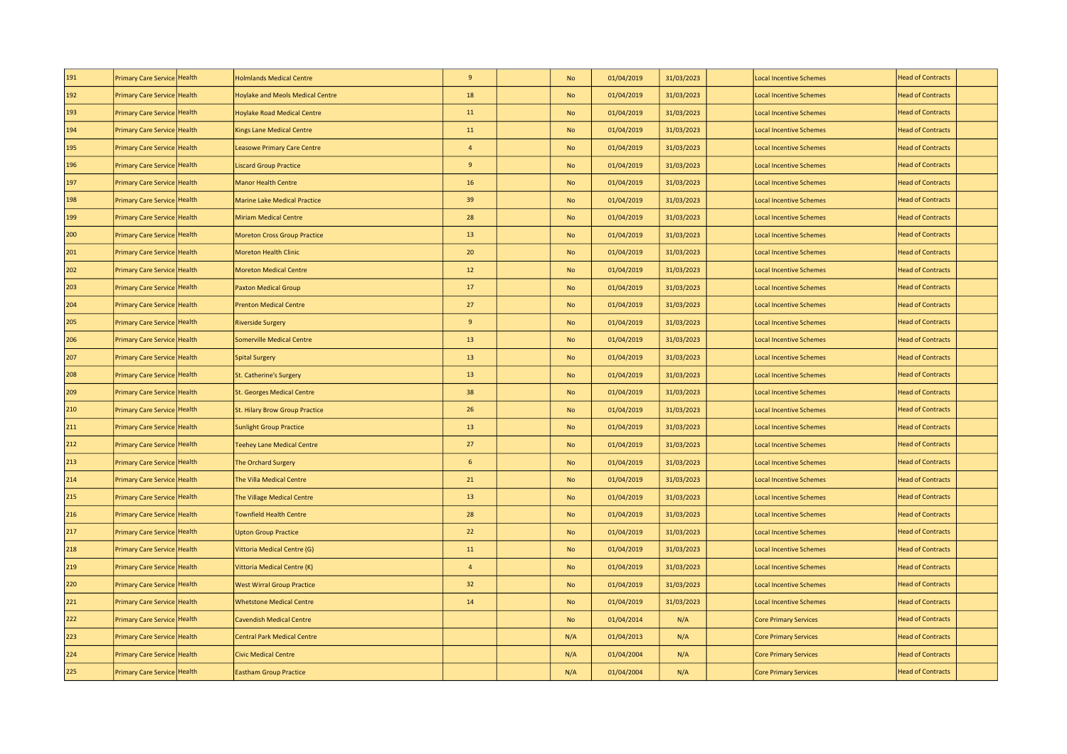| 191 | Primary Care Service Health | <b>Holmlands Medical Centre</b>         | $9\,$          | No        | 01/04/2019 | 31/03/2023 | <b>Local Incentive Schemes</b> | <b>Head of Contracts</b> |  |
|-----|-----------------------------|-----------------------------------------|----------------|-----------|------------|------------|--------------------------------|--------------------------|--|
| 192 | Primary Care Service Health | <b>Hoylake and Meols Medical Centre</b> | 18             | No        | 01/04/2019 | 31/03/2023 | <b>Local Incentive Schemes</b> | <b>Head of Contracts</b> |  |
| 193 | Primary Care Service Health | Hoylake Road Medical Centre             | 11             | <b>No</b> | 01/04/2019 | 31/03/2023 | <b>Local Incentive Schemes</b> | <b>Head of Contracts</b> |  |
| 194 | Primary Care Service Health | Kings Lane Medical Centre               | 11             | <b>No</b> | 01/04/2019 | 31/03/2023 | <b>Local Incentive Schemes</b> | <b>Head of Contracts</b> |  |
| 195 | Primary Care Service Health | <b>Leasowe Primary Care Centre</b>      | $\overline{4}$ | No        | 01/04/2019 | 31/03/2023 | <b>Local Incentive Schemes</b> | <b>Head of Contracts</b> |  |
| 196 | Primary Care Service Health | <b>Liscard Group Practice</b>           | 9              | No        | 01/04/2019 | 31/03/2023 | <b>Local Incentive Schemes</b> | <b>Head of Contracts</b> |  |
| 197 | Primary Care Service Health | <b>Manor Health Centre</b>              | 16             | <b>No</b> | 01/04/2019 | 31/03/2023 | <b>Local Incentive Schemes</b> | <b>Head of Contracts</b> |  |
| 198 | Primary Care Service Health | Marine Lake Medical Practice            | 39             | No        | 01/04/2019 | 31/03/2023 | <b>Local Incentive Schemes</b> | <b>Head of Contracts</b> |  |
| 199 | Primary Care Service Health | Miriam Medical Centre                   | 28             | No        | 01/04/2019 | 31/03/2023 | <b>Local Incentive Schemes</b> | <b>Head of Contracts</b> |  |
| 200 | Primary Care Service Health | <b>Moreton Cross Group Practice</b>     | 13             | No        | 01/04/2019 | 31/03/2023 | <b>Local Incentive Schemes</b> | <b>Head of Contracts</b> |  |
| 201 | Primary Care Service Health | Moreton Health Clinic                   | 20             | <b>No</b> | 01/04/2019 | 31/03/2023 | <b>Local Incentive Schemes</b> | <b>Head of Contracts</b> |  |
| 202 | Primary Care Service Health | <b>Moreton Medical Centre</b>           | 12             | No        | 01/04/2019 | 31/03/2023 | <b>Local Incentive Schemes</b> | <b>Head of Contracts</b> |  |
| 203 | Primary Care Service Health | <b>Paxton Medical Group</b>             | 17             | No        | 01/04/2019 | 31/03/2023 | <b>Local Incentive Schemes</b> | <b>Head of Contracts</b> |  |
| 204 | Primary Care Service Health | <b>Prenton Medical Centre</b>           | 27             | No        | 01/04/2019 | 31/03/2023 | <b>Local Incentive Schemes</b> | <b>Head of Contracts</b> |  |
| 205 | Primary Care Service Health | <b>Riverside Surgery</b>                | 9              | <b>No</b> | 01/04/2019 | 31/03/2023 | <b>Local Incentive Schemes</b> | <b>Head of Contracts</b> |  |
| 206 | Primary Care Service Health | <b>Somerville Medical Centre</b>        | 13             | No        | 01/04/2019 | 31/03/2023 | <b>Local Incentive Schemes</b> | <b>Head of Contracts</b> |  |
| 207 | Primary Care Service Health | <b>Spital Surgery</b>                   | 13             | No        | 01/04/2019 | 31/03/2023 | <b>Local Incentive Schemes</b> | <b>Head of Contracts</b> |  |
| 208 | Primary Care Service Health | St. Catherine's Surgery                 | 13             | No        | 01/04/2019 | 31/03/2023 | <b>Local Incentive Schemes</b> | <b>Head of Contracts</b> |  |
| 209 | Primary Care Service Health | <b>St. Georges Medical Centre</b>       | 38             | <b>No</b> | 01/04/2019 | 31/03/2023 | <b>Local Incentive Schemes</b> | <b>Head of Contracts</b> |  |
| 210 | Primary Care Service Health | St. Hilary Brow Group Practice          | 26             | No        | 01/04/2019 | 31/03/2023 | <b>Local Incentive Schemes</b> | <b>Head of Contracts</b> |  |
| 211 | Primary Care Service Health | <b>Sunlight Group Practice</b>          | 13             | <b>No</b> | 01/04/2019 | 31/03/2023 | <b>Local Incentive Schemes</b> | <b>Head of Contracts</b> |  |
| 212 | Primary Care Service Health | <b>Teehey Lane Medical Centre</b>       | 27             | No        | 01/04/2019 | 31/03/2023 | <b>Local Incentive Schemes</b> | <b>Head of Contracts</b> |  |
| 213 | Primary Care Service Health | The Orchard Surgery                     | 6              | <b>No</b> | 01/04/2019 | 31/03/2023 | <b>Local Incentive Schemes</b> | <b>Head of Contracts</b> |  |
| 214 | Primary Care Service Health | The Villa Medical Centre                | 21             | No        | 01/04/2019 | 31/03/2023 | <b>Local Incentive Schemes</b> | <b>Head of Contracts</b> |  |
| 215 | Primary Care Service Health | The Village Medical Centre              | 13             | <b>No</b> | 01/04/2019 | 31/03/2023 | <b>Local Incentive Schemes</b> | <b>Head of Contracts</b> |  |
| 216 | Primary Care Service Health | <b>Townfield Health Centre</b>          | 28             | No        | 01/04/2019 | 31/03/2023 | <b>Local Incentive Schemes</b> | <b>Head of Contracts</b> |  |
| 217 | Primary Care Service Health | <b>Upton Group Practice</b>             | 22             | <b>No</b> | 01/04/2019 | 31/03/2023 | <b>Local Incentive Schemes</b> | <b>Head of Contracts</b> |  |
| 218 | Primary Care Service Health | Vittoria Medical Centre (G)             | 11             | No        | 01/04/2019 | 31/03/2023 | <b>Local Incentive Schemes</b> | <b>Head of Contracts</b> |  |
| 219 | Primary Care Service Health | Vittoria Medical Centre (K)             | $\overline{4}$ | <b>No</b> | 01/04/2019 | 31/03/2023 | <b>Local Incentive Schemes</b> | <b>Head of Contracts</b> |  |
| 220 | Primary Care Service Health | <b>West Wirral Group Practice</b>       | 32             | No        | 01/04/2019 | 31/03/2023 | <b>Local Incentive Schemes</b> | <b>Head of Contracts</b> |  |
| 221 | Primary Care Service Health | <b>Whetstone Medical Centre</b>         | 14             | <b>No</b> | 01/04/2019 | 31/03/2023 | <b>Local Incentive Schemes</b> | <b>Head of Contracts</b> |  |
| 222 | Primary Care Service Health | <b>Cavendish Medical Centre</b>         |                | No        | 01/04/2014 | N/A        | <b>Core Primary Services</b>   | <b>Head of Contracts</b> |  |
| 223 | Primary Care Service Health | <b>Central Park Medical Centre</b>      |                | N/A       | 01/04/2013 | N/A        | <b>Core Primary Services</b>   | <b>Head of Contracts</b> |  |
| 224 | Primary Care Service Health | <b>Civic Medical Centre</b>             |                | N/A       | 01/04/2004 | N/A        | <b>Core Primary Services</b>   | <b>Head of Contracts</b> |  |
| 225 | Primary Care Service Health | <b>Eastham Group Practice</b>           |                | N/A       | 01/04/2004 | N/A        | <b>Core Primary Services</b>   | <b>Head of Contracts</b> |  |
|     |                             |                                         |                |           |            |            |                                |                          |  |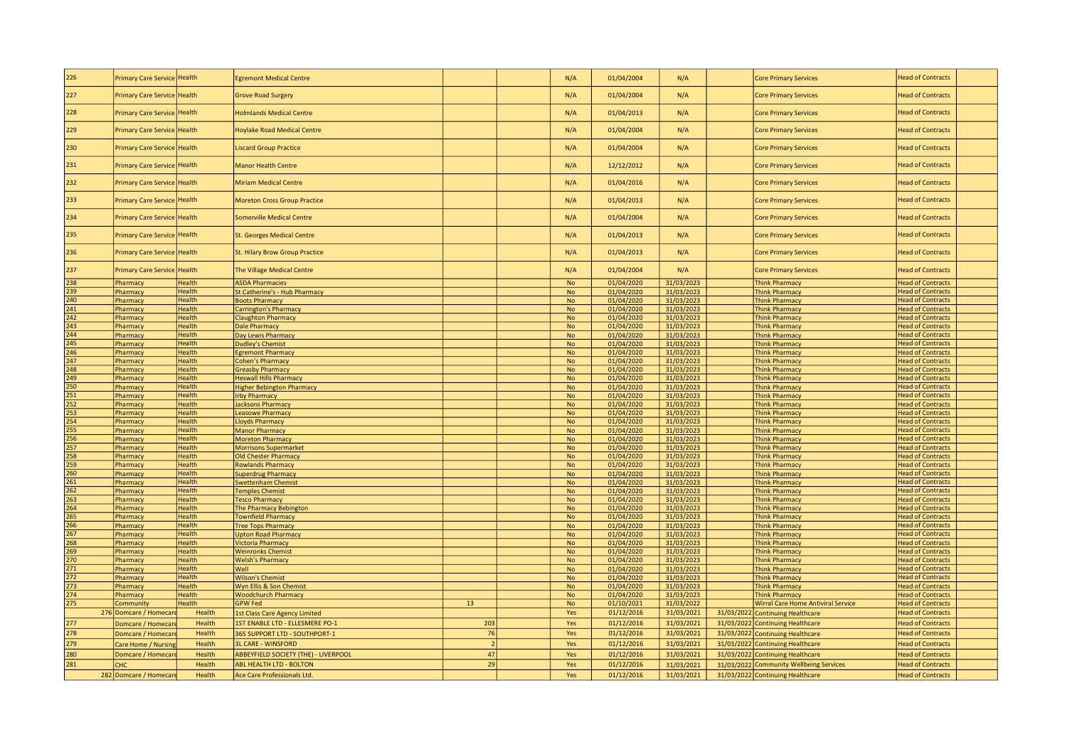| 226                     | Primary Care Service Health         |                  | <b>Egremont Medical Centre</b>                                |                | N/A            | 01/04/2004               | N/A                      | <b>Core Primary Services</b>                                                | <b>Head of Contracts</b>                             |
|-------------------------|-------------------------------------|------------------|---------------------------------------------------------------|----------------|----------------|--------------------------|--------------------------|-----------------------------------------------------------------------------|------------------------------------------------------|
| 227                     | Primary Care Service Health         |                  | <b>Grove Road Surgery</b>                                     |                | N/A            | 01/04/2004               | N/A                      | <b>Core Primary Services</b>                                                | <b>Head of Contracts</b>                             |
|                         |                                     |                  |                                                               |                |                |                          |                          |                                                                             |                                                      |
| 228                     | Primary Care Service                | Health           | <b>Holmlands Medical Centre</b>                               |                | N/A            | 01/04/2013               | N/A                      | <b>Core Primary Services</b>                                                | <b>Head of Contracts</b>                             |
| 229                     | Primary Care Service                | <b>Health</b>    | <b>Hoylake Road Medical Centre</b>                            |                | N/A            | 01/04/2004               | N/A                      | <b>Core Primary Services</b>                                                | <b>Head of Contracts</b>                             |
| 230                     | Primary Care Service                | Health           | iscard Group Practice                                         |                | N/A            | 01/04/2004               | N/A                      | <b>Core Primary Services</b>                                                | <b>Head of Contracts</b>                             |
| 231                     | Primary Care Service                | <b>Health</b>    | <b>Manor Health Centre</b>                                    |                | N/A            | 12/12/2012               | N/A                      | <b>Core Primary Services</b>                                                | <b>Head of Contracts</b>                             |
| 232                     | Primary Care Service                | Health           | <b>Miriam Medical Centre</b>                                  |                | N/A            | 01/04/2016               | N/A                      | <b>Core Primary Services</b>                                                | <b>Head of Contracts</b>                             |
| 233                     | <b>Primary Care Service</b>         | Health           | <b>Moreton Cross Group Practice</b>                           |                | N/A            | 01/04/2013               | N/A                      | <b>Core Primary Services</b>                                                | <b>Head of Contracts</b>                             |
| 234                     | Primary Care Service                | Health           | Somerville Medical Centre                                     |                | N/A            | 01/04/2004               | N/A                      | <b>Core Primary Services</b>                                                | <b>Head of Contracts</b>                             |
| 235                     | <b>Primary Care Service Health</b>  |                  | <b>St. Georges Medical Centre</b>                             |                | N/A            | 01/04/2013               | N/A                      | <b>Core Primary Services</b>                                                | <b>Head of Contracts</b>                             |
| 236                     | <b>Primary Care Service</b>         | Health           | St. Hilary Brow Group Practice                                |                | N/A            | 01/04/2013               | N/A                      | <b>Core Primary Services</b>                                                | <b>Head of Contracts</b>                             |
| 237                     | Primary Care Service                | <b>Health</b>    | The Village Medical Centre                                    |                | N/A            | 01/04/2004               | N/A                      | <b>Core Primary Services</b>                                                | <b>Head of Contracts</b>                             |
| 238                     | Pharmacy                            | Health           | <b>ASDA Pharmacies</b>                                        |                | <b>No</b>      | 01/04/2020               | 31/03/2023               | <b>Think Pharmacy</b>                                                       | <b>Head of Contracts</b>                             |
| 239                     | harmacy                             | Health           | St Catherine's - Hub Pharmacy                                 |                | No             | 01/04/2020               | 31/03/2023               | <b>Think Pharmacy</b>                                                       | <b>Head of Contracts</b>                             |
| 240                     | <b>Pharmacy</b>                     | Health           | <b>Boots Pharmacy</b>                                         |                | <b>No</b>      | 01/04/2020               | 31/03/2023               | <b>Think Pharmacy</b>                                                       | <b>Head of Contracts</b>                             |
| 241                     | Pharmacy                            | Health           | Carrington's Pharmacy                                         |                | No             | 01/04/2020               | 31/03/2023               | <b>Think Pharmacy</b>                                                       | <b>Head of Contracts</b>                             |
| $\overline{242}$        | <b>Pharmacy</b>                     | <b>Health</b>    | <b>Claughton Pharmacy</b>                                     |                | No             | 01/04/2020               | 31/03/2023               | <b>Think Pharmacy</b>                                                       | <b>Head of Contracts</b>                             |
| 243                     | Pharmacy                            | Health           | Dale Pharmacy                                                 |                | <b>No</b>      | 01/04/2020               |                          | <b>Think Pharmacy</b>                                                       | <b>Head of Contracts</b>                             |
| 244                     |                                     | <b>Health</b>    |                                                               |                | <b>No</b>      |                          | 31/03/2023               | <b>Think Pharmacy</b>                                                       | <b>Head of Contracts</b>                             |
|                         | <b>Pharmacy</b>                     |                  | Day Lewis Pharmacy                                            |                |                | 01/04/2020               | 31/03/2023               |                                                                             |                                                      |
| 245                     | <b>Pharmacy</b>                     | Health           | <b>Dudley's Chemist</b>                                       |                | <b>No</b>      | 01/04/2020               | 31/03/2023               | <b>Think Pharmacy</b>                                                       | <b>Head of Contracts</b>                             |
| 246<br>$\overline{247}$ | <b>Pharmacy</b>                     | <b>Health</b>    | <b>Egremont Pharmacy</b>                                      |                | <b>No</b>      | 01/04/2020               | 31/03/2023               | <b>Think Pharmacy</b>                                                       | <b>Head of Contracts</b>                             |
|                         | harmacy                             | <b>Health</b>    | Cohen's Pharmacy                                              |                | <b>No</b>      | 01/04/2020               | 31/03/2023               | <b>Think Pharmacy</b>                                                       | <b>Head of Contracts</b>                             |
| 248                     | harmacy                             | <b>Health</b>    | <b>Greasby Pharmacy</b>                                       |                | <b>No</b>      | 01/04/2020               | 31/03/2023               | <b>Think Pharmacy</b>                                                       | <b>Head of Contracts</b>                             |
| 249                     | harmacy                             | Health           | <b>Heswall Hills Pharmacy</b>                                 |                | No             | 01/04/2020               | 31/03/2023               | <b>Think Pharmacy</b>                                                       | <b>Head of Contracts</b>                             |
| 250                     | Pharmacy                            | Health           | <b>Higher Bebington Pharmacy</b>                              |                | No             | 01/04/2020               | 31/03/2023               | <b>Think Pharmacy</b>                                                       | <b>Head of Contracts</b>                             |
| 251                     | Pharmacy                            | Health           | <b>Irby Pharmacy</b>                                          |                | <b>No</b>      | 01/04/2020               | 31/03/2023               | <b>Think Pharmacy</b>                                                       | <b>Head of Contracts</b>                             |
| 252                     | harmacy                             | Health           | <b>Jacksons Pharmacy</b>                                      |                | <b>No</b>      | 01/04/2020               | 31/03/2023               | <b>Think Pharmacy</b>                                                       | <b>Head of Contracts</b>                             |
| 253                     | Pharmacy                            | Health           | <b>Leasowe Pharmacy</b>                                       |                | <b>No</b>      | 01/04/2020               | 31/03/2023               | <b>Think Pharmacy</b>                                                       | <b>Head of Contracts</b>                             |
| 254                     | <b>Pharmacy</b>                     | <b>Health</b>    | <b>Lloyds Pharmacy</b>                                        |                | N <sub>o</sub> | 01/04/2020               | 31/03/2023               | <b>Think Pharmacy</b>                                                       | <b>Head of Contracts</b>                             |
| 255                     | Pharmacy                            | <b>Health</b>    | <b>Manor Pharmacy</b>                                         |                | <b>No</b>      | 01/04/2020               | 31/03/2023               | <b>Think Pharmacy</b>                                                       | <b>Head of Contracts</b>                             |
| 256                     | harmacy                             | Health           | <b>Moreton Pharmacy</b>                                       |                | No             | 01/04/2020               | 31/03/2023               | <b>Think Pharmacy</b>                                                       | <b>Head of Contracts</b>                             |
| 257                     | harmacy                             | <b>Health</b>    | <b>Morrisons Supermarket</b>                                  |                | <b>No</b>      | 01/04/2020               | 31/03/2023               | <b>Think Pharmacy</b>                                                       | <b>Head of Contracts</b>                             |
| 258                     | Pharmacy                            | Health           | Old Chester Pharmacy                                          |                | No             | 01/04/2020               | 31/03/2023               | <b>Think Pharmacy</b>                                                       | <b>Head of Contracts</b>                             |
| $\overline{259}$        | <b>Pharmacy</b>                     | Health           | <b>Rowlands Pharmacy</b>                                      |                | No             | 01/04/2020               | 31/03/2023               | <b>Think Pharmacy</b>                                                       | <b>Head of Contracts</b>                             |
| 260                     | Pharmacy                            | <b>Health</b>    | <b>Superdrug Pharmacy</b>                                     |                | <b>No</b>      | 01/04/2020               | 31/03/2023               | <b>Think Pharmacy</b>                                                       | <b>Head of Contracts</b>                             |
| 261                     | Pharmacy                            | <b>Health</b>    | <b>Swettenham Chemist</b>                                     |                | <b>No</b>      | 01/04/2020               | 31/03/2023               | <b>Think Pharmacy</b>                                                       | <b>Head of Contracts</b>                             |
| 262                     | <b>Pharmacy</b>                     | <b>Health</b>    | <b>Temples Chemist</b>                                        |                | <b>No</b>      | 01/04/2020               | 31/03/2023               | <b>Think Pharmacy</b>                                                       | <b>Head of Contracts</b>                             |
| 263                     | Pharmacy                            | <b>Health</b>    | <b>Tesco Pharmacy</b>                                         |                |                |                          |                          |                                                                             |                                                      |
| 264                     |                                     |                  |                                                               |                | No             | 01/04/2020               | 31/03/2023               | <b>Think Pharmacy</b>                                                       | <b>Head of Contracts</b>                             |
|                         | Pharmacy                            | <b>Health</b>    | The Pharmacy Bebington                                        |                | <b>No</b>      | 01/04/2020               | 31/03/2023               | <b>Think Pharmacy</b>                                                       | <b>Head of Contracts</b>                             |
| 265                     | harmacy                             | Health           | <b>Townfield Pharmacy</b>                                     |                | <b>No</b>      | 01/04/2020               | 31/03/2023               | <b>Think Pharmacy</b>                                                       | <b>Head of Contracts</b>                             |
| 266                     | Pharmacy                            | Health           | <b>Tree Tops Pharmacy</b>                                     |                | <b>No</b>      | 01/04/2020               | 31/03/2023               | <b>Think Pharmacy</b>                                                       | <b>Head of Contracts</b>                             |
| $\overline{267}$        | <b>Pharmacy</b>                     | Health           | <b>Upton Road Pharmacy</b>                                    |                | No             | 01/04/2020               | 31/03/2023               | <b>Think Pharmacy</b>                                                       | <b>Head of Contracts</b>                             |
| 268                     | Pharmacy                            | <b>Health</b>    | <b>Victoria Pharmacy</b>                                      |                | No             | 01/04/2020               | 31/03/2023               | <b>Think Pharmacy</b>                                                       | <b>Head of Contracts</b>                             |
| 269                     | harmacy                             | <b>Health</b>    | <b>Weinronks Chemist</b>                                      |                | <b>No</b>      | 01/04/2020               | 31/03/2023               | <b>Think Pharmacy</b>                                                       | <b>Head of Contracts</b>                             |
| 270                     | harmacy                             | Health           | <b>Welsh's Pharmacy</b>                                       |                | No             | 01/04/2020               | 31/03/2023               | <b>Think Pharmacy</b>                                                       | <b>Head of Contracts</b>                             |
| 271                     | Pharmacy                            | <b>Health</b>    | Well                                                          |                | <b>No</b>      | 01/04/2020               | 31/03/2023               | <b>Think Pharmacy</b>                                                       | <b>Head of Contracts</b>                             |
| 272                     | Pharmacy                            | <b>Health</b>    | <b>Wilson's Chemist</b>                                       |                | No             | 01/04/2020               | 31/03/2023               | <b>Think Pharmacy</b>                                                       | <b>Head of Contracts</b>                             |
| 273                     | harmacy                             | Health           | Wyn Ellis & Son Chemist                                       |                | No             | 01/04/2020               | 31/03/2023               | <b>Think Pharmacy</b>                                                       | <b>Head of Contracts</b>                             |
| $\overline{274}$        | harmacy                             | Health           | <b>Woodchurch Pharmacy</b>                                    |                | <b>No</b>      | 01/04/2020               | 31/03/2023               | <b>Think Pharmacy</b>                                                       | <b>Head of Contracts</b>                             |
| 275                     | Community                           | <b>Health</b>    | <b>GPW Fed</b>                                                | 13             | No             | 01/10/2021               | 31/03/2022               | <b>Wirral Care Home Antiviral Service</b>                                   | <b>Head of Contracts</b>                             |
|                         | 276 Domcare / Homecar               | Health           | <b>1st Class Care Agency Limited</b>                          |                | Yes            | 01/12/2016               | 31/03/2021               | 31/03/2022 Continuing Healthcare                                            | <b>Head of Contracts</b>                             |
| 277                     | Domcare / Homecar                   | Health           | 1ST ENABLE LTD - ELLESMERE PO-1                               | 203            | Yes            | 01/12/2016               | 31/03/2021               | 31/03/2022 Continuing Healthcare                                            | <b>Head of Contracts</b>                             |
| 278                     | Domcare / Homecar                   | Health           | 365 SUPPORT LTD - SOUTHPORT-1                                 | 76             | Yes            | 01/12/2016               | 31/03/2021               | 31/03/2022 Continuing Healthcare                                            | <b>Head of Contracts</b>                             |
|                         |                                     |                  |                                                               | $\overline{2}$ |                |                          |                          |                                                                             |                                                      |
| 279                     | Care Home / Nursing                 | Health           | <b>3L CARE - WINSFORD</b>                                     |                | Yes            | 01/12/2016               | 31/03/2021               | 31/03/2022 Continuing Healthcare                                            | <b>Head of Contracts</b>                             |
| 280                     | Domcare / Homecar                   | Health           | <b>ABBEYFIELD SOCIETY (THE) - LIVERPOOL</b>                   | 47             | Yes            | 01/12/2016               | 31/03/2021               | 31/03/2022 Continuing Healthcare                                            | <b>Head of Contracts</b>                             |
| 281                     | <b>CHC</b><br>282 Domcare / Homecar | Health<br>Health | <b>ABL HEALTH LTD - BOLTON</b><br>Ace Care Professionals Ltd. | 29             | Yes<br>Yes     | 01/12/2016<br>01/12/2016 | 31/03/2021<br>31/03/2021 | 31/03/2022 Community Wellbeing Services<br>31/03/2022 Continuing Healthcare | <b>Head of Contracts</b><br><b>Head of Contracts</b> |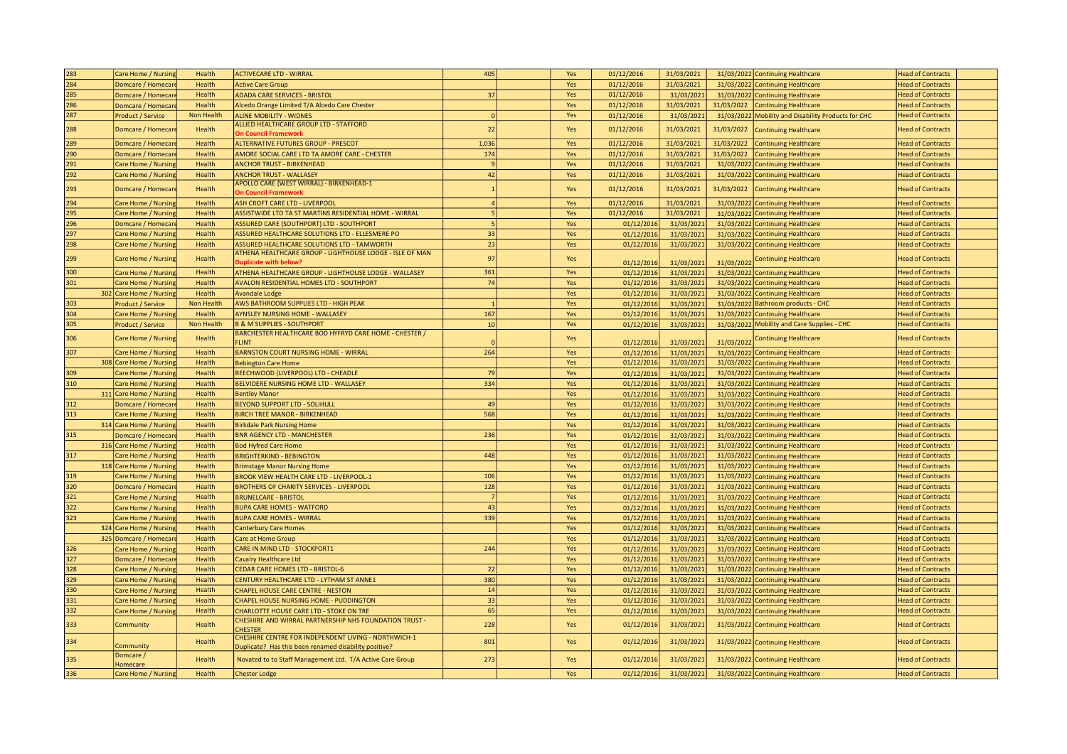| 284<br>01/12/2016<br>Domcare / Homecar<br>Health<br><b>Active Care Group</b><br>Yes<br>31/03/2021<br>31/03/2022 Continuing Healthcare<br><b>Head of Contracts</b><br>285<br>Health<br><b>ADADA CARE SERVICES - BRISTOL</b><br>37<br>01/12/2016<br><b>Head of Contracts</b><br>Yes<br>31/03/2021<br>31/03/2022 Continuing Healthcare<br>Domcare / Homecar<br>286<br>01/12/2016<br>31/03/2021<br>Health<br>Alcedo Orange Limited T/A Alcedo Care Chester<br>Yes<br>31/03/2022 Continuing Healthcare<br><b>Head of Contracts</b><br>Domcare / Homecar<br>287<br>Non Health<br>Yes<br>01/12/2016<br><b>Head of Contracts</b><br><b>ALINE MOBILITY - WIDNES</b><br>$\Omega$<br>31/03/2021<br>31/03/2022 Mobility and Disability Products for CHC<br>Product / Service<br>ALLIED HEALTHCARE GROUP LTD - STAFFORD<br>288<br>22<br>Yes<br>01/12/2016<br>31/03/2021<br>31/03/2022<br><b>Head of Contracts</b><br>Domcare / Homecar<br>Health<br><b>Continuing Healthcare</b><br><b>On Council Framework</b><br>01/12/2016<br>31/03/2021<br>289<br>Health<br><b>ALTERNATIVE FUTURES GROUP - PRESCOT</b><br>1,036<br>Yes<br>31/03/2022<br>Continuing Healthcare<br><b>Head of Contracts</b><br>Domcare / Homecar<br>290<br>AMORE SOCIAL CARE LTD TA AMORE CARE - CHESTER<br>174<br>Yes<br>01/12/2016<br>31/03/2021<br>31/03/2022<br>Domcare / Homecar<br>Health<br>Continuing Healthcare<br><b>Head of Contracts</b><br>291<br>Health<br>$\mathbf{q}$<br>Yes<br>01/12/2016<br>31/03/2021<br>31/03/2022 Continuing Healthcare<br><b>Head of Contracts</b><br>Care Home / Nursing<br><b>ANCHOR TRUST - BIRKENHEAD</b><br>292<br>01/12/2016<br>31/03/2021<br>Health<br>42<br>Yes<br><b>Head of Contracts</b><br><b>ANCHOR TRUST - WALLASEY</b><br>31/03/2022 Continuing Healthcare<br>Care Home / Nursing<br>APOLLO CARE (WEST WIRRAL) - BIRKENHEAD-1<br>293<br>01/12/2016<br>31/03/2021<br>Health<br>Yes<br>31/03/2022<br>Head of Contracts<br>Domcare / Homecar<br><b>Continuing Healthcare</b><br><b>On Council Framework</b><br>294<br>01/12/2016<br>31/03/2021<br>Health<br>ASH CROFT CARE LTD - LIVERPOOL<br>Yes<br>31/03/2022 Continuing Healthcare<br><b>Head of Contracts</b><br>Care Home / Nursing<br>295<br>01/12/2016<br>31/03/2021<br>Health<br>ASSISTWIDE LTD TA ST MARTINS RESIDENTIAL HOME - WIRRAL<br>Yes<br>31/03/2022 Continuing Healthcare<br>Care Home / Nursing<br><b>Head of Contracts</b><br>296<br>Domcare / Homecar<br>Health<br>Yes<br><b>Head of Contracts</b><br><b>ASSURED CARE (SOUTHPORT) LTD - SOUTHPORT</b><br>01/12/201<br>31/03/2021<br>31/03/2022 Continuing Healthcare<br>297<br>33<br>Health<br>ASSURED HEALTHCARE SOLUTIONS LTD - ELLESMERE PO<br>Yes<br>31/03/2021<br><b>Head of Contracts</b><br>Care Home / Nursin<br>01/12/201<br>31/03/2022<br><b>Continuing Healthcare</b><br>298<br>23<br>ASSURED HEALTHCARE SOLUTIONS LTD - TAMWORTH<br>Care Home / Nursing<br>Health<br>Yes<br>01/12/2016<br>31/03/2021<br>31/03/2022 Continuing Healthcare<br><b>Head of Contracts</b><br>ATHENA HEALTHCARE GROUP - LIGHTHOUSE LODGE - ISLE OF MAN<br>97<br>299<br>Care Home / Nursin<br>Health<br>Yes<br><b>Head of Contracts</b><br>Continuing Healthcare<br><b>Ouplicate with below?</b><br>01/12/2016<br>31/03/2021<br>31/03/2022<br>300<br>361<br>Health<br>Yes<br>01/12/2016<br>31/03/2022 Continuing Healthcare<br><b>Head of Contracts</b><br>ATHENA HEALTHCARE GROUP - LIGHTHOUSE LODGE - WALLASEY<br>31/03/2021<br>Care Home / Nursing<br>301<br>74<br>Health<br><b>AVALON RESIDENTIAL HOMES LTD - SOUTHPORT</b><br>01/12/2016<br>31/03/2021<br>31/03/2022 Continuing Healthcare<br>Care Home / Nursing<br>Yes<br><b>Head of Contracts</b><br>Health<br><b>Head of Contracts</b><br>302 Care Home / Nursing<br><b>Avandale Lodge</b><br>Yes<br>01/12/2016<br>31/03/2021<br>31/03/2022 Continuing Healthcare<br>303<br>AWS BATHROOM SUPPLIES LTD - HIGH PEAK<br>roduct / Service<br>Non Health<br>Yes<br>01/12/2016<br>31/03/2021<br>31/03/2022 Bathroom products - CHC<br><b>Head of Contracts</b><br>304<br>167<br>01/12/2016<br>31/03/2021<br>Care Home / Nursing<br>Health<br>AYNSLEY NURSING HOME - WALLASEY<br>Yes<br>31/03/2022 Continuing Healthcare<br><b>Head of Contracts</b><br>305<br>Product / Service<br>Non Health<br><b>B &amp; M SUPPLIES - SOUTHPORT</b><br>10<br>Yes<br>01/12/2016<br>31/03/2021<br>31/03/2022 Mobility and Care Supplies - CHC<br><b>Head of Contracts</b><br>BARCHESTER HEALTHCARE BOD HYFRYD CARE HOME - CHESTER /<br>306<br>Care Home / Nursing<br>Health<br>Yes<br><b>Head of Contracts</b><br><b>Continuing Healthcare</b><br>01/12/201<br>31/03/2022<br>FLINT<br>31/03/2021<br>307<br>264<br><b>BARNSTON COURT NURSING HOME - WIRRAL</b><br>Care Home / Nursing<br>Health<br>Yes<br>01/12/2016<br>31/03/2021<br>31/03/2022 Continuing Healthcare<br><b>Head of Contracts</b><br>Care Home / Nursing<br>Health<br>01/12/2016<br>31/03/2021<br>31/03/2022 Continuing Healthcare<br><b>Head of Contracts</b><br>308<br><b>Bebington Care Home</b><br>Yes<br>309<br>79<br>Yes<br>Care Home / Nursing<br>Health<br>BEECHWOOD (LIVERPOOL) LTD - CHEADLE<br>01/12/2016<br>31/03/2021<br>31/03/2022 Continuing Healthcare<br><b>Head of Contracts</b><br>310<br>334<br>Care Home / Nursing<br>Health<br>BELVIDERE NURSING HOME LTD - WALLASEY<br>Yes<br>01/12/2016<br>31/03/2021<br>31/03/2022 Continuing Healthcare<br><b>Head of Contracts</b><br><b>Head of Contracts</b><br>311 Care Home / Nursing<br>Health<br><b>Bentley Manor</b><br>Yes<br>01/12/2016<br>31/03/2021<br>31/03/2022 Continuing Healthcare<br>49<br>01/12/2016<br>312<br>Domcare / Homecar<br>Health<br><b>BEYOND SUPPORT LTD - SOLIHULL</b><br>Yes<br>31/03/2021<br>31/03/2022 Continuing Healthcare<br><b>Head of Contracts</b><br>313<br>568<br>Yes<br>Care Home / Nursing<br>Health<br><b>BIRCH TREE MANOR - BIRKENHEAD</b><br>01/12/2016<br>31/03/2021<br>31/03/2022 Continuing Healthcare<br><b>Head of Contracts</b><br>31/03/2021<br>314 Care Home / Nursing<br>Health<br><b>Birkdale Park Nursing Home</b><br>Yes<br>01/12/2016<br>31/03/2022 Continuing Healthcare<br><b>Head of Contracts</b><br>315<br>Health<br><b>BNR AGENCY LTD - MANCHESTER</b><br>236<br>01/12/2016<br><b>Head of Contracts</b><br>Yes<br>31/03/2021<br>31/03/2022 Continuing Healthcare<br>Domcare / Homecar<br>Health<br>Yes<br>01/12/2016<br>31/03/2021<br>31/03/2022 Continuing Healthcare<br><b>Head of Contracts</b><br>316 Care Home / Nursing<br><b>Bod Hyfred Care Home</b><br>317<br>Health<br>448<br>01/12/2016<br>31/03/2021<br><b>Head of Contracts</b><br>Care Home / Nursing<br><b>BRIGHTERKIND - BEBINGTON</b><br>Yes<br>31/03/2022 Continuing Healthcare<br>01/12/2016<br>31/03/2021<br>318 Care Home / Nursing<br>Health<br>Yes<br>31/03/2022 Continuing Healthcare<br><b>Head of Contracts</b><br><b>Brimstage Manor Nursing Home</b><br>319<br>106<br>01/12/2016<br>31/03/2021<br>31/03/2022 Continuing Healthcare<br>Care Home / Nursing<br>Health<br><b>BROOK VIEW HEALTH CARE LTD - LIVERPOOL-1</b><br><b>Head of Contracts</b><br>Yes<br>320<br>128<br>31/03/202<br><b>BROTHERS OF CHARITY SERVICES - LIVERPOOI</b><br>01/12/201<br>31/03/2022<br>Domcare / Homecar<br>Health<br>Yes<br><b>Continuing Healthcare</b><br><b>Head of Contracts</b><br>321<br>01/12/2016<br>31/03/2021<br><b>Head of Contracts</b><br>Care Home / Nursing<br>Health<br><b>BRUNELCARE - BRISTOL</b><br>Yes<br>31/03/2022 Continuing Healthcare<br>-7<br>322<br>43<br>Care Home / Nursing<br>Health<br><b>BUPA CARE HOMES - WATFORD</b><br>Yes<br>01/12/2016<br>31/03/2021<br>31/03/2022 Continuing Healthcare<br><b>Head of Contracts</b><br>323<br>339<br>Health<br><b>BUPA CARE HOMES - WIRRAL</b><br>Yes<br>01/12/2016<br>31/03/2021<br>31/03/2022 Continuing Healthcare<br><b>Head of Contracts</b><br>Care Home / Nursing<br>324 Care Home / Nursing<br>Health<br>Yes<br>01/12/2016<br>31/03/2021<br>31/03/2022 Continuing Healthcare<br><b>Head of Contracts</b><br><b>Canterbury Care Homes</b><br>325 Domcare / Homecar<br>01/12/2016<br>31/03/2021<br>Health<br>Care at Home Group<br>Yes<br>31/03/2022 Continuing Healthcare<br><b>Head of Contracts</b><br>326<br>Health<br>244<br>Yes<br>01/12/2016<br><b>Head of Contracts</b><br>Care Home / Nursing<br>CARE IN MIND LTD - STOCKPORT1<br>31/03/2021<br>31/03/2022 Continuing Healthcare<br>327<br>Health<br>Cavalry Healthcare Ltd<br>Yes<br>01/12/2016<br>31/03/2021<br>31/03/2022 Continuing Healthcare<br><b>Head of Contracts</b><br>Domcare / Homecar<br>328<br>Care Home / Nursing<br>Health<br>CEDAR CARE HOMES LTD - BRISTOL-6<br>22<br>Yes<br>01/12/2016<br>31/03/2021<br>31/03/2022 Continuing Healthcare<br><b>Head of Contracts</b><br>329<br>380<br>Health<br>CENTURY HEALTHCARE LTD - LYTHAM ST ANNE1<br>Yes<br>01/12/2016<br>31/03/2021<br>31/03/2022 Continuing Healthcare<br>Care Home / Nursing<br><b>Head of Contracts</b><br>330<br>Health<br><b>CHAPEL HOUSE CARE CENTRE - NESTON</b><br>14<br>Yes<br>01/12/2016<br>31/03/2021<br><b>Head of Contracts</b><br>Care Home / Nursing<br>31/03/2022 Continuing Healthcare<br>33<br>331<br>Health<br>CHAPEL HOUSE NURSING HOME - PUDDINGTON<br>01/12/2016<br>31/03/2021<br>31/03/2022 Continuing Healthcare<br>Care Home / Nursing<br>Yes<br><b>Head of Contracts</b><br>332<br>65<br>Health<br>CHARLOTTE HOUSE CARE LTD - STOKE ON TRE<br><b>Head of Contracts</b><br>Yes<br>01/12/2016<br>31/03/2021<br>31/03/2022 Continuing Healthcare<br>Care Home / Nursing<br>CHESHIRE AND WIRRAL PARTNERSHIP NHS FOUNDATION TRUST -<br>333<br>Health<br>228<br>01/12/2016<br>31/03/2021<br>Yes<br>31/03/2022 Continuing Healthcare<br><b>Head of Contracts</b><br>Community<br><b>CHESTER</b><br>CHESHIRE CENTRE FOR INDEPENDENT LIVING - NORTHWICH-1<br>801<br>334<br>Health<br>01/12/201<br>31/03/2021<br>31/03/2022 Continuing Healthcare<br><b>Head of Contracts</b><br>Yes<br><b>ommunity</b><br>Duplicate? Has this been renamed disability positive?<br>Domcare /<br>273<br>335<br>Health<br>Novated to to Staff Management Ltd. T/A Active Care Group<br>01/12/2016<br>31/03/2021<br><b>Head of Contracts</b><br>Yes<br>31/03/2022 Continuing Healthcare<br><b>Homecare</b><br>01/12/2016<br>31/03/2021<br>336<br>Care Home / Nursing<br>Health<br><b>Chester Lodge</b><br>Yes<br>31/03/2022 Continuing Healthcare<br><b>Head of Contracts</b> | 283 | Care Home / Nursing | Health | <b>ACTIVECARE LTD - WIRRAL</b> | 405 | Yes | 01/12/2016 | 31/03/2021 | 31/03/2022 Continuing Healthcare | <b>Head of Contracts</b> |
|----------------------------------------------------------------------------------------------------------------------------------------------------------------------------------------------------------------------------------------------------------------------------------------------------------------------------------------------------------------------------------------------------------------------------------------------------------------------------------------------------------------------------------------------------------------------------------------------------------------------------------------------------------------------------------------------------------------------------------------------------------------------------------------------------------------------------------------------------------------------------------------------------------------------------------------------------------------------------------------------------------------------------------------------------------------------------------------------------------------------------------------------------------------------------------------------------------------------------------------------------------------------------------------------------------------------------------------------------------------------------------------------------------------------------------------------------------------------------------------------------------------------------------------------------------------------------------------------------------------------------------------------------------------------------------------------------------------------------------------------------------------------------------------------------------------------------------------------------------------------------------------------------------------------------------------------------------------------------------------------------------------------------------------------------------------------------------------------------------------------------------------------------------------------------------------------------------------------------------------------------------------------------------------------------------------------------------------------------------------------------------------------------------------------------------------------------------------------------------------------------------------------------------------------------------------------------------------------------------------------------------------------------------------------------------------------------------------------------------------------------------------------------------------------------------------------------------------------------------------------------------------------------------------------------------------------------------------------------------------------------------------------------------------------------------------------------------------------------------------------------------------------------------------------------------------------------------------------------------------------------------------------------------------------------------------------------------------------------------------------------------------------------------------------------------------------------------------------------------------------------------------------------------------------------------------------------------------------------------------------------------------------------------------------------------------------------------------------------------------------------------------------------------------------------------------------------------------------------------------------------------------------------------------------------------------------------------------------------------------------------------------------------------------------------------------------------------------------------------------------------------------------------------------------------------------------------------------------------------------------------------------------------------------------------------------------------------------------------------------------------------------------------------------------------------------------------------------------------------------------------------------------------------------------------------------------------------------------------------------------------------------------------------------------------------------------------------------------------------------------------------------------------------------------------------------------------------------------------------------------------------------------------------------------------------------------------------------------------------------------------------------------------------------------------------------------------------------------------------------------------------------------------------------------------------------------------------------------------------------------------------------------------------------------------------------------------------------------------------------------------------------------------------------------------------------------------------------------------------------------------------------------------------------------------------------------------------------------------------------------------------------------------------------------------------------------------------------------------------------------------------------------------------------------------------------------------------------------------------------------------------------------------------------------------------------------------------------------------------------------------------------------------------------------------------------------------------------------------------------------------------------------------------------------------------------------------------------------------------------------------------------------------------------------------------------------------------------------------------------------------------------------------------------------------------------------------------------------------------------------------------------------------------------------------------------------------------------------------------------------------------------------------------------------------------------------------------------------------------------------------------------------------------------------------------------------------------------------------------------------------------------------------------------------------------------------------------------------------------------------------------------------------------------------------------------------------------------------------------------------------------------------------------------------------------------------------------------------------------------------------------------------------------------------------------------------------------------------------------------------------------------------------------------------------------------------------------------------------------------------------------------------------------------------------------------------------------------------------------------------------------------------------------------------------------------------------------------------------------------------------------------------------------------------------------------------------------------------------------------------------------------------------------------------------------------------------------------------------------------------------------------------------------------------------------------------------------------------------------------------------------------------------------------------------------------------------------------------------------------------------------------------------------------------------------------------------------------------------------------------------------------------------------------------------------------------------------------------------------------------------------------------------------------------------------------------------------------------------------------------------------------------------------------------------------------------------------------------------------------------------------------------------------------------------------------------------------------------------------------------------------------------------------------------------------------------------------------------------------------------------------------------------------------------------------------------------------------------------------------------------------------------------------------------------------------------------------------------------------------------------------------------------------------------------------------------------------------------------------------------------------------------------------------------------------------------------------------------------------------------------------------------------------------------------------------------------------------------------------------------------------------------------------------------------------------------------------------------------------------------------------------------------------------------------------------------------------------------------------------------------------------------------------------------------------------------------------------------------------------------------------------------------------------------------------------------------------------------------------------------------------------------------------------------------------------------------------------------------------------------------------------------------------------------------------------------------------------------------------------------------------------------------------|-----|---------------------|--------|--------------------------------|-----|-----|------------|------------|----------------------------------|--------------------------|
|                                                                                                                                                                                                                                                                                                                                                                                                                                                                                                                                                                                                                                                                                                                                                                                                                                                                                                                                                                                                                                                                                                                                                                                                                                                                                                                                                                                                                                                                                                                                                                                                                                                                                                                                                                                                                                                                                                                                                                                                                                                                                                                                                                                                                                                                                                                                                                                                                                                                                                                                                                                                                                                                                                                                                                                                                                                                                                                                                                                                                                                                                                                                                                                                                                                                                                                                                                                                                                                                                                                                                                                                                                                                                                                                                                                                                                                                                                                                                                                                                                                                                                                                                                                                                                                                                                                                                                                                                                                                                                                                                                                                                                                                                                                                                                                                                                                                                                                                                                                                                                                                                                                                                                                                                                                                                                                                                                                                                                                                                                                                                                                                                                                                                                                                                                                                                                                                                                                                                                                                                                                                                                                                                                                                                                                                                                                                                                                                                                                                                                                                                                                                                                                                                                                                                                                                                                                                                                                                                                                                                                                                                                                                                                                                                                                                                                                                                                                                                                                                                                                                                                                                                                                                                                                                                                                                                                                                                                                                                                                                                                                                                                                                                                                                                                                                                                                                                                                                                                                                                                                                                                                                                                                                                                                                                                                                                                                                                                                                                                                                                                                                                                                                                                                                                                                                                                                                                                                                                                                                                                                                                                                                                                                                                                                                                                                                                                                                                                                                                                                                                                                                                                                                                                                                                                                                                                                                                                                                          |     |                     |        |                                |     |     |            |            |                                  |                          |
|                                                                                                                                                                                                                                                                                                                                                                                                                                                                                                                                                                                                                                                                                                                                                                                                                                                                                                                                                                                                                                                                                                                                                                                                                                                                                                                                                                                                                                                                                                                                                                                                                                                                                                                                                                                                                                                                                                                                                                                                                                                                                                                                                                                                                                                                                                                                                                                                                                                                                                                                                                                                                                                                                                                                                                                                                                                                                                                                                                                                                                                                                                                                                                                                                                                                                                                                                                                                                                                                                                                                                                                                                                                                                                                                                                                                                                                                                                                                                                                                                                                                                                                                                                                                                                                                                                                                                                                                                                                                                                                                                                                                                                                                                                                                                                                                                                                                                                                                                                                                                                                                                                                                                                                                                                                                                                                                                                                                                                                                                                                                                                                                                                                                                                                                                                                                                                                                                                                                                                                                                                                                                                                                                                                                                                                                                                                                                                                                                                                                                                                                                                                                                                                                                                                                                                                                                                                                                                                                                                                                                                                                                                                                                                                                                                                                                                                                                                                                                                                                                                                                                                                                                                                                                                                                                                                                                                                                                                                                                                                                                                                                                                                                                                                                                                                                                                                                                                                                                                                                                                                                                                                                                                                                                                                                                                                                                                                                                                                                                                                                                                                                                                                                                                                                                                                                                                                                                                                                                                                                                                                                                                                                                                                                                                                                                                                                                                                                                                                                                                                                                                                                                                                                                                                                                                                                                                                                                                                                          |     |                     |        |                                |     |     |            |            |                                  |                          |
|                                                                                                                                                                                                                                                                                                                                                                                                                                                                                                                                                                                                                                                                                                                                                                                                                                                                                                                                                                                                                                                                                                                                                                                                                                                                                                                                                                                                                                                                                                                                                                                                                                                                                                                                                                                                                                                                                                                                                                                                                                                                                                                                                                                                                                                                                                                                                                                                                                                                                                                                                                                                                                                                                                                                                                                                                                                                                                                                                                                                                                                                                                                                                                                                                                                                                                                                                                                                                                                                                                                                                                                                                                                                                                                                                                                                                                                                                                                                                                                                                                                                                                                                                                                                                                                                                                                                                                                                                                                                                                                                                                                                                                                                                                                                                                                                                                                                                                                                                                                                                                                                                                                                                                                                                                                                                                                                                                                                                                                                                                                                                                                                                                                                                                                                                                                                                                                                                                                                                                                                                                                                                                                                                                                                                                                                                                                                                                                                                                                                                                                                                                                                                                                                                                                                                                                                                                                                                                                                                                                                                                                                                                                                                                                                                                                                                                                                                                                                                                                                                                                                                                                                                                                                                                                                                                                                                                                                                                                                                                                                                                                                                                                                                                                                                                                                                                                                                                                                                                                                                                                                                                                                                                                                                                                                                                                                                                                                                                                                                                                                                                                                                                                                                                                                                                                                                                                                                                                                                                                                                                                                                                                                                                                                                                                                                                                                                                                                                                                                                                                                                                                                                                                                                                                                                                                                                                                                                                                                          |     |                     |        |                                |     |     |            |            |                                  |                          |
|                                                                                                                                                                                                                                                                                                                                                                                                                                                                                                                                                                                                                                                                                                                                                                                                                                                                                                                                                                                                                                                                                                                                                                                                                                                                                                                                                                                                                                                                                                                                                                                                                                                                                                                                                                                                                                                                                                                                                                                                                                                                                                                                                                                                                                                                                                                                                                                                                                                                                                                                                                                                                                                                                                                                                                                                                                                                                                                                                                                                                                                                                                                                                                                                                                                                                                                                                                                                                                                                                                                                                                                                                                                                                                                                                                                                                                                                                                                                                                                                                                                                                                                                                                                                                                                                                                                                                                                                                                                                                                                                                                                                                                                                                                                                                                                                                                                                                                                                                                                                                                                                                                                                                                                                                                                                                                                                                                                                                                                                                                                                                                                                                                                                                                                                                                                                                                                                                                                                                                                                                                                                                                                                                                                                                                                                                                                                                                                                                                                                                                                                                                                                                                                                                                                                                                                                                                                                                                                                                                                                                                                                                                                                                                                                                                                                                                                                                                                                                                                                                                                                                                                                                                                                                                                                                                                                                                                                                                                                                                                                                                                                                                                                                                                                                                                                                                                                                                                                                                                                                                                                                                                                                                                                                                                                                                                                                                                                                                                                                                                                                                                                                                                                                                                                                                                                                                                                                                                                                                                                                                                                                                                                                                                                                                                                                                                                                                                                                                                                                                                                                                                                                                                                                                                                                                                                                                                                                                                                          |     |                     |        |                                |     |     |            |            |                                  |                          |
|                                                                                                                                                                                                                                                                                                                                                                                                                                                                                                                                                                                                                                                                                                                                                                                                                                                                                                                                                                                                                                                                                                                                                                                                                                                                                                                                                                                                                                                                                                                                                                                                                                                                                                                                                                                                                                                                                                                                                                                                                                                                                                                                                                                                                                                                                                                                                                                                                                                                                                                                                                                                                                                                                                                                                                                                                                                                                                                                                                                                                                                                                                                                                                                                                                                                                                                                                                                                                                                                                                                                                                                                                                                                                                                                                                                                                                                                                                                                                                                                                                                                                                                                                                                                                                                                                                                                                                                                                                                                                                                                                                                                                                                                                                                                                                                                                                                                                                                                                                                                                                                                                                                                                                                                                                                                                                                                                                                                                                                                                                                                                                                                                                                                                                                                                                                                                                                                                                                                                                                                                                                                                                                                                                                                                                                                                                                                                                                                                                                                                                                                                                                                                                                                                                                                                                                                                                                                                                                                                                                                                                                                                                                                                                                                                                                                                                                                                                                                                                                                                                                                                                                                                                                                                                                                                                                                                                                                                                                                                                                                                                                                                                                                                                                                                                                                                                                                                                                                                                                                                                                                                                                                                                                                                                                                                                                                                                                                                                                                                                                                                                                                                                                                                                                                                                                                                                                                                                                                                                                                                                                                                                                                                                                                                                                                                                                                                                                                                                                                                                                                                                                                                                                                                                                                                                                                                                                                                                                                          |     |                     |        |                                |     |     |            |            |                                  |                          |
|                                                                                                                                                                                                                                                                                                                                                                                                                                                                                                                                                                                                                                                                                                                                                                                                                                                                                                                                                                                                                                                                                                                                                                                                                                                                                                                                                                                                                                                                                                                                                                                                                                                                                                                                                                                                                                                                                                                                                                                                                                                                                                                                                                                                                                                                                                                                                                                                                                                                                                                                                                                                                                                                                                                                                                                                                                                                                                                                                                                                                                                                                                                                                                                                                                                                                                                                                                                                                                                                                                                                                                                                                                                                                                                                                                                                                                                                                                                                                                                                                                                                                                                                                                                                                                                                                                                                                                                                                                                                                                                                                                                                                                                                                                                                                                                                                                                                                                                                                                                                                                                                                                                                                                                                                                                                                                                                                                                                                                                                                                                                                                                                                                                                                                                                                                                                                                                                                                                                                                                                                                                                                                                                                                                                                                                                                                                                                                                                                                                                                                                                                                                                                                                                                                                                                                                                                                                                                                                                                                                                                                                                                                                                                                                                                                                                                                                                                                                                                                                                                                                                                                                                                                                                                                                                                                                                                                                                                                                                                                                                                                                                                                                                                                                                                                                                                                                                                                                                                                                                                                                                                                                                                                                                                                                                                                                                                                                                                                                                                                                                                                                                                                                                                                                                                                                                                                                                                                                                                                                                                                                                                                                                                                                                                                                                                                                                                                                                                                                                                                                                                                                                                                                                                                                                                                                                                                                                                                                                          |     |                     |        |                                |     |     |            |            |                                  |                          |
|                                                                                                                                                                                                                                                                                                                                                                                                                                                                                                                                                                                                                                                                                                                                                                                                                                                                                                                                                                                                                                                                                                                                                                                                                                                                                                                                                                                                                                                                                                                                                                                                                                                                                                                                                                                                                                                                                                                                                                                                                                                                                                                                                                                                                                                                                                                                                                                                                                                                                                                                                                                                                                                                                                                                                                                                                                                                                                                                                                                                                                                                                                                                                                                                                                                                                                                                                                                                                                                                                                                                                                                                                                                                                                                                                                                                                                                                                                                                                                                                                                                                                                                                                                                                                                                                                                                                                                                                                                                                                                                                                                                                                                                                                                                                                                                                                                                                                                                                                                                                                                                                                                                                                                                                                                                                                                                                                                                                                                                                                                                                                                                                                                                                                                                                                                                                                                                                                                                                                                                                                                                                                                                                                                                                                                                                                                                                                                                                                                                                                                                                                                                                                                                                                                                                                                                                                                                                                                                                                                                                                                                                                                                                                                                                                                                                                                                                                                                                                                                                                                                                                                                                                                                                                                                                                                                                                                                                                                                                                                                                                                                                                                                                                                                                                                                                                                                                                                                                                                                                                                                                                                                                                                                                                                                                                                                                                                                                                                                                                                                                                                                                                                                                                                                                                                                                                                                                                                                                                                                                                                                                                                                                                                                                                                                                                                                                                                                                                                                                                                                                                                                                                                                                                                                                                                                                                                                                                                                                          |     |                     |        |                                |     |     |            |            |                                  |                          |
|                                                                                                                                                                                                                                                                                                                                                                                                                                                                                                                                                                                                                                                                                                                                                                                                                                                                                                                                                                                                                                                                                                                                                                                                                                                                                                                                                                                                                                                                                                                                                                                                                                                                                                                                                                                                                                                                                                                                                                                                                                                                                                                                                                                                                                                                                                                                                                                                                                                                                                                                                                                                                                                                                                                                                                                                                                                                                                                                                                                                                                                                                                                                                                                                                                                                                                                                                                                                                                                                                                                                                                                                                                                                                                                                                                                                                                                                                                                                                                                                                                                                                                                                                                                                                                                                                                                                                                                                                                                                                                                                                                                                                                                                                                                                                                                                                                                                                                                                                                                                                                                                                                                                                                                                                                                                                                                                                                                                                                                                                                                                                                                                                                                                                                                                                                                                                                                                                                                                                                                                                                                                                                                                                                                                                                                                                                                                                                                                                                                                                                                                                                                                                                                                                                                                                                                                                                                                                                                                                                                                                                                                                                                                                                                                                                                                                                                                                                                                                                                                                                                                                                                                                                                                                                                                                                                                                                                                                                                                                                                                                                                                                                                                                                                                                                                                                                                                                                                                                                                                                                                                                                                                                                                                                                                                                                                                                                                                                                                                                                                                                                                                                                                                                                                                                                                                                                                                                                                                                                                                                                                                                                                                                                                                                                                                                                                                                                                                                                                                                                                                                                                                                                                                                                                                                                                                                                                                                                                                          |     |                     |        |                                |     |     |            |            |                                  |                          |
|                                                                                                                                                                                                                                                                                                                                                                                                                                                                                                                                                                                                                                                                                                                                                                                                                                                                                                                                                                                                                                                                                                                                                                                                                                                                                                                                                                                                                                                                                                                                                                                                                                                                                                                                                                                                                                                                                                                                                                                                                                                                                                                                                                                                                                                                                                                                                                                                                                                                                                                                                                                                                                                                                                                                                                                                                                                                                                                                                                                                                                                                                                                                                                                                                                                                                                                                                                                                                                                                                                                                                                                                                                                                                                                                                                                                                                                                                                                                                                                                                                                                                                                                                                                                                                                                                                                                                                                                                                                                                                                                                                                                                                                                                                                                                                                                                                                                                                                                                                                                                                                                                                                                                                                                                                                                                                                                                                                                                                                                                                                                                                                                                                                                                                                                                                                                                                                                                                                                                                                                                                                                                                                                                                                                                                                                                                                                                                                                                                                                                                                                                                                                                                                                                                                                                                                                                                                                                                                                                                                                                                                                                                                                                                                                                                                                                                                                                                                                                                                                                                                                                                                                                                                                                                                                                                                                                                                                                                                                                                                                                                                                                                                                                                                                                                                                                                                                                                                                                                                                                                                                                                                                                                                                                                                                                                                                                                                                                                                                                                                                                                                                                                                                                                                                                                                                                                                                                                                                                                                                                                                                                                                                                                                                                                                                                                                                                                                                                                                                                                                                                                                                                                                                                                                                                                                                                                                                                                                                          |     |                     |        |                                |     |     |            |            |                                  |                          |
|                                                                                                                                                                                                                                                                                                                                                                                                                                                                                                                                                                                                                                                                                                                                                                                                                                                                                                                                                                                                                                                                                                                                                                                                                                                                                                                                                                                                                                                                                                                                                                                                                                                                                                                                                                                                                                                                                                                                                                                                                                                                                                                                                                                                                                                                                                                                                                                                                                                                                                                                                                                                                                                                                                                                                                                                                                                                                                                                                                                                                                                                                                                                                                                                                                                                                                                                                                                                                                                                                                                                                                                                                                                                                                                                                                                                                                                                                                                                                                                                                                                                                                                                                                                                                                                                                                                                                                                                                                                                                                                                                                                                                                                                                                                                                                                                                                                                                                                                                                                                                                                                                                                                                                                                                                                                                                                                                                                                                                                                                                                                                                                                                                                                                                                                                                                                                                                                                                                                                                                                                                                                                                                                                                                                                                                                                                                                                                                                                                                                                                                                                                                                                                                                                                                                                                                                                                                                                                                                                                                                                                                                                                                                                                                                                                                                                                                                                                                                                                                                                                                                                                                                                                                                                                                                                                                                                                                                                                                                                                                                                                                                                                                                                                                                                                                                                                                                                                                                                                                                                                                                                                                                                                                                                                                                                                                                                                                                                                                                                                                                                                                                                                                                                                                                                                                                                                                                                                                                                                                                                                                                                                                                                                                                                                                                                                                                                                                                                                                                                                                                                                                                                                                                                                                                                                                                                                                                                                                                          |     |                     |        |                                |     |     |            |            |                                  |                          |
|                                                                                                                                                                                                                                                                                                                                                                                                                                                                                                                                                                                                                                                                                                                                                                                                                                                                                                                                                                                                                                                                                                                                                                                                                                                                                                                                                                                                                                                                                                                                                                                                                                                                                                                                                                                                                                                                                                                                                                                                                                                                                                                                                                                                                                                                                                                                                                                                                                                                                                                                                                                                                                                                                                                                                                                                                                                                                                                                                                                                                                                                                                                                                                                                                                                                                                                                                                                                                                                                                                                                                                                                                                                                                                                                                                                                                                                                                                                                                                                                                                                                                                                                                                                                                                                                                                                                                                                                                                                                                                                                                                                                                                                                                                                                                                                                                                                                                                                                                                                                                                                                                                                                                                                                                                                                                                                                                                                                                                                                                                                                                                                                                                                                                                                                                                                                                                                                                                                                                                                                                                                                                                                                                                                                                                                                                                                                                                                                                                                                                                                                                                                                                                                                                                                                                                                                                                                                                                                                                                                                                                                                                                                                                                                                                                                                                                                                                                                                                                                                                                                                                                                                                                                                                                                                                                                                                                                                                                                                                                                                                                                                                                                                                                                                                                                                                                                                                                                                                                                                                                                                                                                                                                                                                                                                                                                                                                                                                                                                                                                                                                                                                                                                                                                                                                                                                                                                                                                                                                                                                                                                                                                                                                                                                                                                                                                                                                                                                                                                                                                                                                                                                                                                                                                                                                                                                                                                                                                                          |     |                     |        |                                |     |     |            |            |                                  |                          |
|                                                                                                                                                                                                                                                                                                                                                                                                                                                                                                                                                                                                                                                                                                                                                                                                                                                                                                                                                                                                                                                                                                                                                                                                                                                                                                                                                                                                                                                                                                                                                                                                                                                                                                                                                                                                                                                                                                                                                                                                                                                                                                                                                                                                                                                                                                                                                                                                                                                                                                                                                                                                                                                                                                                                                                                                                                                                                                                                                                                                                                                                                                                                                                                                                                                                                                                                                                                                                                                                                                                                                                                                                                                                                                                                                                                                                                                                                                                                                                                                                                                                                                                                                                                                                                                                                                                                                                                                                                                                                                                                                                                                                                                                                                                                                                                                                                                                                                                                                                                                                                                                                                                                                                                                                                                                                                                                                                                                                                                                                                                                                                                                                                                                                                                                                                                                                                                                                                                                                                                                                                                                                                                                                                                                                                                                                                                                                                                                                                                                                                                                                                                                                                                                                                                                                                                                                                                                                                                                                                                                                                                                                                                                                                                                                                                                                                                                                                                                                                                                                                                                                                                                                                                                                                                                                                                                                                                                                                                                                                                                                                                                                                                                                                                                                                                                                                                                                                                                                                                                                                                                                                                                                                                                                                                                                                                                                                                                                                                                                                                                                                                                                                                                                                                                                                                                                                                                                                                                                                                                                                                                                                                                                                                                                                                                                                                                                                                                                                                                                                                                                                                                                                                                                                                                                                                                                                                                                                                                          |     |                     |        |                                |     |     |            |            |                                  |                          |
|                                                                                                                                                                                                                                                                                                                                                                                                                                                                                                                                                                                                                                                                                                                                                                                                                                                                                                                                                                                                                                                                                                                                                                                                                                                                                                                                                                                                                                                                                                                                                                                                                                                                                                                                                                                                                                                                                                                                                                                                                                                                                                                                                                                                                                                                                                                                                                                                                                                                                                                                                                                                                                                                                                                                                                                                                                                                                                                                                                                                                                                                                                                                                                                                                                                                                                                                                                                                                                                                                                                                                                                                                                                                                                                                                                                                                                                                                                                                                                                                                                                                                                                                                                                                                                                                                                                                                                                                                                                                                                                                                                                                                                                                                                                                                                                                                                                                                                                                                                                                                                                                                                                                                                                                                                                                                                                                                                                                                                                                                                                                                                                                                                                                                                                                                                                                                                                                                                                                                                                                                                                                                                                                                                                                                                                                                                                                                                                                                                                                                                                                                                                                                                                                                                                                                                                                                                                                                                                                                                                                                                                                                                                                                                                                                                                                                                                                                                                                                                                                                                                                                                                                                                                                                                                                                                                                                                                                                                                                                                                                                                                                                                                                                                                                                                                                                                                                                                                                                                                                                                                                                                                                                                                                                                                                                                                                                                                                                                                                                                                                                                                                                                                                                                                                                                                                                                                                                                                                                                                                                                                                                                                                                                                                                                                                                                                                                                                                                                                                                                                                                                                                                                                                                                                                                                                                                                                                                                                                          |     |                     |        |                                |     |     |            |            |                                  |                          |
|                                                                                                                                                                                                                                                                                                                                                                                                                                                                                                                                                                                                                                                                                                                                                                                                                                                                                                                                                                                                                                                                                                                                                                                                                                                                                                                                                                                                                                                                                                                                                                                                                                                                                                                                                                                                                                                                                                                                                                                                                                                                                                                                                                                                                                                                                                                                                                                                                                                                                                                                                                                                                                                                                                                                                                                                                                                                                                                                                                                                                                                                                                                                                                                                                                                                                                                                                                                                                                                                                                                                                                                                                                                                                                                                                                                                                                                                                                                                                                                                                                                                                                                                                                                                                                                                                                                                                                                                                                                                                                                                                                                                                                                                                                                                                                                                                                                                                                                                                                                                                                                                                                                                                                                                                                                                                                                                                                                                                                                                                                                                                                                                                                                                                                                                                                                                                                                                                                                                                                                                                                                                                                                                                                                                                                                                                                                                                                                                                                                                                                                                                                                                                                                                                                                                                                                                                                                                                                                                                                                                                                                                                                                                                                                                                                                                                                                                                                                                                                                                                                                                                                                                                                                                                                                                                                                                                                                                                                                                                                                                                                                                                                                                                                                                                                                                                                                                                                                                                                                                                                                                                                                                                                                                                                                                                                                                                                                                                                                                                                                                                                                                                                                                                                                                                                                                                                                                                                                                                                                                                                                                                                                                                                                                                                                                                                                                                                                                                                                                                                                                                                                                                                                                                                                                                                                                                                                                                                                                          |     |                     |        |                                |     |     |            |            |                                  |                          |
|                                                                                                                                                                                                                                                                                                                                                                                                                                                                                                                                                                                                                                                                                                                                                                                                                                                                                                                                                                                                                                                                                                                                                                                                                                                                                                                                                                                                                                                                                                                                                                                                                                                                                                                                                                                                                                                                                                                                                                                                                                                                                                                                                                                                                                                                                                                                                                                                                                                                                                                                                                                                                                                                                                                                                                                                                                                                                                                                                                                                                                                                                                                                                                                                                                                                                                                                                                                                                                                                                                                                                                                                                                                                                                                                                                                                                                                                                                                                                                                                                                                                                                                                                                                                                                                                                                                                                                                                                                                                                                                                                                                                                                                                                                                                                                                                                                                                                                                                                                                                                                                                                                                                                                                                                                                                                                                                                                                                                                                                                                                                                                                                                                                                                                                                                                                                                                                                                                                                                                                                                                                                                                                                                                                                                                                                                                                                                                                                                                                                                                                                                                                                                                                                                                                                                                                                                                                                                                                                                                                                                                                                                                                                                                                                                                                                                                                                                                                                                                                                                                                                                                                                                                                                                                                                                                                                                                                                                                                                                                                                                                                                                                                                                                                                                                                                                                                                                                                                                                                                                                                                                                                                                                                                                                                                                                                                                                                                                                                                                                                                                                                                                                                                                                                                                                                                                                                                                                                                                                                                                                                                                                                                                                                                                                                                                                                                                                                                                                                                                                                                                                                                                                                                                                                                                                                                                                                                                                                                          |     |                     |        |                                |     |     |            |            |                                  |                          |
|                                                                                                                                                                                                                                                                                                                                                                                                                                                                                                                                                                                                                                                                                                                                                                                                                                                                                                                                                                                                                                                                                                                                                                                                                                                                                                                                                                                                                                                                                                                                                                                                                                                                                                                                                                                                                                                                                                                                                                                                                                                                                                                                                                                                                                                                                                                                                                                                                                                                                                                                                                                                                                                                                                                                                                                                                                                                                                                                                                                                                                                                                                                                                                                                                                                                                                                                                                                                                                                                                                                                                                                                                                                                                                                                                                                                                                                                                                                                                                                                                                                                                                                                                                                                                                                                                                                                                                                                                                                                                                                                                                                                                                                                                                                                                                                                                                                                                                                                                                                                                                                                                                                                                                                                                                                                                                                                                                                                                                                                                                                                                                                                                                                                                                                                                                                                                                                                                                                                                                                                                                                                                                                                                                                                                                                                                                                                                                                                                                                                                                                                                                                                                                                                                                                                                                                                                                                                                                                                                                                                                                                                                                                                                                                                                                                                                                                                                                                                                                                                                                                                                                                                                                                                                                                                                                                                                                                                                                                                                                                                                                                                                                                                                                                                                                                                                                                                                                                                                                                                                                                                                                                                                                                                                                                                                                                                                                                                                                                                                                                                                                                                                                                                                                                                                                                                                                                                                                                                                                                                                                                                                                                                                                                                                                                                                                                                                                                                                                                                                                                                                                                                                                                                                                                                                                                                                                                                                                                                          |     |                     |        |                                |     |     |            |            |                                  |                          |
|                                                                                                                                                                                                                                                                                                                                                                                                                                                                                                                                                                                                                                                                                                                                                                                                                                                                                                                                                                                                                                                                                                                                                                                                                                                                                                                                                                                                                                                                                                                                                                                                                                                                                                                                                                                                                                                                                                                                                                                                                                                                                                                                                                                                                                                                                                                                                                                                                                                                                                                                                                                                                                                                                                                                                                                                                                                                                                                                                                                                                                                                                                                                                                                                                                                                                                                                                                                                                                                                                                                                                                                                                                                                                                                                                                                                                                                                                                                                                                                                                                                                                                                                                                                                                                                                                                                                                                                                                                                                                                                                                                                                                                                                                                                                                                                                                                                                                                                                                                                                                                                                                                                                                                                                                                                                                                                                                                                                                                                                                                                                                                                                                                                                                                                                                                                                                                                                                                                                                                                                                                                                                                                                                                                                                                                                                                                                                                                                                                                                                                                                                                                                                                                                                                                                                                                                                                                                                                                                                                                                                                                                                                                                                                                                                                                                                                                                                                                                                                                                                                                                                                                                                                                                                                                                                                                                                                                                                                                                                                                                                                                                                                                                                                                                                                                                                                                                                                                                                                                                                                                                                                                                                                                                                                                                                                                                                                                                                                                                                                                                                                                                                                                                                                                                                                                                                                                                                                                                                                                                                                                                                                                                                                                                                                                                                                                                                                                                                                                                                                                                                                                                                                                                                                                                                                                                                                                                                                                                          |     |                     |        |                                |     |     |            |            |                                  |                          |
|                                                                                                                                                                                                                                                                                                                                                                                                                                                                                                                                                                                                                                                                                                                                                                                                                                                                                                                                                                                                                                                                                                                                                                                                                                                                                                                                                                                                                                                                                                                                                                                                                                                                                                                                                                                                                                                                                                                                                                                                                                                                                                                                                                                                                                                                                                                                                                                                                                                                                                                                                                                                                                                                                                                                                                                                                                                                                                                                                                                                                                                                                                                                                                                                                                                                                                                                                                                                                                                                                                                                                                                                                                                                                                                                                                                                                                                                                                                                                                                                                                                                                                                                                                                                                                                                                                                                                                                                                                                                                                                                                                                                                                                                                                                                                                                                                                                                                                                                                                                                                                                                                                                                                                                                                                                                                                                                                                                                                                                                                                                                                                                                                                                                                                                                                                                                                                                                                                                                                                                                                                                                                                                                                                                                                                                                                                                                                                                                                                                                                                                                                                                                                                                                                                                                                                                                                                                                                                                                                                                                                                                                                                                                                                                                                                                                                                                                                                                                                                                                                                                                                                                                                                                                                                                                                                                                                                                                                                                                                                                                                                                                                                                                                                                                                                                                                                                                                                                                                                                                                                                                                                                                                                                                                                                                                                                                                                                                                                                                                                                                                                                                                                                                                                                                                                                                                                                                                                                                                                                                                                                                                                                                                                                                                                                                                                                                                                                                                                                                                                                                                                                                                                                                                                                                                                                                                                                                                                                                          |     |                     |        |                                |     |     |            |            |                                  |                          |
|                                                                                                                                                                                                                                                                                                                                                                                                                                                                                                                                                                                                                                                                                                                                                                                                                                                                                                                                                                                                                                                                                                                                                                                                                                                                                                                                                                                                                                                                                                                                                                                                                                                                                                                                                                                                                                                                                                                                                                                                                                                                                                                                                                                                                                                                                                                                                                                                                                                                                                                                                                                                                                                                                                                                                                                                                                                                                                                                                                                                                                                                                                                                                                                                                                                                                                                                                                                                                                                                                                                                                                                                                                                                                                                                                                                                                                                                                                                                                                                                                                                                                                                                                                                                                                                                                                                                                                                                                                                                                                                                                                                                                                                                                                                                                                                                                                                                                                                                                                                                                                                                                                                                                                                                                                                                                                                                                                                                                                                                                                                                                                                                                                                                                                                                                                                                                                                                                                                                                                                                                                                                                                                                                                                                                                                                                                                                                                                                                                                                                                                                                                                                                                                                                                                                                                                                                                                                                                                                                                                                                                                                                                                                                                                                                                                                                                                                                                                                                                                                                                                                                                                                                                                                                                                                                                                                                                                                                                                                                                                                                                                                                                                                                                                                                                                                                                                                                                                                                                                                                                                                                                                                                                                                                                                                                                                                                                                                                                                                                                                                                                                                                                                                                                                                                                                                                                                                                                                                                                                                                                                                                                                                                                                                                                                                                                                                                                                                                                                                                                                                                                                                                                                                                                                                                                                                                                                                                                                                          |     |                     |        |                                |     |     |            |            |                                  |                          |
|                                                                                                                                                                                                                                                                                                                                                                                                                                                                                                                                                                                                                                                                                                                                                                                                                                                                                                                                                                                                                                                                                                                                                                                                                                                                                                                                                                                                                                                                                                                                                                                                                                                                                                                                                                                                                                                                                                                                                                                                                                                                                                                                                                                                                                                                                                                                                                                                                                                                                                                                                                                                                                                                                                                                                                                                                                                                                                                                                                                                                                                                                                                                                                                                                                                                                                                                                                                                                                                                                                                                                                                                                                                                                                                                                                                                                                                                                                                                                                                                                                                                                                                                                                                                                                                                                                                                                                                                                                                                                                                                                                                                                                                                                                                                                                                                                                                                                                                                                                                                                                                                                                                                                                                                                                                                                                                                                                                                                                                                                                                                                                                                                                                                                                                                                                                                                                                                                                                                                                                                                                                                                                                                                                                                                                                                                                                                                                                                                                                                                                                                                                                                                                                                                                                                                                                                                                                                                                                                                                                                                                                                                                                                                                                                                                                                                                                                                                                                                                                                                                                                                                                                                                                                                                                                                                                                                                                                                                                                                                                                                                                                                                                                                                                                                                                                                                                                                                                                                                                                                                                                                                                                                                                                                                                                                                                                                                                                                                                                                                                                                                                                                                                                                                                                                                                                                                                                                                                                                                                                                                                                                                                                                                                                                                                                                                                                                                                                                                                                                                                                                                                                                                                                                                                                                                                                                                                                                                                                          |     |                     |        |                                |     |     |            |            |                                  |                          |
|                                                                                                                                                                                                                                                                                                                                                                                                                                                                                                                                                                                                                                                                                                                                                                                                                                                                                                                                                                                                                                                                                                                                                                                                                                                                                                                                                                                                                                                                                                                                                                                                                                                                                                                                                                                                                                                                                                                                                                                                                                                                                                                                                                                                                                                                                                                                                                                                                                                                                                                                                                                                                                                                                                                                                                                                                                                                                                                                                                                                                                                                                                                                                                                                                                                                                                                                                                                                                                                                                                                                                                                                                                                                                                                                                                                                                                                                                                                                                                                                                                                                                                                                                                                                                                                                                                                                                                                                                                                                                                                                                                                                                                                                                                                                                                                                                                                                                                                                                                                                                                                                                                                                                                                                                                                                                                                                                                                                                                                                                                                                                                                                                                                                                                                                                                                                                                                                                                                                                                                                                                                                                                                                                                                                                                                                                                                                                                                                                                                                                                                                                                                                                                                                                                                                                                                                                                                                                                                                                                                                                                                                                                                                                                                                                                                                                                                                                                                                                                                                                                                                                                                                                                                                                                                                                                                                                                                                                                                                                                                                                                                                                                                                                                                                                                                                                                                                                                                                                                                                                                                                                                                                                                                                                                                                                                                                                                                                                                                                                                                                                                                                                                                                                                                                                                                                                                                                                                                                                                                                                                                                                                                                                                                                                                                                                                                                                                                                                                                                                                                                                                                                                                                                                                                                                                                                                                                                                                                                          |     |                     |        |                                |     |     |            |            |                                  |                          |
|                                                                                                                                                                                                                                                                                                                                                                                                                                                                                                                                                                                                                                                                                                                                                                                                                                                                                                                                                                                                                                                                                                                                                                                                                                                                                                                                                                                                                                                                                                                                                                                                                                                                                                                                                                                                                                                                                                                                                                                                                                                                                                                                                                                                                                                                                                                                                                                                                                                                                                                                                                                                                                                                                                                                                                                                                                                                                                                                                                                                                                                                                                                                                                                                                                                                                                                                                                                                                                                                                                                                                                                                                                                                                                                                                                                                                                                                                                                                                                                                                                                                                                                                                                                                                                                                                                                                                                                                                                                                                                                                                                                                                                                                                                                                                                                                                                                                                                                                                                                                                                                                                                                                                                                                                                                                                                                                                                                                                                                                                                                                                                                                                                                                                                                                                                                                                                                                                                                                                                                                                                                                                                                                                                                                                                                                                                                                                                                                                                                                                                                                                                                                                                                                                                                                                                                                                                                                                                                                                                                                                                                                                                                                                                                                                                                                                                                                                                                                                                                                                                                                                                                                                                                                                                                                                                                                                                                                                                                                                                                                                                                                                                                                                                                                                                                                                                                                                                                                                                                                                                                                                                                                                                                                                                                                                                                                                                                                                                                                                                                                                                                                                                                                                                                                                                                                                                                                                                                                                                                                                                                                                                                                                                                                                                                                                                                                                                                                                                                                                                                                                                                                                                                                                                                                                                                                                                                                                                                                          |     |                     |        |                                |     |     |            |            |                                  |                          |
|                                                                                                                                                                                                                                                                                                                                                                                                                                                                                                                                                                                                                                                                                                                                                                                                                                                                                                                                                                                                                                                                                                                                                                                                                                                                                                                                                                                                                                                                                                                                                                                                                                                                                                                                                                                                                                                                                                                                                                                                                                                                                                                                                                                                                                                                                                                                                                                                                                                                                                                                                                                                                                                                                                                                                                                                                                                                                                                                                                                                                                                                                                                                                                                                                                                                                                                                                                                                                                                                                                                                                                                                                                                                                                                                                                                                                                                                                                                                                                                                                                                                                                                                                                                                                                                                                                                                                                                                                                                                                                                                                                                                                                                                                                                                                                                                                                                                                                                                                                                                                                                                                                                                                                                                                                                                                                                                                                                                                                                                                                                                                                                                                                                                                                                                                                                                                                                                                                                                                                                                                                                                                                                                                                                                                                                                                                                                                                                                                                                                                                                                                                                                                                                                                                                                                                                                                                                                                                                                                                                                                                                                                                                                                                                                                                                                                                                                                                                                                                                                                                                                                                                                                                                                                                                                                                                                                                                                                                                                                                                                                                                                                                                                                                                                                                                                                                                                                                                                                                                                                                                                                                                                                                                                                                                                                                                                                                                                                                                                                                                                                                                                                                                                                                                                                                                                                                                                                                                                                                                                                                                                                                                                                                                                                                                                                                                                                                                                                                                                                                                                                                                                                                                                                                                                                                                                                                                                                                                                          |     |                     |        |                                |     |     |            |            |                                  |                          |
|                                                                                                                                                                                                                                                                                                                                                                                                                                                                                                                                                                                                                                                                                                                                                                                                                                                                                                                                                                                                                                                                                                                                                                                                                                                                                                                                                                                                                                                                                                                                                                                                                                                                                                                                                                                                                                                                                                                                                                                                                                                                                                                                                                                                                                                                                                                                                                                                                                                                                                                                                                                                                                                                                                                                                                                                                                                                                                                                                                                                                                                                                                                                                                                                                                                                                                                                                                                                                                                                                                                                                                                                                                                                                                                                                                                                                                                                                                                                                                                                                                                                                                                                                                                                                                                                                                                                                                                                                                                                                                                                                                                                                                                                                                                                                                                                                                                                                                                                                                                                                                                                                                                                                                                                                                                                                                                                                                                                                                                                                                                                                                                                                                                                                                                                                                                                                                                                                                                                                                                                                                                                                                                                                                                                                                                                                                                                                                                                                                                                                                                                                                                                                                                                                                                                                                                                                                                                                                                                                                                                                                                                                                                                                                                                                                                                                                                                                                                                                                                                                                                                                                                                                                                                                                                                                                                                                                                                                                                                                                                                                                                                                                                                                                                                                                                                                                                                                                                                                                                                                                                                                                                                                                                                                                                                                                                                                                                                                                                                                                                                                                                                                                                                                                                                                                                                                                                                                                                                                                                                                                                                                                                                                                                                                                                                                                                                                                                                                                                                                                                                                                                                                                                                                                                                                                                                                                                                                                                                          |     |                     |        |                                |     |     |            |            |                                  |                          |
|                                                                                                                                                                                                                                                                                                                                                                                                                                                                                                                                                                                                                                                                                                                                                                                                                                                                                                                                                                                                                                                                                                                                                                                                                                                                                                                                                                                                                                                                                                                                                                                                                                                                                                                                                                                                                                                                                                                                                                                                                                                                                                                                                                                                                                                                                                                                                                                                                                                                                                                                                                                                                                                                                                                                                                                                                                                                                                                                                                                                                                                                                                                                                                                                                                                                                                                                                                                                                                                                                                                                                                                                                                                                                                                                                                                                                                                                                                                                                                                                                                                                                                                                                                                                                                                                                                                                                                                                                                                                                                                                                                                                                                                                                                                                                                                                                                                                                                                                                                                                                                                                                                                                                                                                                                                                                                                                                                                                                                                                                                                                                                                                                                                                                                                                                                                                                                                                                                                                                                                                                                                                                                                                                                                                                                                                                                                                                                                                                                                                                                                                                                                                                                                                                                                                                                                                                                                                                                                                                                                                                                                                                                                                                                                                                                                                                                                                                                                                                                                                                                                                                                                                                                                                                                                                                                                                                                                                                                                                                                                                                                                                                                                                                                                                                                                                                                                                                                                                                                                                                                                                                                                                                                                                                                                                                                                                                                                                                                                                                                                                                                                                                                                                                                                                                                                                                                                                                                                                                                                                                                                                                                                                                                                                                                                                                                                                                                                                                                                                                                                                                                                                                                                                                                                                                                                                                                                                                                                                          |     |                     |        |                                |     |     |            |            |                                  |                          |
|                                                                                                                                                                                                                                                                                                                                                                                                                                                                                                                                                                                                                                                                                                                                                                                                                                                                                                                                                                                                                                                                                                                                                                                                                                                                                                                                                                                                                                                                                                                                                                                                                                                                                                                                                                                                                                                                                                                                                                                                                                                                                                                                                                                                                                                                                                                                                                                                                                                                                                                                                                                                                                                                                                                                                                                                                                                                                                                                                                                                                                                                                                                                                                                                                                                                                                                                                                                                                                                                                                                                                                                                                                                                                                                                                                                                                                                                                                                                                                                                                                                                                                                                                                                                                                                                                                                                                                                                                                                                                                                                                                                                                                                                                                                                                                                                                                                                                                                                                                                                                                                                                                                                                                                                                                                                                                                                                                                                                                                                                                                                                                                                                                                                                                                                                                                                                                                                                                                                                                                                                                                                                                                                                                                                                                                                                                                                                                                                                                                                                                                                                                                                                                                                                                                                                                                                                                                                                                                                                                                                                                                                                                                                                                                                                                                                                                                                                                                                                                                                                                                                                                                                                                                                                                                                                                                                                                                                                                                                                                                                                                                                                                                                                                                                                                                                                                                                                                                                                                                                                                                                                                                                                                                                                                                                                                                                                                                                                                                                                                                                                                                                                                                                                                                                                                                                                                                                                                                                                                                                                                                                                                                                                                                                                                                                                                                                                                                                                                                                                                                                                                                                                                                                                                                                                                                                                                                                                                                                          |     |                     |        |                                |     |     |            |            |                                  |                          |
|                                                                                                                                                                                                                                                                                                                                                                                                                                                                                                                                                                                                                                                                                                                                                                                                                                                                                                                                                                                                                                                                                                                                                                                                                                                                                                                                                                                                                                                                                                                                                                                                                                                                                                                                                                                                                                                                                                                                                                                                                                                                                                                                                                                                                                                                                                                                                                                                                                                                                                                                                                                                                                                                                                                                                                                                                                                                                                                                                                                                                                                                                                                                                                                                                                                                                                                                                                                                                                                                                                                                                                                                                                                                                                                                                                                                                                                                                                                                                                                                                                                                                                                                                                                                                                                                                                                                                                                                                                                                                                                                                                                                                                                                                                                                                                                                                                                                                                                                                                                                                                                                                                                                                                                                                                                                                                                                                                                                                                                                                                                                                                                                                                                                                                                                                                                                                                                                                                                                                                                                                                                                                                                                                                                                                                                                                                                                                                                                                                                                                                                                                                                                                                                                                                                                                                                                                                                                                                                                                                                                                                                                                                                                                                                                                                                                                                                                                                                                                                                                                                                                                                                                                                                                                                                                                                                                                                                                                                                                                                                                                                                                                                                                                                                                                                                                                                                                                                                                                                                                                                                                                                                                                                                                                                                                                                                                                                                                                                                                                                                                                                                                                                                                                                                                                                                                                                                                                                                                                                                                                                                                                                                                                                                                                                                                                                                                                                                                                                                                                                                                                                                                                                                                                                                                                                                                                                                                                                                                          |     |                     |        |                                |     |     |            |            |                                  |                          |
|                                                                                                                                                                                                                                                                                                                                                                                                                                                                                                                                                                                                                                                                                                                                                                                                                                                                                                                                                                                                                                                                                                                                                                                                                                                                                                                                                                                                                                                                                                                                                                                                                                                                                                                                                                                                                                                                                                                                                                                                                                                                                                                                                                                                                                                                                                                                                                                                                                                                                                                                                                                                                                                                                                                                                                                                                                                                                                                                                                                                                                                                                                                                                                                                                                                                                                                                                                                                                                                                                                                                                                                                                                                                                                                                                                                                                                                                                                                                                                                                                                                                                                                                                                                                                                                                                                                                                                                                                                                                                                                                                                                                                                                                                                                                                                                                                                                                                                                                                                                                                                                                                                                                                                                                                                                                                                                                                                                                                                                                                                                                                                                                                                                                                                                                                                                                                                                                                                                                                                                                                                                                                                                                                                                                                                                                                                                                                                                                                                                                                                                                                                                                                                                                                                                                                                                                                                                                                                                                                                                                                                                                                                                                                                                                                                                                                                                                                                                                                                                                                                                                                                                                                                                                                                                                                                                                                                                                                                                                                                                                                                                                                                                                                                                                                                                                                                                                                                                                                                                                                                                                                                                                                                                                                                                                                                                                                                                                                                                                                                                                                                                                                                                                                                                                                                                                                                                                                                                                                                                                                                                                                                                                                                                                                                                                                                                                                                                                                                                                                                                                                                                                                                                                                                                                                                                                                                                                                                                                          |     |                     |        |                                |     |     |            |            |                                  |                          |
|                                                                                                                                                                                                                                                                                                                                                                                                                                                                                                                                                                                                                                                                                                                                                                                                                                                                                                                                                                                                                                                                                                                                                                                                                                                                                                                                                                                                                                                                                                                                                                                                                                                                                                                                                                                                                                                                                                                                                                                                                                                                                                                                                                                                                                                                                                                                                                                                                                                                                                                                                                                                                                                                                                                                                                                                                                                                                                                                                                                                                                                                                                                                                                                                                                                                                                                                                                                                                                                                                                                                                                                                                                                                                                                                                                                                                                                                                                                                                                                                                                                                                                                                                                                                                                                                                                                                                                                                                                                                                                                                                                                                                                                                                                                                                                                                                                                                                                                                                                                                                                                                                                                                                                                                                                                                                                                                                                                                                                                                                                                                                                                                                                                                                                                                                                                                                                                                                                                                                                                                                                                                                                                                                                                                                                                                                                                                                                                                                                                                                                                                                                                                                                                                                                                                                                                                                                                                                                                                                                                                                                                                                                                                                                                                                                                                                                                                                                                                                                                                                                                                                                                                                                                                                                                                                                                                                                                                                                                                                                                                                                                                                                                                                                                                                                                                                                                                                                                                                                                                                                                                                                                                                                                                                                                                                                                                                                                                                                                                                                                                                                                                                                                                                                                                                                                                                                                                                                                                                                                                                                                                                                                                                                                                                                                                                                                                                                                                                                                                                                                                                                                                                                                                                                                                                                                                                                                                                                                                          |     |                     |        |                                |     |     |            |            |                                  |                          |
|                                                                                                                                                                                                                                                                                                                                                                                                                                                                                                                                                                                                                                                                                                                                                                                                                                                                                                                                                                                                                                                                                                                                                                                                                                                                                                                                                                                                                                                                                                                                                                                                                                                                                                                                                                                                                                                                                                                                                                                                                                                                                                                                                                                                                                                                                                                                                                                                                                                                                                                                                                                                                                                                                                                                                                                                                                                                                                                                                                                                                                                                                                                                                                                                                                                                                                                                                                                                                                                                                                                                                                                                                                                                                                                                                                                                                                                                                                                                                                                                                                                                                                                                                                                                                                                                                                                                                                                                                                                                                                                                                                                                                                                                                                                                                                                                                                                                                                                                                                                                                                                                                                                                                                                                                                                                                                                                                                                                                                                                                                                                                                                                                                                                                                                                                                                                                                                                                                                                                                                                                                                                                                                                                                                                                                                                                                                                                                                                                                                                                                                                                                                                                                                                                                                                                                                                                                                                                                                                                                                                                                                                                                                                                                                                                                                                                                                                                                                                                                                                                                                                                                                                                                                                                                                                                                                                                                                                                                                                                                                                                                                                                                                                                                                                                                                                                                                                                                                                                                                                                                                                                                                                                                                                                                                                                                                                                                                                                                                                                                                                                                                                                                                                                                                                                                                                                                                                                                                                                                                                                                                                                                                                                                                                                                                                                                                                                                                                                                                                                                                                                                                                                                                                                                                                                                                                                                                                                                                                          |     |                     |        |                                |     |     |            |            |                                  |                          |
|                                                                                                                                                                                                                                                                                                                                                                                                                                                                                                                                                                                                                                                                                                                                                                                                                                                                                                                                                                                                                                                                                                                                                                                                                                                                                                                                                                                                                                                                                                                                                                                                                                                                                                                                                                                                                                                                                                                                                                                                                                                                                                                                                                                                                                                                                                                                                                                                                                                                                                                                                                                                                                                                                                                                                                                                                                                                                                                                                                                                                                                                                                                                                                                                                                                                                                                                                                                                                                                                                                                                                                                                                                                                                                                                                                                                                                                                                                                                                                                                                                                                                                                                                                                                                                                                                                                                                                                                                                                                                                                                                                                                                                                                                                                                                                                                                                                                                                                                                                                                                                                                                                                                                                                                                                                                                                                                                                                                                                                                                                                                                                                                                                                                                                                                                                                                                                                                                                                                                                                                                                                                                                                                                                                                                                                                                                                                                                                                                                                                                                                                                                                                                                                                                                                                                                                                                                                                                                                                                                                                                                                                                                                                                                                                                                                                                                                                                                                                                                                                                                                                                                                                                                                                                                                                                                                                                                                                                                                                                                                                                                                                                                                                                                                                                                                                                                                                                                                                                                                                                                                                                                                                                                                                                                                                                                                                                                                                                                                                                                                                                                                                                                                                                                                                                                                                                                                                                                                                                                                                                                                                                                                                                                                                                                                                                                                                                                                                                                                                                                                                                                                                                                                                                                                                                                                                                                                                                                                                          |     |                     |        |                                |     |     |            |            |                                  |                          |
|                                                                                                                                                                                                                                                                                                                                                                                                                                                                                                                                                                                                                                                                                                                                                                                                                                                                                                                                                                                                                                                                                                                                                                                                                                                                                                                                                                                                                                                                                                                                                                                                                                                                                                                                                                                                                                                                                                                                                                                                                                                                                                                                                                                                                                                                                                                                                                                                                                                                                                                                                                                                                                                                                                                                                                                                                                                                                                                                                                                                                                                                                                                                                                                                                                                                                                                                                                                                                                                                                                                                                                                                                                                                                                                                                                                                                                                                                                                                                                                                                                                                                                                                                                                                                                                                                                                                                                                                                                                                                                                                                                                                                                                                                                                                                                                                                                                                                                                                                                                                                                                                                                                                                                                                                                                                                                                                                                                                                                                                                                                                                                                                                                                                                                                                                                                                                                                                                                                                                                                                                                                                                                                                                                                                                                                                                                                                                                                                                                                                                                                                                                                                                                                                                                                                                                                                                                                                                                                                                                                                                                                                                                                                                                                                                                                                                                                                                                                                                                                                                                                                                                                                                                                                                                                                                                                                                                                                                                                                                                                                                                                                                                                                                                                                                                                                                                                                                                                                                                                                                                                                                                                                                                                                                                                                                                                                                                                                                                                                                                                                                                                                                                                                                                                                                                                                                                                                                                                                                                                                                                                                                                                                                                                                                                                                                                                                                                                                                                                                                                                                                                                                                                                                                                                                                                                                                                                                                                                                          |     |                     |        |                                |     |     |            |            |                                  |                          |
|                                                                                                                                                                                                                                                                                                                                                                                                                                                                                                                                                                                                                                                                                                                                                                                                                                                                                                                                                                                                                                                                                                                                                                                                                                                                                                                                                                                                                                                                                                                                                                                                                                                                                                                                                                                                                                                                                                                                                                                                                                                                                                                                                                                                                                                                                                                                                                                                                                                                                                                                                                                                                                                                                                                                                                                                                                                                                                                                                                                                                                                                                                                                                                                                                                                                                                                                                                                                                                                                                                                                                                                                                                                                                                                                                                                                                                                                                                                                                                                                                                                                                                                                                                                                                                                                                                                                                                                                                                                                                                                                                                                                                                                                                                                                                                                                                                                                                                                                                                                                                                                                                                                                                                                                                                                                                                                                                                                                                                                                                                                                                                                                                                                                                                                                                                                                                                                                                                                                                                                                                                                                                                                                                                                                                                                                                                                                                                                                                                                                                                                                                                                                                                                                                                                                                                                                                                                                                                                                                                                                                                                                                                                                                                                                                                                                                                                                                                                                                                                                                                                                                                                                                                                                                                                                                                                                                                                                                                                                                                                                                                                                                                                                                                                                                                                                                                                                                                                                                                                                                                                                                                                                                                                                                                                                                                                                                                                                                                                                                                                                                                                                                                                                                                                                                                                                                                                                                                                                                                                                                                                                                                                                                                                                                                                                                                                                                                                                                                                                                                                                                                                                                                                                                                                                                                                                                                                                                                                                          |     |                     |        |                                |     |     |            |            |                                  |                          |
|                                                                                                                                                                                                                                                                                                                                                                                                                                                                                                                                                                                                                                                                                                                                                                                                                                                                                                                                                                                                                                                                                                                                                                                                                                                                                                                                                                                                                                                                                                                                                                                                                                                                                                                                                                                                                                                                                                                                                                                                                                                                                                                                                                                                                                                                                                                                                                                                                                                                                                                                                                                                                                                                                                                                                                                                                                                                                                                                                                                                                                                                                                                                                                                                                                                                                                                                                                                                                                                                                                                                                                                                                                                                                                                                                                                                                                                                                                                                                                                                                                                                                                                                                                                                                                                                                                                                                                                                                                                                                                                                                                                                                                                                                                                                                                                                                                                                                                                                                                                                                                                                                                                                                                                                                                                                                                                                                                                                                                                                                                                                                                                                                                                                                                                                                                                                                                                                                                                                                                                                                                                                                                                                                                                                                                                                                                                                                                                                                                                                                                                                                                                                                                                                                                                                                                                                                                                                                                                                                                                                                                                                                                                                                                                                                                                                                                                                                                                                                                                                                                                                                                                                                                                                                                                                                                                                                                                                                                                                                                                                                                                                                                                                                                                                                                                                                                                                                                                                                                                                                                                                                                                                                                                                                                                                                                                                                                                                                                                                                                                                                                                                                                                                                                                                                                                                                                                                                                                                                                                                                                                                                                                                                                                                                                                                                                                                                                                                                                                                                                                                                                                                                                                                                                                                                                                                                                                                                                                                          |     |                     |        |                                |     |     |            |            |                                  |                          |
|                                                                                                                                                                                                                                                                                                                                                                                                                                                                                                                                                                                                                                                                                                                                                                                                                                                                                                                                                                                                                                                                                                                                                                                                                                                                                                                                                                                                                                                                                                                                                                                                                                                                                                                                                                                                                                                                                                                                                                                                                                                                                                                                                                                                                                                                                                                                                                                                                                                                                                                                                                                                                                                                                                                                                                                                                                                                                                                                                                                                                                                                                                                                                                                                                                                                                                                                                                                                                                                                                                                                                                                                                                                                                                                                                                                                                                                                                                                                                                                                                                                                                                                                                                                                                                                                                                                                                                                                                                                                                                                                                                                                                                                                                                                                                                                                                                                                                                                                                                                                                                                                                                                                                                                                                                                                                                                                                                                                                                                                                                                                                                                                                                                                                                                                                                                                                                                                                                                                                                                                                                                                                                                                                                                                                                                                                                                                                                                                                                                                                                                                                                                                                                                                                                                                                                                                                                                                                                                                                                                                                                                                                                                                                                                                                                                                                                                                                                                                                                                                                                                                                                                                                                                                                                                                                                                                                                                                                                                                                                                                                                                                                                                                                                                                                                                                                                                                                                                                                                                                                                                                                                                                                                                                                                                                                                                                                                                                                                                                                                                                                                                                                                                                                                                                                                                                                                                                                                                                                                                                                                                                                                                                                                                                                                                                                                                                                                                                                                                                                                                                                                                                                                                                                                                                                                                                                                                                                                                                          |     |                     |        |                                |     |     |            |            |                                  |                          |
|                                                                                                                                                                                                                                                                                                                                                                                                                                                                                                                                                                                                                                                                                                                                                                                                                                                                                                                                                                                                                                                                                                                                                                                                                                                                                                                                                                                                                                                                                                                                                                                                                                                                                                                                                                                                                                                                                                                                                                                                                                                                                                                                                                                                                                                                                                                                                                                                                                                                                                                                                                                                                                                                                                                                                                                                                                                                                                                                                                                                                                                                                                                                                                                                                                                                                                                                                                                                                                                                                                                                                                                                                                                                                                                                                                                                                                                                                                                                                                                                                                                                                                                                                                                                                                                                                                                                                                                                                                                                                                                                                                                                                                                                                                                                                                                                                                                                                                                                                                                                                                                                                                                                                                                                                                                                                                                                                                                                                                                                                                                                                                                                                                                                                                                                                                                                                                                                                                                                                                                                                                                                                                                                                                                                                                                                                                                                                                                                                                                                                                                                                                                                                                                                                                                                                                                                                                                                                                                                                                                                                                                                                                                                                                                                                                                                                                                                                                                                                                                                                                                                                                                                                                                                                                                                                                                                                                                                                                                                                                                                                                                                                                                                                                                                                                                                                                                                                                                                                                                                                                                                                                                                                                                                                                                                                                                                                                                                                                                                                                                                                                                                                                                                                                                                                                                                                                                                                                                                                                                                                                                                                                                                                                                                                                                                                                                                                                                                                                                                                                                                                                                                                                                                                                                                                                                                                                                                                                                                          |     |                     |        |                                |     |     |            |            |                                  |                          |
|                                                                                                                                                                                                                                                                                                                                                                                                                                                                                                                                                                                                                                                                                                                                                                                                                                                                                                                                                                                                                                                                                                                                                                                                                                                                                                                                                                                                                                                                                                                                                                                                                                                                                                                                                                                                                                                                                                                                                                                                                                                                                                                                                                                                                                                                                                                                                                                                                                                                                                                                                                                                                                                                                                                                                                                                                                                                                                                                                                                                                                                                                                                                                                                                                                                                                                                                                                                                                                                                                                                                                                                                                                                                                                                                                                                                                                                                                                                                                                                                                                                                                                                                                                                                                                                                                                                                                                                                                                                                                                                                                                                                                                                                                                                                                                                                                                                                                                                                                                                                                                                                                                                                                                                                                                                                                                                                                                                                                                                                                                                                                                                                                                                                                                                                                                                                                                                                                                                                                                                                                                                                                                                                                                                                                                                                                                                                                                                                                                                                                                                                                                                                                                                                                                                                                                                                                                                                                                                                                                                                                                                                                                                                                                                                                                                                                                                                                                                                                                                                                                                                                                                                                                                                                                                                                                                                                                                                                                                                                                                                                                                                                                                                                                                                                                                                                                                                                                                                                                                                                                                                                                                                                                                                                                                                                                                                                                                                                                                                                                                                                                                                                                                                                                                                                                                                                                                                                                                                                                                                                                                                                                                                                                                                                                                                                                                                                                                                                                                                                                                                                                                                                                                                                                                                                                                                                                                                                                                                          |     |                     |        |                                |     |     |            |            |                                  |                          |
|                                                                                                                                                                                                                                                                                                                                                                                                                                                                                                                                                                                                                                                                                                                                                                                                                                                                                                                                                                                                                                                                                                                                                                                                                                                                                                                                                                                                                                                                                                                                                                                                                                                                                                                                                                                                                                                                                                                                                                                                                                                                                                                                                                                                                                                                                                                                                                                                                                                                                                                                                                                                                                                                                                                                                                                                                                                                                                                                                                                                                                                                                                                                                                                                                                                                                                                                                                                                                                                                                                                                                                                                                                                                                                                                                                                                                                                                                                                                                                                                                                                                                                                                                                                                                                                                                                                                                                                                                                                                                                                                                                                                                                                                                                                                                                                                                                                                                                                                                                                                                                                                                                                                                                                                                                                                                                                                                                                                                                                                                                                                                                                                                                                                                                                                                                                                                                                                                                                                                                                                                                                                                                                                                                                                                                                                                                                                                                                                                                                                                                                                                                                                                                                                                                                                                                                                                                                                                                                                                                                                                                                                                                                                                                                                                                                                                                                                                                                                                                                                                                                                                                                                                                                                                                                                                                                                                                                                                                                                                                                                                                                                                                                                                                                                                                                                                                                                                                                                                                                                                                                                                                                                                                                                                                                                                                                                                                                                                                                                                                                                                                                                                                                                                                                                                                                                                                                                                                                                                                                                                                                                                                                                                                                                                                                                                                                                                                                                                                                                                                                                                                                                                                                                                                                                                                                                                                                                                                                                          |     |                     |        |                                |     |     |            |            |                                  |                          |
|                                                                                                                                                                                                                                                                                                                                                                                                                                                                                                                                                                                                                                                                                                                                                                                                                                                                                                                                                                                                                                                                                                                                                                                                                                                                                                                                                                                                                                                                                                                                                                                                                                                                                                                                                                                                                                                                                                                                                                                                                                                                                                                                                                                                                                                                                                                                                                                                                                                                                                                                                                                                                                                                                                                                                                                                                                                                                                                                                                                                                                                                                                                                                                                                                                                                                                                                                                                                                                                                                                                                                                                                                                                                                                                                                                                                                                                                                                                                                                                                                                                                                                                                                                                                                                                                                                                                                                                                                                                                                                                                                                                                                                                                                                                                                                                                                                                                                                                                                                                                                                                                                                                                                                                                                                                                                                                                                                                                                                                                                                                                                                                                                                                                                                                                                                                                                                                                                                                                                                                                                                                                                                                                                                                                                                                                                                                                                                                                                                                                                                                                                                                                                                                                                                                                                                                                                                                                                                                                                                                                                                                                                                                                                                                                                                                                                                                                                                                                                                                                                                                                                                                                                                                                                                                                                                                                                                                                                                                                                                                                                                                                                                                                                                                                                                                                                                                                                                                                                                                                                                                                                                                                                                                                                                                                                                                                                                                                                                                                                                                                                                                                                                                                                                                                                                                                                                                                                                                                                                                                                                                                                                                                                                                                                                                                                                                                                                                                                                                                                                                                                                                                                                                                                                                                                                                                                                                                                                                                          |     |                     |        |                                |     |     |            |            |                                  |                          |
|                                                                                                                                                                                                                                                                                                                                                                                                                                                                                                                                                                                                                                                                                                                                                                                                                                                                                                                                                                                                                                                                                                                                                                                                                                                                                                                                                                                                                                                                                                                                                                                                                                                                                                                                                                                                                                                                                                                                                                                                                                                                                                                                                                                                                                                                                                                                                                                                                                                                                                                                                                                                                                                                                                                                                                                                                                                                                                                                                                                                                                                                                                                                                                                                                                                                                                                                                                                                                                                                                                                                                                                                                                                                                                                                                                                                                                                                                                                                                                                                                                                                                                                                                                                                                                                                                                                                                                                                                                                                                                                                                                                                                                                                                                                                                                                                                                                                                                                                                                                                                                                                                                                                                                                                                                                                                                                                                                                                                                                                                                                                                                                                                                                                                                                                                                                                                                                                                                                                                                                                                                                                                                                                                                                                                                                                                                                                                                                                                                                                                                                                                                                                                                                                                                                                                                                                                                                                                                                                                                                                                                                                                                                                                                                                                                                                                                                                                                                                                                                                                                                                                                                                                                                                                                                                                                                                                                                                                                                                                                                                                                                                                                                                                                                                                                                                                                                                                                                                                                                                                                                                                                                                                                                                                                                                                                                                                                                                                                                                                                                                                                                                                                                                                                                                                                                                                                                                                                                                                                                                                                                                                                                                                                                                                                                                                                                                                                                                                                                                                                                                                                                                                                                                                                                                                                                                                                                                                                                                          |     |                     |        |                                |     |     |            |            |                                  |                          |
|                                                                                                                                                                                                                                                                                                                                                                                                                                                                                                                                                                                                                                                                                                                                                                                                                                                                                                                                                                                                                                                                                                                                                                                                                                                                                                                                                                                                                                                                                                                                                                                                                                                                                                                                                                                                                                                                                                                                                                                                                                                                                                                                                                                                                                                                                                                                                                                                                                                                                                                                                                                                                                                                                                                                                                                                                                                                                                                                                                                                                                                                                                                                                                                                                                                                                                                                                                                                                                                                                                                                                                                                                                                                                                                                                                                                                                                                                                                                                                                                                                                                                                                                                                                                                                                                                                                                                                                                                                                                                                                                                                                                                                                                                                                                                                                                                                                                                                                                                                                                                                                                                                                                                                                                                                                                                                                                                                                                                                                                                                                                                                                                                                                                                                                                                                                                                                                                                                                                                                                                                                                                                                                                                                                                                                                                                                                                                                                                                                                                                                                                                                                                                                                                                                                                                                                                                                                                                                                                                                                                                                                                                                                                                                                                                                                                                                                                                                                                                                                                                                                                                                                                                                                                                                                                                                                                                                                                                                                                                                                                                                                                                                                                                                                                                                                                                                                                                                                                                                                                                                                                                                                                                                                                                                                                                                                                                                                                                                                                                                                                                                                                                                                                                                                                                                                                                                                                                                                                                                                                                                                                                                                                                                                                                                                                                                                                                                                                                                                                                                                                                                                                                                                                                                                                                                                                                                                                                                                                          |     |                     |        |                                |     |     |            |            |                                  |                          |
|                                                                                                                                                                                                                                                                                                                                                                                                                                                                                                                                                                                                                                                                                                                                                                                                                                                                                                                                                                                                                                                                                                                                                                                                                                                                                                                                                                                                                                                                                                                                                                                                                                                                                                                                                                                                                                                                                                                                                                                                                                                                                                                                                                                                                                                                                                                                                                                                                                                                                                                                                                                                                                                                                                                                                                                                                                                                                                                                                                                                                                                                                                                                                                                                                                                                                                                                                                                                                                                                                                                                                                                                                                                                                                                                                                                                                                                                                                                                                                                                                                                                                                                                                                                                                                                                                                                                                                                                                                                                                                                                                                                                                                                                                                                                                                                                                                                                                                                                                                                                                                                                                                                                                                                                                                                                                                                                                                                                                                                                                                                                                                                                                                                                                                                                                                                                                                                                                                                                                                                                                                                                                                                                                                                                                                                                                                                                                                                                                                                                                                                                                                                                                                                                                                                                                                                                                                                                                                                                                                                                                                                                                                                                                                                                                                                                                                                                                                                                                                                                                                                                                                                                                                                                                                                                                                                                                                                                                                                                                                                                                                                                                                                                                                                                                                                                                                                                                                                                                                                                                                                                                                                                                                                                                                                                                                                                                                                                                                                                                                                                                                                                                                                                                                                                                                                                                                                                                                                                                                                                                                                                                                                                                                                                                                                                                                                                                                                                                                                                                                                                                                                                                                                                                                                                                                                                                                                                                                                                          |     |                     |        |                                |     |     |            |            |                                  |                          |
|                                                                                                                                                                                                                                                                                                                                                                                                                                                                                                                                                                                                                                                                                                                                                                                                                                                                                                                                                                                                                                                                                                                                                                                                                                                                                                                                                                                                                                                                                                                                                                                                                                                                                                                                                                                                                                                                                                                                                                                                                                                                                                                                                                                                                                                                                                                                                                                                                                                                                                                                                                                                                                                                                                                                                                                                                                                                                                                                                                                                                                                                                                                                                                                                                                                                                                                                                                                                                                                                                                                                                                                                                                                                                                                                                                                                                                                                                                                                                                                                                                                                                                                                                                                                                                                                                                                                                                                                                                                                                                                                                                                                                                                                                                                                                                                                                                                                                                                                                                                                                                                                                                                                                                                                                                                                                                                                                                                                                                                                                                                                                                                                                                                                                                                                                                                                                                                                                                                                                                                                                                                                                                                                                                                                                                                                                                                                                                                                                                                                                                                                                                                                                                                                                                                                                                                                                                                                                                                                                                                                                                                                                                                                                                                                                                                                                                                                                                                                                                                                                                                                                                                                                                                                                                                                                                                                                                                                                                                                                                                                                                                                                                                                                                                                                                                                                                                                                                                                                                                                                                                                                                                                                                                                                                                                                                                                                                                                                                                                                                                                                                                                                                                                                                                                                                                                                                                                                                                                                                                                                                                                                                                                                                                                                                                                                                                                                                                                                                                                                                                                                                                                                                                                                                                                                                                                                                                                                                                                          |     |                     |        |                                |     |     |            |            |                                  |                          |
|                                                                                                                                                                                                                                                                                                                                                                                                                                                                                                                                                                                                                                                                                                                                                                                                                                                                                                                                                                                                                                                                                                                                                                                                                                                                                                                                                                                                                                                                                                                                                                                                                                                                                                                                                                                                                                                                                                                                                                                                                                                                                                                                                                                                                                                                                                                                                                                                                                                                                                                                                                                                                                                                                                                                                                                                                                                                                                                                                                                                                                                                                                                                                                                                                                                                                                                                                                                                                                                                                                                                                                                                                                                                                                                                                                                                                                                                                                                                                                                                                                                                                                                                                                                                                                                                                                                                                                                                                                                                                                                                                                                                                                                                                                                                                                                                                                                                                                                                                                                                                                                                                                                                                                                                                                                                                                                                                                                                                                                                                                                                                                                                                                                                                                                                                                                                                                                                                                                                                                                                                                                                                                                                                                                                                                                                                                                                                                                                                                                                                                                                                                                                                                                                                                                                                                                                                                                                                                                                                                                                                                                                                                                                                                                                                                                                                                                                                                                                                                                                                                                                                                                                                                                                                                                                                                                                                                                                                                                                                                                                                                                                                                                                                                                                                                                                                                                                                                                                                                                                                                                                                                                                                                                                                                                                                                                                                                                                                                                                                                                                                                                                                                                                                                                                                                                                                                                                                                                                                                                                                                                                                                                                                                                                                                                                                                                                                                                                                                                                                                                                                                                                                                                                                                                                                                                                                                                                                                                                          |     |                     |        |                                |     |     |            |            |                                  |                          |
|                                                                                                                                                                                                                                                                                                                                                                                                                                                                                                                                                                                                                                                                                                                                                                                                                                                                                                                                                                                                                                                                                                                                                                                                                                                                                                                                                                                                                                                                                                                                                                                                                                                                                                                                                                                                                                                                                                                                                                                                                                                                                                                                                                                                                                                                                                                                                                                                                                                                                                                                                                                                                                                                                                                                                                                                                                                                                                                                                                                                                                                                                                                                                                                                                                                                                                                                                                                                                                                                                                                                                                                                                                                                                                                                                                                                                                                                                                                                                                                                                                                                                                                                                                                                                                                                                                                                                                                                                                                                                                                                                                                                                                                                                                                                                                                                                                                                                                                                                                                                                                                                                                                                                                                                                                                                                                                                                                                                                                                                                                                                                                                                                                                                                                                                                                                                                                                                                                                                                                                                                                                                                                                                                                                                                                                                                                                                                                                                                                                                                                                                                                                                                                                                                                                                                                                                                                                                                                                                                                                                                                                                                                                                                                                                                                                                                                                                                                                                                                                                                                                                                                                                                                                                                                                                                                                                                                                                                                                                                                                                                                                                                                                                                                                                                                                                                                                                                                                                                                                                                                                                                                                                                                                                                                                                                                                                                                                                                                                                                                                                                                                                                                                                                                                                                                                                                                                                                                                                                                                                                                                                                                                                                                                                                                                                                                                                                                                                                                                                                                                                                                                                                                                                                                                                                                                                                                                                                                                                          |     |                     |        |                                |     |     |            |            |                                  |                          |
|                                                                                                                                                                                                                                                                                                                                                                                                                                                                                                                                                                                                                                                                                                                                                                                                                                                                                                                                                                                                                                                                                                                                                                                                                                                                                                                                                                                                                                                                                                                                                                                                                                                                                                                                                                                                                                                                                                                                                                                                                                                                                                                                                                                                                                                                                                                                                                                                                                                                                                                                                                                                                                                                                                                                                                                                                                                                                                                                                                                                                                                                                                                                                                                                                                                                                                                                                                                                                                                                                                                                                                                                                                                                                                                                                                                                                                                                                                                                                                                                                                                                                                                                                                                                                                                                                                                                                                                                                                                                                                                                                                                                                                                                                                                                                                                                                                                                                                                                                                                                                                                                                                                                                                                                                                                                                                                                                                                                                                                                                                                                                                                                                                                                                                                                                                                                                                                                                                                                                                                                                                                                                                                                                                                                                                                                                                                                                                                                                                                                                                                                                                                                                                                                                                                                                                                                                                                                                                                                                                                                                                                                                                                                                                                                                                                                                                                                                                                                                                                                                                                                                                                                                                                                                                                                                                                                                                                                                                                                                                                                                                                                                                                                                                                                                                                                                                                                                                                                                                                                                                                                                                                                                                                                                                                                                                                                                                                                                                                                                                                                                                                                                                                                                                                                                                                                                                                                                                                                                                                                                                                                                                                                                                                                                                                                                                                                                                                                                                                                                                                                                                                                                                                                                                                                                                                                                                                                                                                                          |     |                     |        |                                |     |     |            |            |                                  |                          |
|                                                                                                                                                                                                                                                                                                                                                                                                                                                                                                                                                                                                                                                                                                                                                                                                                                                                                                                                                                                                                                                                                                                                                                                                                                                                                                                                                                                                                                                                                                                                                                                                                                                                                                                                                                                                                                                                                                                                                                                                                                                                                                                                                                                                                                                                                                                                                                                                                                                                                                                                                                                                                                                                                                                                                                                                                                                                                                                                                                                                                                                                                                                                                                                                                                                                                                                                                                                                                                                                                                                                                                                                                                                                                                                                                                                                                                                                                                                                                                                                                                                                                                                                                                                                                                                                                                                                                                                                                                                                                                                                                                                                                                                                                                                                                                                                                                                                                                                                                                                                                                                                                                                                                                                                                                                                                                                                                                                                                                                                                                                                                                                                                                                                                                                                                                                                                                                                                                                                                                                                                                                                                                                                                                                                                                                                                                                                                                                                                                                                                                                                                                                                                                                                                                                                                                                                                                                                                                                                                                                                                                                                                                                                                                                                                                                                                                                                                                                                                                                                                                                                                                                                                                                                                                                                                                                                                                                                                                                                                                                                                                                                                                                                                                                                                                                                                                                                                                                                                                                                                                                                                                                                                                                                                                                                                                                                                                                                                                                                                                                                                                                                                                                                                                                                                                                                                                                                                                                                                                                                                                                                                                                                                                                                                                                                                                                                                                                                                                                                                                                                                                                                                                                                                                                                                                                                                                                                                                                                          |     |                     |        |                                |     |     |            |            |                                  |                          |
|                                                                                                                                                                                                                                                                                                                                                                                                                                                                                                                                                                                                                                                                                                                                                                                                                                                                                                                                                                                                                                                                                                                                                                                                                                                                                                                                                                                                                                                                                                                                                                                                                                                                                                                                                                                                                                                                                                                                                                                                                                                                                                                                                                                                                                                                                                                                                                                                                                                                                                                                                                                                                                                                                                                                                                                                                                                                                                                                                                                                                                                                                                                                                                                                                                                                                                                                                                                                                                                                                                                                                                                                                                                                                                                                                                                                                                                                                                                                                                                                                                                                                                                                                                                                                                                                                                                                                                                                                                                                                                                                                                                                                                                                                                                                                                                                                                                                                                                                                                                                                                                                                                                                                                                                                                                                                                                                                                                                                                                                                                                                                                                                                                                                                                                                                                                                                                                                                                                                                                                                                                                                                                                                                                                                                                                                                                                                                                                                                                                                                                                                                                                                                                                                                                                                                                                                                                                                                                                                                                                                                                                                                                                                                                                                                                                                                                                                                                                                                                                                                                                                                                                                                                                                                                                                                                                                                                                                                                                                                                                                                                                                                                                                                                                                                                                                                                                                                                                                                                                                                                                                                                                                                                                                                                                                                                                                                                                                                                                                                                                                                                                                                                                                                                                                                                                                                                                                                                                                                                                                                                                                                                                                                                                                                                                                                                                                                                                                                                                                                                                                                                                                                                                                                                                                                                                                                                                                                                                                          |     |                     |        |                                |     |     |            |            |                                  |                          |
|                                                                                                                                                                                                                                                                                                                                                                                                                                                                                                                                                                                                                                                                                                                                                                                                                                                                                                                                                                                                                                                                                                                                                                                                                                                                                                                                                                                                                                                                                                                                                                                                                                                                                                                                                                                                                                                                                                                                                                                                                                                                                                                                                                                                                                                                                                                                                                                                                                                                                                                                                                                                                                                                                                                                                                                                                                                                                                                                                                                                                                                                                                                                                                                                                                                                                                                                                                                                                                                                                                                                                                                                                                                                                                                                                                                                                                                                                                                                                                                                                                                                                                                                                                                                                                                                                                                                                                                                                                                                                                                                                                                                                                                                                                                                                                                                                                                                                                                                                                                                                                                                                                                                                                                                                                                                                                                                                                                                                                                                                                                                                                                                                                                                                                                                                                                                                                                                                                                                                                                                                                                                                                                                                                                                                                                                                                                                                                                                                                                                                                                                                                                                                                                                                                                                                                                                                                                                                                                                                                                                                                                                                                                                                                                                                                                                                                                                                                                                                                                                                                                                                                                                                                                                                                                                                                                                                                                                                                                                                                                                                                                                                                                                                                                                                                                                                                                                                                                                                                                                                                                                                                                                                                                                                                                                                                                                                                                                                                                                                                                                                                                                                                                                                                                                                                                                                                                                                                                                                                                                                                                                                                                                                                                                                                                                                                                                                                                                                                                                                                                                                                                                                                                                                                                                                                                                                                                                                                                                          |     |                     |        |                                |     |     |            |            |                                  |                          |
|                                                                                                                                                                                                                                                                                                                                                                                                                                                                                                                                                                                                                                                                                                                                                                                                                                                                                                                                                                                                                                                                                                                                                                                                                                                                                                                                                                                                                                                                                                                                                                                                                                                                                                                                                                                                                                                                                                                                                                                                                                                                                                                                                                                                                                                                                                                                                                                                                                                                                                                                                                                                                                                                                                                                                                                                                                                                                                                                                                                                                                                                                                                                                                                                                                                                                                                                                                                                                                                                                                                                                                                                                                                                                                                                                                                                                                                                                                                                                                                                                                                                                                                                                                                                                                                                                                                                                                                                                                                                                                                                                                                                                                                                                                                                                                                                                                                                                                                                                                                                                                                                                                                                                                                                                                                                                                                                                                                                                                                                                                                                                                                                                                                                                                                                                                                                                                                                                                                                                                                                                                                                                                                                                                                                                                                                                                                                                                                                                                                                                                                                                                                                                                                                                                                                                                                                                                                                                                                                                                                                                                                                                                                                                                                                                                                                                                                                                                                                                                                                                                                                                                                                                                                                                                                                                                                                                                                                                                                                                                                                                                                                                                                                                                                                                                                                                                                                                                                                                                                                                                                                                                                                                                                                                                                                                                                                                                                                                                                                                                                                                                                                                                                                                                                                                                                                                                                                                                                                                                                                                                                                                                                                                                                                                                                                                                                                                                                                                                                                                                                                                                                                                                                                                                                                                                                                                                                                                                                                          |     |                     |        |                                |     |     |            |            |                                  |                          |
|                                                                                                                                                                                                                                                                                                                                                                                                                                                                                                                                                                                                                                                                                                                                                                                                                                                                                                                                                                                                                                                                                                                                                                                                                                                                                                                                                                                                                                                                                                                                                                                                                                                                                                                                                                                                                                                                                                                                                                                                                                                                                                                                                                                                                                                                                                                                                                                                                                                                                                                                                                                                                                                                                                                                                                                                                                                                                                                                                                                                                                                                                                                                                                                                                                                                                                                                                                                                                                                                                                                                                                                                                                                                                                                                                                                                                                                                                                                                                                                                                                                                                                                                                                                                                                                                                                                                                                                                                                                                                                                                                                                                                                                                                                                                                                                                                                                                                                                                                                                                                                                                                                                                                                                                                                                                                                                                                                                                                                                                                                                                                                                                                                                                                                                                                                                                                                                                                                                                                                                                                                                                                                                                                                                                                                                                                                                                                                                                                                                                                                                                                                                                                                                                                                                                                                                                                                                                                                                                                                                                                                                                                                                                                                                                                                                                                                                                                                                                                                                                                                                                                                                                                                                                                                                                                                                                                                                                                                                                                                                                                                                                                                                                                                                                                                                                                                                                                                                                                                                                                                                                                                                                                                                                                                                                                                                                                                                                                                                                                                                                                                                                                                                                                                                                                                                                                                                                                                                                                                                                                                                                                                                                                                                                                                                                                                                                                                                                                                                                                                                                                                                                                                                                                                                                                                                                                                                                                                                                          |     |                     |        |                                |     |     |            |            |                                  |                          |
|                                                                                                                                                                                                                                                                                                                                                                                                                                                                                                                                                                                                                                                                                                                                                                                                                                                                                                                                                                                                                                                                                                                                                                                                                                                                                                                                                                                                                                                                                                                                                                                                                                                                                                                                                                                                                                                                                                                                                                                                                                                                                                                                                                                                                                                                                                                                                                                                                                                                                                                                                                                                                                                                                                                                                                                                                                                                                                                                                                                                                                                                                                                                                                                                                                                                                                                                                                                                                                                                                                                                                                                                                                                                                                                                                                                                                                                                                                                                                                                                                                                                                                                                                                                                                                                                                                                                                                                                                                                                                                                                                                                                                                                                                                                                                                                                                                                                                                                                                                                                                                                                                                                                                                                                                                                                                                                                                                                                                                                                                                                                                                                                                                                                                                                                                                                                                                                                                                                                                                                                                                                                                                                                                                                                                                                                                                                                                                                                                                                                                                                                                                                                                                                                                                                                                                                                                                                                                                                                                                                                                                                                                                                                                                                                                                                                                                                                                                                                                                                                                                                                                                                                                                                                                                                                                                                                                                                                                                                                                                                                                                                                                                                                                                                                                                                                                                                                                                                                                                                                                                                                                                                                                                                                                                                                                                                                                                                                                                                                                                                                                                                                                                                                                                                                                                                                                                                                                                                                                                                                                                                                                                                                                                                                                                                                                                                                                                                                                                                                                                                                                                                                                                                                                                                                                                                                                                                                                                                                          |     |                     |        |                                |     |     |            |            |                                  |                          |
|                                                                                                                                                                                                                                                                                                                                                                                                                                                                                                                                                                                                                                                                                                                                                                                                                                                                                                                                                                                                                                                                                                                                                                                                                                                                                                                                                                                                                                                                                                                                                                                                                                                                                                                                                                                                                                                                                                                                                                                                                                                                                                                                                                                                                                                                                                                                                                                                                                                                                                                                                                                                                                                                                                                                                                                                                                                                                                                                                                                                                                                                                                                                                                                                                                                                                                                                                                                                                                                                                                                                                                                                                                                                                                                                                                                                                                                                                                                                                                                                                                                                                                                                                                                                                                                                                                                                                                                                                                                                                                                                                                                                                                                                                                                                                                                                                                                                                                                                                                                                                                                                                                                                                                                                                                                                                                                                                                                                                                                                                                                                                                                                                                                                                                                                                                                                                                                                                                                                                                                                                                                                                                                                                                                                                                                                                                                                                                                                                                                                                                                                                                                                                                                                                                                                                                                                                                                                                                                                                                                                                                                                                                                                                                                                                                                                                                                                                                                                                                                                                                                                                                                                                                                                                                                                                                                                                                                                                                                                                                                                                                                                                                                                                                                                                                                                                                                                                                                                                                                                                                                                                                                                                                                                                                                                                                                                                                                                                                                                                                                                                                                                                                                                                                                                                                                                                                                                                                                                                                                                                                                                                                                                                                                                                                                                                                                                                                                                                                                                                                                                                                                                                                                                                                                                                                                                                                                                                                                                          |     |                     |        |                                |     |     |            |            |                                  |                          |
|                                                                                                                                                                                                                                                                                                                                                                                                                                                                                                                                                                                                                                                                                                                                                                                                                                                                                                                                                                                                                                                                                                                                                                                                                                                                                                                                                                                                                                                                                                                                                                                                                                                                                                                                                                                                                                                                                                                                                                                                                                                                                                                                                                                                                                                                                                                                                                                                                                                                                                                                                                                                                                                                                                                                                                                                                                                                                                                                                                                                                                                                                                                                                                                                                                                                                                                                                                                                                                                                                                                                                                                                                                                                                                                                                                                                                                                                                                                                                                                                                                                                                                                                                                                                                                                                                                                                                                                                                                                                                                                                                                                                                                                                                                                                                                                                                                                                                                                                                                                                                                                                                                                                                                                                                                                                                                                                                                                                                                                                                                                                                                                                                                                                                                                                                                                                                                                                                                                                                                                                                                                                                                                                                                                                                                                                                                                                                                                                                                                                                                                                                                                                                                                                                                                                                                                                                                                                                                                                                                                                                                                                                                                                                                                                                                                                                                                                                                                                                                                                                                                                                                                                                                                                                                                                                                                                                                                                                                                                                                                                                                                                                                                                                                                                                                                                                                                                                                                                                                                                                                                                                                                                                                                                                                                                                                                                                                                                                                                                                                                                                                                                                                                                                                                                                                                                                                                                                                                                                                                                                                                                                                                                                                                                                                                                                                                                                                                                                                                                                                                                                                                                                                                                                                                                                                                                                                                                                                                                          |     |                     |        |                                |     |     |            |            |                                  |                          |
|                                                                                                                                                                                                                                                                                                                                                                                                                                                                                                                                                                                                                                                                                                                                                                                                                                                                                                                                                                                                                                                                                                                                                                                                                                                                                                                                                                                                                                                                                                                                                                                                                                                                                                                                                                                                                                                                                                                                                                                                                                                                                                                                                                                                                                                                                                                                                                                                                                                                                                                                                                                                                                                                                                                                                                                                                                                                                                                                                                                                                                                                                                                                                                                                                                                                                                                                                                                                                                                                                                                                                                                                                                                                                                                                                                                                                                                                                                                                                                                                                                                                                                                                                                                                                                                                                                                                                                                                                                                                                                                                                                                                                                                                                                                                                                                                                                                                                                                                                                                                                                                                                                                                                                                                                                                                                                                                                                                                                                                                                                                                                                                                                                                                                                                                                                                                                                                                                                                                                                                                                                                                                                                                                                                                                                                                                                                                                                                                                                                                                                                                                                                                                                                                                                                                                                                                                                                                                                                                                                                                                                                                                                                                                                                                                                                                                                                                                                                                                                                                                                                                                                                                                                                                                                                                                                                                                                                                                                                                                                                                                                                                                                                                                                                                                                                                                                                                                                                                                                                                                                                                                                                                                                                                                                                                                                                                                                                                                                                                                                                                                                                                                                                                                                                                                                                                                                                                                                                                                                                                                                                                                                                                                                                                                                                                                                                                                                                                                                                                                                                                                                                                                                                                                                                                                                                                                                                                                                                                          |     |                     |        |                                |     |     |            |            |                                  |                          |
|                                                                                                                                                                                                                                                                                                                                                                                                                                                                                                                                                                                                                                                                                                                                                                                                                                                                                                                                                                                                                                                                                                                                                                                                                                                                                                                                                                                                                                                                                                                                                                                                                                                                                                                                                                                                                                                                                                                                                                                                                                                                                                                                                                                                                                                                                                                                                                                                                                                                                                                                                                                                                                                                                                                                                                                                                                                                                                                                                                                                                                                                                                                                                                                                                                                                                                                                                                                                                                                                                                                                                                                                                                                                                                                                                                                                                                                                                                                                                                                                                                                                                                                                                                                                                                                                                                                                                                                                                                                                                                                                                                                                                                                                                                                                                                                                                                                                                                                                                                                                                                                                                                                                                                                                                                                                                                                                                                                                                                                                                                                                                                                                                                                                                                                                                                                                                                                                                                                                                                                                                                                                                                                                                                                                                                                                                                                                                                                                                                                                                                                                                                                                                                                                                                                                                                                                                                                                                                                                                                                                                                                                                                                                                                                                                                                                                                                                                                                                                                                                                                                                                                                                                                                                                                                                                                                                                                                                                                                                                                                                                                                                                                                                                                                                                                                                                                                                                                                                                                                                                                                                                                                                                                                                                                                                                                                                                                                                                                                                                                                                                                                                                                                                                                                                                                                                                                                                                                                                                                                                                                                                                                                                                                                                                                                                                                                                                                                                                                                                                                                                                                                                                                                                                                                                                                                                                                                                                                                                          |     |                     |        |                                |     |     |            |            |                                  |                          |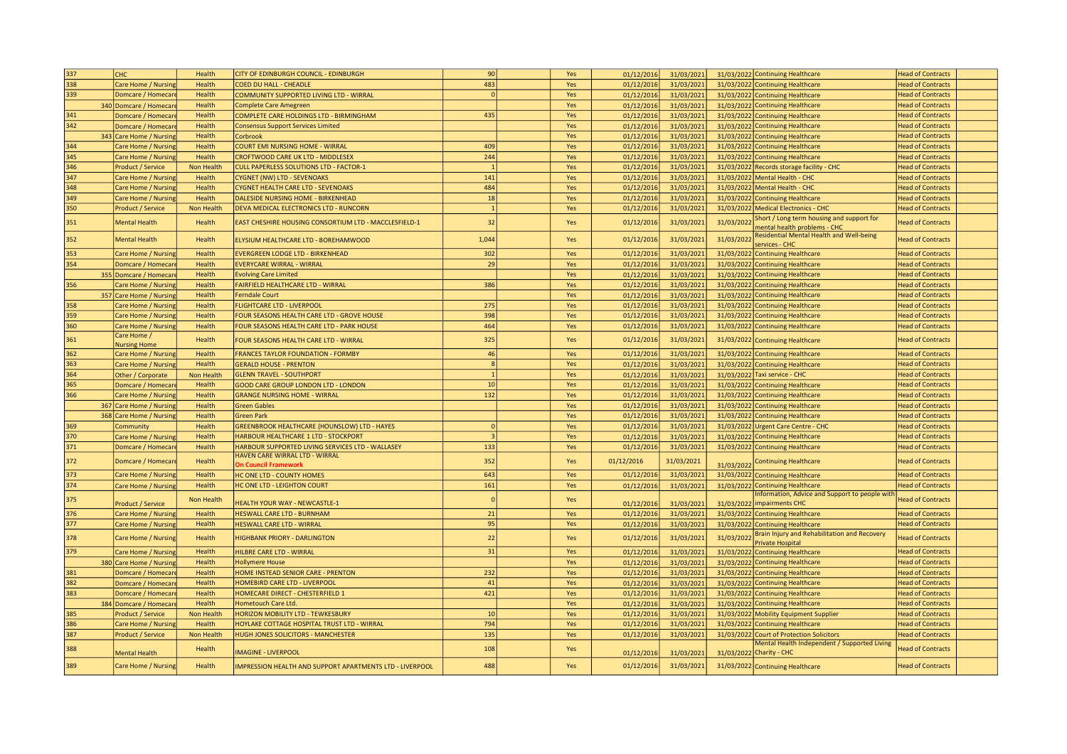| 337 | CHC                        | Health            | CITY OF EDINBURGH COUNCIL - EDINBURGH                           | 90             | Yes        | 01/12/2016 | 31/03/2021 |            | 31/03/2022 Continuing Healthcare                                                          | <b>Head of Contracts</b> |
|-----|----------------------------|-------------------|-----------------------------------------------------------------|----------------|------------|------------|------------|------------|-------------------------------------------------------------------------------------------|--------------------------|
| 338 | Care Home / Nursing        | Health            | COED DU HALL - CHEADLE                                          | 483            | Yes        | 01/12/2016 | 31/03/2021 |            | 31/03/2022 Continuing Healthcare                                                          | <b>Head of Contracts</b> |
| 339 | Domcare / Homecar          | Health            | COMMUNITY SUPPORTED LIVING LTD - WIRRAL                         | $\Omega$       | Yes        | 01/12/2016 | 31/03/2021 |            | 31/03/2022 Continuing Healthcare                                                          | <b>Head of Contracts</b> |
|     | 340 Domcare / Homecar      | Health            | <b>Complete Care Amegreen</b>                                   |                | Yes        | 01/12/2016 | 31/03/2021 |            | 31/03/2022 Continuing Healthcare                                                          | <b>Head of Contracts</b> |
| 341 | Domcare / Homecar          | Health            | COMPLETE CARE HOLDINGS LTD - BIRMINGHAM                         | 435            | Yes        | 01/12/2016 | 31/03/2021 |            | 31/03/2022 Continuing Healthcare                                                          | <b>Head of Contracts</b> |
| 342 | Domcare / Homecar          | Health            | <b>Consensus Support Services Limited</b>                       |                | Yes        | 01/12/2016 | 31/03/2021 |            | 31/03/2022 Continuing Healthcare                                                          | <b>Head of Contracts</b> |
|     | 343 Care Home / Nursing    | Health            | Corbrook                                                        |                | Yes        | 01/12/2016 | 31/03/2021 |            | 31/03/2022 Continuing Healthcare                                                          | <b>Head of Contracts</b> |
| 344 | Care Home / Nursing        | Health            | COURT EMI NURSING HOME - WIRRAL                                 | 409            | Yes        | 01/12/2016 | 31/03/2021 |            | 31/03/2022 Continuing Healthcare                                                          | <b>Head of Contracts</b> |
| 345 | Care Home / Nursing        | Health            | <b>CROFTWOOD CARE UK LTD - MIDDLESEX</b>                        | 244            | Yes        | 01/12/2016 | 31/03/2021 |            | 31/03/2022 Continuing Healthcare                                                          | <b>Head of Contracts</b> |
| 346 | Product / Service          | <b>Non Health</b> | <b>CULL PAPERLESS SOLUTIONS LTD - FACTOR-1</b>                  | $\mathbf{1}$   | Yes        | 01/12/2016 | 31/03/2021 |            | 31/03/2022 Records storage facility - CHC                                                 | <b>Head of Contracts</b> |
| 347 | Care Home / Nursing        | Health            | <b>CYGNET (NW) LTD - SEVENOAKS</b>                              | 141            | Yes        | 01/12/2016 | 31/03/2021 |            | 31/03/2022 Mental Health - CHC                                                            | <b>Head of Contracts</b> |
|     |                            |                   |                                                                 |                |            |            |            |            |                                                                                           |                          |
| 348 | Care Home / Nursing        | Health            | CYGNET HEALTH CARE LTD - SEVENOAKS                              | 484            | Yes        | 01/12/2016 | 31/03/2021 |            | 31/03/2022 Mental Health - CHC                                                            | <b>Head of Contracts</b> |
| 349 | Care Home / Nursing        | Health            | DALESIDE NURSING HOME - BIRKENHEAD                              | 18             | Yes        | 01/12/2016 | 31/03/2021 |            | 31/03/2022 Continuing Healthcare                                                          | <b>Head of Contracts</b> |
| 350 | Product / Service          | Non Health        | DEVA MEDICAL ELECTRONICS LTD - RUNCORN                          | $\overline{1}$ | Yes        | 01/12/2016 | 31/03/2021 |            | 31/03/2022 Medical Electronics - CHC                                                      | <b>Head of Contracts</b> |
| 351 | <b>Mental Health</b>       | Health            | EAST CHESHIRE HOUSING CONSORTIUM LTD - MACCLESFIELD-1           | 32             | Yes        | 01/12/2016 | 31/03/2021 | 31/03/2022 | Short / Long term housing and support for                                                 | <b>Head of Contracts</b> |
|     |                            |                   |                                                                 |                |            |            |            |            | mental health problems - CHC<br><b>Residential Mental Health and Well-being</b>           |                          |
| 352 | Mental Health              | Health            | ELYSIUM HEALTHCARE LTD - BOREHAMWOOD                            | 1,044          | Yes        | 01/12/2016 | 31/03/2021 | 31/03/2022 | services - CHC                                                                            | <b>Head of Contracts</b> |
| 353 | Care Home / Nursin         | Health            | <b>EVERGREEN LODGE LTD - BIRKENHEAD</b>                         | 302            | Yes        | 01/12/2016 | 31/03/2021 |            | 31/03/2022 Continuing Healthcare                                                          | <b>Head of Contracts</b> |
| 354 | Domcare / Homecar          | Health            | <b>EVERYCARE WIRRAL - WIRRAL</b>                                | 29             | Yes        | 01/12/2016 | 31/03/2021 |            | 31/03/2022 Continuing Healthcare                                                          | <b>Head of Contracts</b> |
|     | 355 Domcare / Homecar      | Health            | <b>Evolving Care Limited</b>                                    |                | Yes        | 01/12/2016 | 31/03/2021 |            | 31/03/2022 Continuing Healthcare                                                          | <b>Head of Contracts</b> |
| 356 | Care Home / Nursing        | Health            | FAIRFIELD HEALTHCARE LTD - WIRRAL                               | 386            | Yes        | 01/12/2016 | 31/03/2021 |            | 31/03/2022 Continuing Healthcare                                                          | <b>Head of Contracts</b> |
|     | 357<br>Care Home / Nursing | Health            | <b>Ferndale Court</b>                                           |                | Yes        | 01/12/2016 | 31/03/2021 |            | 31/03/2022 Continuing Healthcare                                                          | <b>Head of Contracts</b> |
| 358 | Care Home / Nursin         | Health            | <b>FLIGHTCARE LTD - LIVERPOOL</b>                               | 275            | Yes        | 01/12/2016 | 31/03/2021 |            | 31/03/2022 Continuing Healthcare                                                          | <b>Head of Contracts</b> |
| 359 | Care Home / Nursing        | Health            | FOUR SEASONS HEALTH CARE LTD - GROVE HOUSE                      | 398            | Yes        | 01/12/2016 | 31/03/2021 |            | 31/03/2022 Continuing Healthcare                                                          | <b>Head of Contracts</b> |
| 360 | Care Home / Nursing        | Health            | FOUR SEASONS HEALTH CARE LTD - PARK HOUSE                       | 464            | Yes        | 01/12/2016 | 31/03/2021 |            | 31/03/2022 Continuing Healthcare                                                          | <b>Head of Contracts</b> |
|     | Care Home /                |                   |                                                                 |                |            |            |            |            |                                                                                           |                          |
| 361 | <b>Nursing Home</b>        | Health            | FOUR SEASONS HEALTH CARE LTD - WIRRAL                           | 325            | Yes        | 01/12/2016 | 31/03/2021 |            | 31/03/2022 Continuing Healthcare                                                          | <b>Head of Contracts</b> |
| 362 | Care Home / Nursin         | Health            | <b>FRANCES TAYLOR FOUNDATION - FORMBY</b>                       | 46             | Yes        | 01/12/201  | 31/03/2021 |            | 31/03/2022 Continuing Healthcare                                                          | <b>Head of Contracts</b> |
| 363 | Care Home / Nursing        | Health            | <b>GERALD HOUSE - PRENTON</b>                                   | $\mathbf{8}$   | Yes        | 01/12/2016 | 31/03/2021 |            | 31/03/2022 Continuing Healthcare                                                          | <b>Head of Contracts</b> |
| 364 | Other / Corporate          | Non Health        | <b>GLENN TRAVEL - SOUTHPORT</b>                                 |                | Yes        | 01/12/2016 | 31/03/2021 |            | 31/03/2022 Taxi service - CHC                                                             | <b>Head of Contracts</b> |
| 365 | Domcare / Homecar          | Health            | GOOD CARE GROUP LONDON LTD - LONDON                             | 10             | Yes        | 01/12/2016 | 31/03/2021 |            | 31/03/2022 Continuing Healthcare                                                          | <b>Head of Contracts</b> |
| 366 | Care Home / Nursing        | Health            | <b>GRANGE NURSING HOME - WIRRAI</b>                             | 132            | Yes        | 01/12/2016 | 31/03/2021 |            | 31/03/2022 Continuing Healthcare                                                          | <b>Head of Contracts</b> |
| 367 | Care Home / Nursing        | Health            | <b>Green Gables</b>                                             |                | Yes        | 01/12/2016 | 31/03/2021 |            | 31/03/2022 Continuing Healthcare                                                          | <b>Head of Contracts</b> |
| 368 | Care Home / Nursing        | Health            | <b>Green Park</b>                                               |                | Yes        | 01/12/2016 | 31/03/2021 |            | 31/03/2022 Continuing Healthcare                                                          | <b>Head of Contracts</b> |
| 369 | Community                  | Health            | <b>GREENBROOK HEALTHCARE (HOUNSLOW) LTD - HAYES</b>             | $\Omega$       | Yes        | 01/12/2016 | 31/03/2021 |            | 31/03/2022 Urgent Care Centre - CHC                                                       | <b>Head of Contracts</b> |
| 370 | Care Home / Nursing        | Health            | <b>HARBOUR HEALTHCARE 1 LTD - STOCKPORT</b>                     | $\overline{3}$ | Yes        | 01/12/2016 | 31/03/2021 |            | 31/03/2022 Continuing Healthcare                                                          | <b>Head of Contracts</b> |
| 371 | Domcare / Homecar          | Health            | HARBOUR SUPPORTED LIVING SERVICES LTD - WALLASEY                | 133            | Yes        | 01/12/2016 | 31/03/2021 |            | 31/03/2022 Continuing Healthcare                                                          | <b>Head of Contracts</b> |
|     |                            |                   | HAVEN CARE WIRRAL LTD - WIRRAL                                  |                |            |            |            |            |                                                                                           |                          |
| 372 | Domcare / Homecar          | Health            | <b>On Council Framework</b>                                     | 352            | Yes        | 01/12/2016 | 31/03/2021 | 31/03/2022 | <b>Continuing Healthcare</b>                                                              | <b>Head of Contracts</b> |
| 373 | Care Home / Nursing        | Health            | HC ONE LTD - COUNTY HOMES                                       | 643            | Yes        | 01/12/2016 | 31/03/2021 |            | 31/03/2022 Continuing Healthcare                                                          | <b>Head of Contracts</b> |
| 374 | Care Home / Nursing        | Health            | HC ONE LTD - LEIGHTON COURT                                     | 161            | Yes        | 01/12/2016 | 31/03/2021 |            | 31/03/2022 Continuing Healthcare                                                          | <b>Head of Contracts</b> |
| 375 |                            | Non Health        |                                                                 | $\Omega$       | Yes        |            |            |            | Information, Advice and Support to people with                                            | <b>Head of Contracts</b> |
|     | Product / Service          |                   | <b>HEALTH YOUR WAY - NEWCASTLE-1</b>                            |                |            | 01/12/2016 | 31/03/2021 |            | 31/03/2022 impairments CHC                                                                |                          |
| 376 | Care Home / Nursing        | Health            | <b>HESWALL CARE LTD - BURNHAM</b>                               | 21             | Yes        | 01/12/2016 | 31/03/2021 |            | 31/03/2022 Continuing Healthcare                                                          | <b>Head of Contracts</b> |
| 377 | Care Home / Nursin         | Health            | <b>HESWALL CARE LTD - WIRRAL</b>                                | 95             | Yes        | 01/12/2016 | 31/03/2021 |            | 31/03/2022 Continuing Healthcare                                                          | <b>Head of Contracts</b> |
| 378 | Care Home / Nursing        | Health            | <b>HIGHBANK PRIORY - DARLINGTON</b>                             | 22             | Yes        | 01/12/2016 | 31/03/2021 | 31/03/2022 | Brain Injury and Rehabilitation and Recovery                                              | <b>Head of Contracts</b> |
| 379 | Care Home / Nursing        | Health            | HILBRE CARE LTD - WIRRAL                                        | 31             | Yes        | 01/12/2016 | 31/03/2021 |            | Private Hospital<br>31/03/2022 Continuing Healthcare                                      | <b>Head of Contracts</b> |
|     | 380 Care Home / Nursing    | Health            | <b>Hollymere House</b>                                          |                | Yes        | 01/12/2016 | 31/03/2021 |            | 31/03/2022 Continuing Healthcare                                                          | <b>Head of Contracts</b> |
| 381 | Domcare / Homecar          | Health            | HOME INSTEAD SENIOR CARE - PRENTON                              | 232            | Yes        | 01/12/2016 | 31/03/2021 |            | 31/03/2022 Continuing Healthcare                                                          | <b>Head of Contracts</b> |
| 382 | Domcare / Homecar          | Health            | HOMEBIRD CARE LTD - LIVERPOOL                                   | 41             | Yes        | 01/12/2016 | 31/03/2021 |            | 31/03/2022 Continuing Healthcare                                                          | <b>Head of Contracts</b> |
| 383 | Domcare / Homecar          | Health            | HOMECARE DIRECT - CHESTERFIELD 1                                | 421            | Yes        | 01/12/2016 | 31/03/2021 |            | 31/03/2022 Continuing Healthcare                                                          | <b>Head of Contracts</b> |
|     |                            | Health            | Hometouch Care Ltd.                                             |                |            |            |            |            |                                                                                           | <b>Head of Contracts</b> |
| 385 | 384 Domcare / Homecar      | Non Health        |                                                                 | 10             | Yes<br>Yes | 01/12/2016 | 31/03/2021 |            | 31/03/2022 Continuing Healthcare                                                          | <b>Head of Contracts</b> |
| 386 | Product / Service          |                   | HORIZON MOBILITY LTD - TEWKESBURY                               | 794            |            | 01/12/201  | 31/03/2021 |            | 31/03/2022 Mobility Equipment Supplier                                                    |                          |
|     | Care Home / Nursing        | Health            | HOYLAKE COTTAGE HOSPITAL TRUST LTD - WIRRAL                     |                | Yes        | 01/12/2016 | 31/03/2021 |            | 31/03/2022 Continuing Healthcare                                                          | <b>Head of Contracts</b> |
| 387 | Product / Service          | Non Health        | HUGH JONES SOLICITORS - MANCHESTER                              | 135            | Yes        | 01/12/2016 | 31/03/2021 |            | 31/03/2022 Court of Protection Solicitors<br>Mental Health Independent / Supported Living | <b>Head of Contracts</b> |
| 388 | Mental Health              | Health            | <b>IMAGINE - LIVERPOOL</b>                                      | 108            | Yes        | 01/12/2016 | 31/03/2021 |            | 31/03/2022 Charity - CHC                                                                  | <b>Head of Contracts</b> |
| 389 | Care Home / Nursing        | Health            | <b>IMPRESSION HEALTH AND SUPPORT APARTMENTS LTD - LIVERPOOL</b> | 488            | Yes        | 01/12/2016 | 31/03/2021 |            | 31/03/2022 Continuing Healthcare                                                          | <b>Head of Contracts</b> |
|     |                            |                   |                                                                 |                |            |            |            |            |                                                                                           |                          |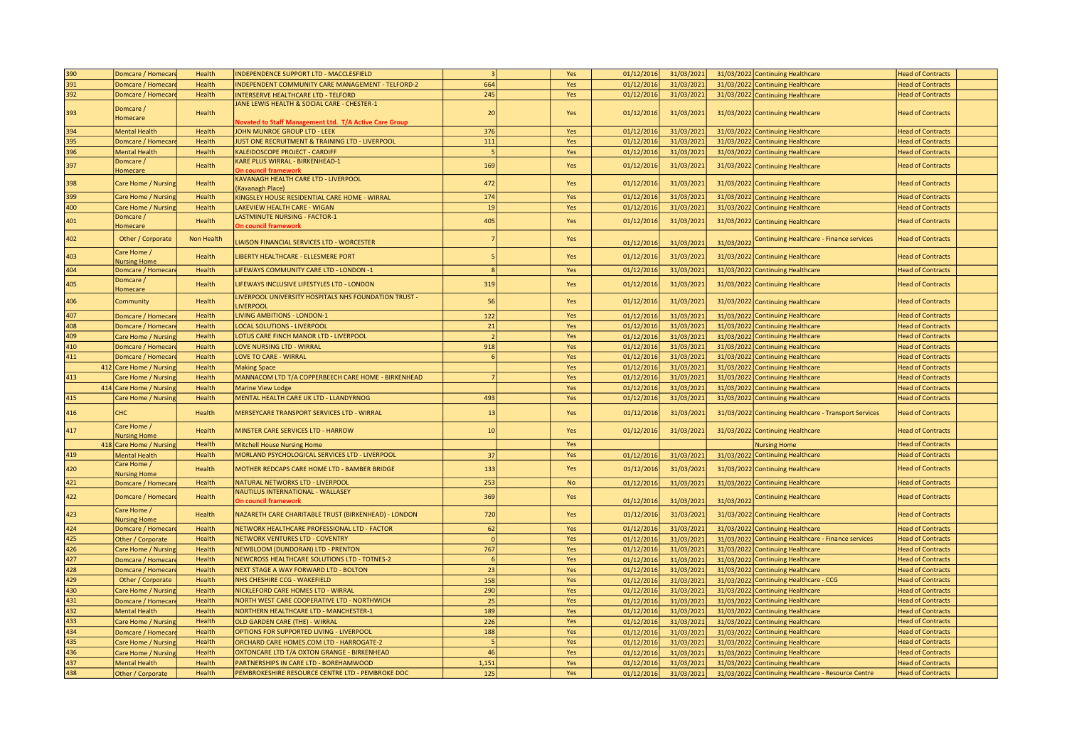| 390 | Domcare / Homecar                  | Health     | INDEPENDENCE SUPPORT LTD - MACCLESFIELD                                                                      | $\overline{3}$ | Yes       | 01/12/2016 | 31/03/2021 |            | 31/03/2022 Continuing Healthcare                      | <b>Head of Contracts</b> |
|-----|------------------------------------|------------|--------------------------------------------------------------------------------------------------------------|----------------|-----------|------------|------------|------------|-------------------------------------------------------|--------------------------|
| 391 | Domcare / Homecar                  | Health     | INDEPENDENT COMMUNITY CARE MANAGEMENT - TELFORD-2                                                            | 664            | Yes       | 01/12/2016 | 31/03/2021 |            | 31/03/2022 Continuing Healthcare                      | <b>Head of Contracts</b> |
| 392 | Domcare / Homecar                  | Health     | <b>INTERSERVE HEALTHCARE LTD - TELFORD</b>                                                                   | 245            | Yes       | 01/12/2016 | 31/03/2021 |            | 31/03/2022 Continuing Healthcare                      | <b>Head of Contracts</b> |
| 393 | Domcare /<br>Homecare              | Health     | JANE LEWIS HEALTH & SOCIAL CARE - CHESTER-1<br><b>Novated to Staff Management Ltd. T/A Active Care Group</b> | 20             | Yes       | 01/12/2016 | 31/03/2021 |            | 31/03/2022 Continuing Healthcare                      | <b>Head of Contracts</b> |
| 394 | Mental Health                      | Health     | JOHN MUNROE GROUP LTD - LEEK                                                                                 | 376            | Yes       | 01/12/2016 | 31/03/2021 |            | 31/03/2022 Continuing Healthcare                      | <b>Head of Contracts</b> |
| 395 | Domcare / Homecar                  | Health     | JUST ONE RECRUITMENT & TRAINING LTD - LIVERPOOL                                                              | 111            | Yes       | 01/12/2016 | 31/03/2021 |            | 31/03/2022 Continuing Healthcare                      | <b>Head of Contracts</b> |
| 396 | <b>Mental Health</b>               | Health     | KALEIDOSCOPE PROJECT - CARDIFF                                                                               | $\overline{a}$ | Yes       | 01/12/2016 | 31/03/2021 |            | 31/03/2022 Continuing Healthcare                      | <b>Head of Contracts</b> |
|     | Domcare/                           |            | KARE PLUS WIRRAL - BIRKENHEAD-1                                                                              |                |           |            |            |            |                                                       |                          |
| 397 | Homecare                           | Health     | <b>On council framework</b>                                                                                  | 169            | Yes       | 01/12/2016 | 31/03/2021 |            | 31/03/2022 Continuing Healthcare                      | <b>Head of Contracts</b> |
| 398 | Care Home / Nursing                | Health     | KAVANAGH HEALTH CARE LTD - LIVERPOOL<br>(Kavanagh Place)                                                     | 472            | Yes       | 01/12/201  | 31/03/2021 |            | 31/03/2022 Continuing Healthcare                      | <b>Head of Contracts</b> |
| 399 | Care Home / Nursing                | Health     | KINGSLEY HOUSE RESIDENTIAL CARE HOME - WIRRAL                                                                | 174            | Yes       | 01/12/2016 | 31/03/202  |            | 31/03/2022 Continuing Healthcare                      | <b>Head of Contracts</b> |
| 400 | Care Home / Nursing                | Health     | LAKEVIEW HEALTH CARE - WIGAN                                                                                 | 19             | Yes       | 01/12/2016 | 31/03/2021 |            | 31/03/2022 Continuing Healthcare                      | <b>Head of Contracts</b> |
| 401 | Domcare /                          | Health     | LASTMINUTE NURSING - FACTOR-1                                                                                | 405            | Yes       | 01/12/2016 | 31/03/2021 |            | 31/03/2022 Continuing Healthcare                      | <b>Head of Contracts</b> |
|     | <b>Homecare</b>                    |            | <b>On council framework</b>                                                                                  |                |           |            |            |            |                                                       |                          |
| 402 | Other / Corporate                  | Non Health | LIAISON FINANCIAL SERVICES LTD - WORCESTER                                                                   |                | Yes       | 01/12/2016 | 31/03/2021 | 31/03/2022 | Continuing Healthcare - Finance services              | <b>Head of Contracts</b> |
| 403 | Care Home /<br><b>Nursing Home</b> | Health     | LIBERTY HEALTHCARE - ELLESMERE PORT                                                                          |                | Yes       | 01/12/2016 | 31/03/2021 |            | 31/03/2022 Continuing Healthcare                      | <b>Head of Contracts</b> |
| 404 | Domcare / Homecar                  | Health     | LIFEWAYS COMMUNITY CARE LTD - LONDON -1                                                                      |                | Yes       | 01/12/2016 | 31/03/2021 |            | 31/03/2022 Continuing Healthcare                      | <b>Head of Contracts</b> |
| 405 | Domcare /<br>Homecare              | Health     | LIFEWAYS INCLUSIVE LIFESTYLES LTD - LONDON                                                                   | 319            | Yes       | 01/12/2016 | 31/03/2021 |            | 31/03/2022 Continuing Healthcare                      | <b>Head of Contracts</b> |
| 406 | Community                          | Health     | LIVERPOOL UNIVERSITY HOSPITALS NHS FOUNDATION TRUST -<br><b>LIVERPOOL</b>                                    | 56             | Yes       | 01/12/2016 | 31/03/2021 |            | 31/03/2022 Continuing Healthcare                      | <b>Head of Contracts</b> |
| 407 | Domcare / Homecar                  | Health     | <b>LIVING AMBITIONS - LONDON-1</b>                                                                           | 122            | Yes       | 01/12/2016 | 31/03/2021 |            | 31/03/2022 Continuing Healthcare                      | <b>Head of Contracts</b> |
| 408 | Domcare / Homecar                  | Health     | <b>LOCAL SOLUTIONS - LIVERPOOL</b>                                                                           | 21             | Yes       | 01/12/2016 | 31/03/2021 |            | 31/03/2022 Continuing Healthcare                      | <b>Head of Contracts</b> |
| 409 | Care Home / Nursing                | Health     | LOTUS CARE FINCH MANOR LTD - LIVERPOOL                                                                       |                | Yes       | 01/12/2016 | 31/03/2021 |            | 31/03/2022 Continuing Healthcare                      | <b>Head of Contracts</b> |
| 410 | Domcare / Homecar                  | Health     | <b>LOVE NURSING LTD - WIRRAL</b>                                                                             | 918            | Yes       | 01/12/2016 | 31/03/2021 |            | 31/03/2022 Continuing Healthcare                      | <b>Head of Contracts</b> |
| 411 | Domcare / Homecar                  | Health     | <b>LOVE TO CARE - WIRRAL</b>                                                                                 | 6              | Yes       | 01/12/2016 | 31/03/2021 |            | 31/03/2022 Continuing Healthcare                      | <b>Head of Contracts</b> |
|     | 412 Care Home / Nursing            | Health     | <b>Making Space</b>                                                                                          |                | Yes       | 01/12/2016 | 31/03/2021 |            | 31/03/2022 Continuing Healthcare                      | <b>Head of Contracts</b> |
| 413 | Care Home / Nursing                | Health     | MANNACOM LTD T/A COPPERBEECH CARE HOME - BIRKENHEAD                                                          |                | Yes       | 01/12/2016 | 31/03/2021 |            | 31/03/2022 Continuing Healthcare                      | <b>Head of Contracts</b> |
|     | 414 Care Home / Nursing            | Health     | <b>Marine View Lodge</b>                                                                                     |                | Yes       | 01/12/2016 | 31/03/2021 |            | 31/03/2022 Continuing Healthcare                      | <b>Head of Contracts</b> |
| 415 | Care Home / Nursing                | Health     | MENTAL HEALTH CARE UK LTD - LLANDYRNOG                                                                       | 493            | Yes       | 01/12/2016 | 31/03/2021 |            | 31/03/2022 Continuing Healthcare                      | <b>Head of Contracts</b> |
|     |                                    |            |                                                                                                              |                |           |            |            |            |                                                       |                          |
| 416 | <b>CHC</b><br>Care Home /          | Health     | MERSEYCARE TRANSPORT SERVICES LTD - WIRRAL                                                                   | 13             | Yes       | 01/12/201  | 31/03/2021 |            | 31/03/2022 Continuing Healthcare - Transport Services | <b>Head of Contracts</b> |
| 417 | <b>Jursing Home</b>                | Health     | MINSTER CARE SERVICES LTD - HARROW                                                                           | 10             | Yes       | 01/12/2016 | 31/03/2021 |            | 31/03/2022 Continuing Healthcare                      | <b>Head of Contracts</b> |
|     | 418 Care Home / Nursing            | Health     | <b>Mitchell House Nursing Home</b>                                                                           |                | Yes       |            |            |            | <b>Nursing Home</b>                                   | <b>Head of Contracts</b> |
| 419 | <b>Mental Health</b>               | Health     | MORLAND PSYCHOLOGICAL SERVICES LTD - LIVERPOOL                                                               | 37             | Yes       | 01/12/2016 | 31/03/2021 |            | 31/03/2022 Continuing Healthcare                      | <b>Head of Contracts</b> |
| 420 | Care Home /<br><b>Nursing Home</b> | Health     | MOTHER REDCAPS CARE HOME LTD - BAMBER BRIDGE                                                                 | 133            | Yes       | 01/12/201  | 31/03/2021 |            | 31/03/2022 Continuing Healthcare                      | <b>Head of Contracts</b> |
| 421 | Domcare / Homecar                  | Health     | NATURAL NETWORKS LTD - LIVERPOOL                                                                             | 253            | <b>No</b> | 01/12/2016 | 31/03/2021 |            | 31/03/2022 Continuing Healthcare                      | <b>Head of Contracts</b> |
| 422 | Domcare / Homecar                  | Health     | NAUTILUS INTERNATIONAL - WALLASEY<br><b>On council framework</b>                                             | 369            | Yes       | 01/12/2016 | 31/03/2021 | 31/03/2022 | <b>Continuing Healthcare</b>                          | <b>Head of Contracts</b> |
| 423 | Care Home /<br><b>Nursing Home</b> | Health     | NAZARETH CARE CHARITABLE TRUST (BIRKENHEAD) - LONDON                                                         | 720            | Yes       | 01/12/2016 | 31/03/2021 |            | 31/03/2022 Continuing Healthcare                      | <b>Head of Contracts</b> |
| 424 | Domcare / Homecar                  | Health     | NETWORK HEALTHCARE PROFESSIONAL LTD - FACTOR                                                                 | 62             | Yes       | 01/12/2016 | 31/03/2021 |            | 31/03/2022 Continuing Healthcare                      | <b>Head of Contracts</b> |
| 425 | Other / Corporate                  | Health     | NETWORK VENTURES LTD - COVENTRY                                                                              |                | Yes       | 01/12/2016 | 31/03/2021 |            | 31/03/2022 Continuing Healthcare - Finance services   | <b>Head of Contracts</b> |
| 426 | Care Home / Nursing                | Health     | NEWBLOOM (DUNDORAN) LTD - PRENTON                                                                            | 767            | Yes       | 01/12/2016 | 31/03/2021 |            | 31/03/2022 Continuing Healthcare                      | <b>Head of Contracts</b> |
| 427 | Domcare / Homecar                  | Health     | NEWCROSS HEALTHCARE SOLUTIONS LTD - TOTNES-2                                                                 |                | Yes       | 01/12/2016 | 31/03/2021 |            | 31/03/2022 Continuing Healthcare                      | <b>Head of Contracts</b> |
| 428 | Domcare / Homecar                  | Health     | NEXT STAGE A WAY FORWARD LTD - BOLTON                                                                        | 23             | Yes       | 01/12/2016 | 31/03/2021 |            | 31/03/2022 Continuing Healthcare                      | <b>Head of Contracts</b> |
| 429 | Other / Corporate                  | Health     | NHS CHESHIRE CCG - WAKEFIELD                                                                                 | 158            | Yes       | 01/12/2016 | 31/03/2021 |            | 31/03/2022 Continuing Healthcare - CCG                | <b>Head of Contracts</b> |
| 430 | Care Home / Nursing                | Health     | NICKLEFORD CARE HOMES LTD - WIRRAL                                                                           | 290            | Yes       | 01/12/2016 | 31/03/2021 |            | 31/03/2022 Continuing Healthcare                      | <b>Head of Contracts</b> |
| 431 | Domcare / Homecar                  | Health     | NORTH WEST CARE COOPERATIVE LTD - NORTHWICH                                                                  | 25             | Yes       | 01/12/2016 | 31/03/2021 |            | 31/03/2022 Continuing Healthcare                      | <b>Head of Contracts</b> |
| 432 | Mental Health                      | Health     | NORTHERN HEALTHCARE LTD - MANCHESTER-1                                                                       | 189            | Yes       | 01/12/2016 | 31/03/2021 |            | 31/03/2022 Continuing Healthcare                      | <b>Head of Contracts</b> |
| 433 | Care Home / Nursing                | Health     | OLD GARDEN CARE (THE) - WIRRAL                                                                               | 226            | Yes       | 01/12/2016 | 31/03/2021 |            | 31/03/2022 Continuing Healthcare                      | <b>Head of Contracts</b> |
| 434 | Domcare / Homecar                  | Health     | OPTIONS FOR SUPPORTED LIVING - LIVERPOOL                                                                     | 188            | Yes       | 01/12/201  | 31/03/2021 |            | 31/03/2022 Continuing Healthcare                      | <b>Head of Contracts</b> |
| 435 | Care Home / Nursing                | Health     | ORCHARD CARE HOMES.COM LTD - HARROGATE-2                                                                     |                | Yes       | 01/12/2016 | 31/03/2021 |            | 31/03/2022 Continuing Healthcare                      | <b>Head of Contracts</b> |
| 436 | are Home / Nursing                 | Health     | OXTONCARE LTD T/A OXTON GRANGE - BIRKENHEAD                                                                  | 46             | Yes       | 01/12/2016 | 31/03/2021 |            | 31/03/2022 Continuing Healthcare                      | <b>Head of Contracts</b> |
| 437 | Mental Health                      | Health     | PARTNERSHIPS IN CARE LTD - BOREHAMWOOD                                                                       | 1,151          | Yes       | 01/12/2016 | 31/03/2021 |            | 31/03/2022 Continuing Healthcare                      | <b>Head of Contracts</b> |
| 438 | Other / Corporate                  | Health     | PEMBROKESHIRE RESOURCE CENTRE LTD - PEMBROKE DOC                                                             | 125            | Yes       | 01/12/2016 | 31/03/2021 |            | 31/03/2022 Continuing Healthcare - Resource Centre    | <b>Head of Contracts</b> |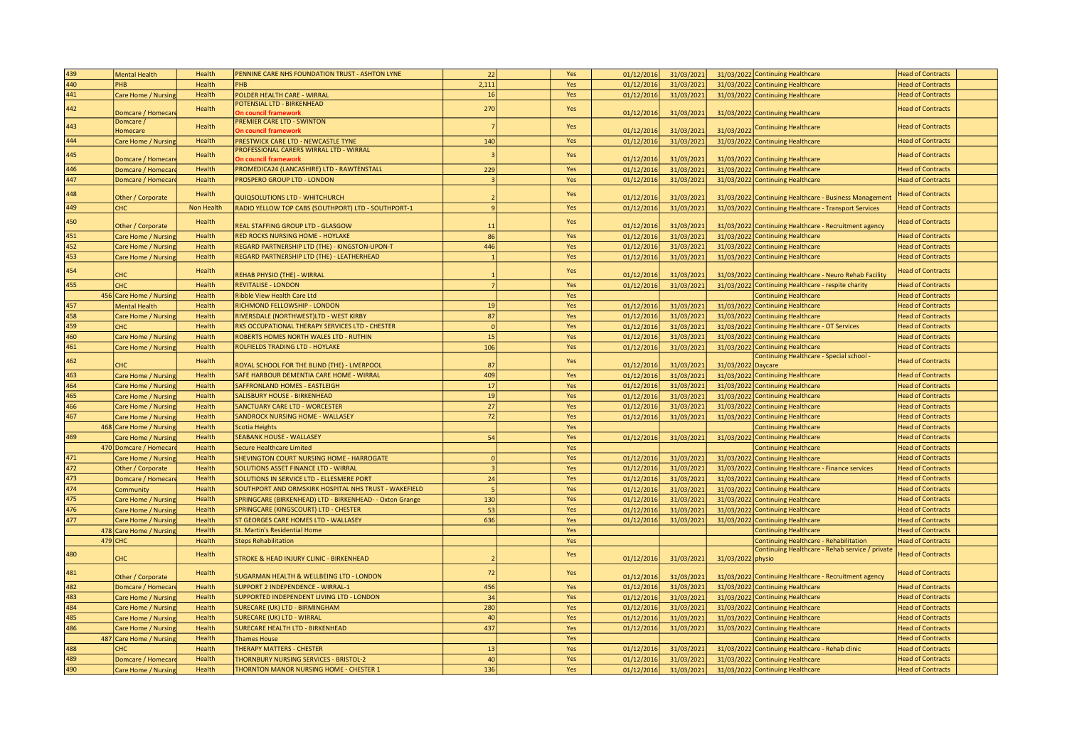| 439 | <b>Mental Health</b>       | Health     | PENNINE CARE NHS FOUNDATION TRUST - ASHTON LYNE          | 22             | Yes | 01/12/2016 | 31/03/2021 |                    | 31/03/2022 Continuing Healthcare                        | <b>Head of Contracts</b> |
|-----|----------------------------|------------|----------------------------------------------------------|----------------|-----|------------|------------|--------------------|---------------------------------------------------------|--------------------------|
| 440 | PHB                        | Health     | PHB                                                      | 2,111          | Yes | 01/12/2016 | 31/03/2021 |                    | 31/03/2022 Continuing Healthcare                        | <b>Head of Contracts</b> |
| 441 | Care Home / Nursing        | Health     | POLDER HEALTH CARE - WIRRAL                              | $16\,$         | Yes | 01/12/2016 | 31/03/2021 |                    | 31/03/2022 Continuing Healthcare                        | <b>Head of Contracts</b> |
|     |                            |            | POTENSIAL LTD - BIRKENHEAD                               |                |     |            |            |                    |                                                         |                          |
| 442 | Domcare / Homecar          | Health     | On council framework                                     | 270            | Yes | 01/12/2016 | 31/03/2021 |                    | 31/03/2022 Continuing Healthcare                        | <b>Head of Contracts</b> |
| 443 | Domcare /                  |            | <b>PREMIER CARE LTD - SWINTON</b>                        |                |     |            |            |                    |                                                         |                          |
|     | Homecare                   | Health     | <b>On council framework</b>                              |                | Yes | 01/12/2016 | 31/03/2021 | 31/03/2022         | <b>Continuing Healthcare</b>                            | <b>Head of Contracts</b> |
| 444 | Care Home / Nursing        | Health     | PRESTWICK CARE LTD - NEWCASTLE TYNE                      | 140            | Yes | 01/12/2016 | 31/03/2021 |                    | 31/03/2022 Continuing Healthcare                        | <b>Head of Contracts</b> |
| 445 |                            | Health     | PROFESSIONAL CARERS WIRRAL LTD - WIRRAL                  |                | Yes |            |            |                    |                                                         | <b>Head of Contracts</b> |
|     | Domcare / Homecar          |            | <b>On council frameworl</b>                              |                |     | 01/12/2016 | 31/03/2021 |                    | 31/03/2022 Continuing Healthcare                        |                          |
| 446 | Domcare / Homecar          | Health     | PROMEDICA24 (LANCASHIRE) LTD - RAWTENSTALL               | 229            | Yes | 01/12/2016 | 31/03/2021 |                    | 31/03/2022 Continuing Healthcare                        | <b>Head of Contracts</b> |
| 447 | Domcare / Homecar          | Health     | PROSPERO GROUP LTD - LONDON                              | $\overline{3}$ | Yes | 01/12/2016 | 31/03/2021 |                    | 31/03/2022 Continuing Healthcare                        | <b>Head of Contracts</b> |
| 448 |                            | Health     |                                                          |                | Yes |            |            |                    |                                                         | <b>Head of Contracts</b> |
|     | Other / Corporate          |            | QUIQSOLUTIONS LTD - WHITCHURCH                           |                |     | 01/12/2016 | 31/03/2021 |                    | 31/03/2022 Continuing Healthcare - Business Management  |                          |
| 449 | <b>CHC</b>                 | Non Health | RADIO YELLOW TOP CABS (SOUTHPORT) LTD - SOUTHPORT-1      | $\vert$ 9      | Yes | 01/12/2016 | 31/03/2021 |                    | 31/03/2022 Continuing Healthcare - Transport Services   | <b>Head of Contracts</b> |
| 450 |                            | Health     |                                                          |                | Yes |            |            |                    |                                                         | <b>Head of Contracts</b> |
|     | Other / Corporate          |            | REAL STAFFING GROUP LTD - GLASGOW                        | 11             |     | 01/12/2016 | 31/03/2021 |                    | 31/03/2022 Continuing Healthcare - Recruitment agency   |                          |
| 451 | Care Home / Nursin         | Health     | RED ROCKS NURSING HOME - HOYLAKE                         | 86             | Yes | 01/12/2016 | 31/03/2021 |                    | 31/03/2022 Continuing Healthcare                        | <b>Head of Contracts</b> |
| 452 | Care Home / Nursing        | Health     | REGARD PARTNERSHIP LTD (THE) - KINGSTON-UPON-T           | 446            | Yes | 01/12/2016 | 31/03/2021 |                    | 31/03/2022 Continuing Healthcare                        | <b>Head of Contracts</b> |
| 453 | Care Home / Nursing        | Health     | REGARD PARTNERSHIP LTD (THE) - LEATHERHEAD               | $\overline{1}$ | Yes | 01/12/2016 | 31/03/2021 |                    | 31/03/2022 Continuing Healthcare                        | <b>Head of Contracts</b> |
| 454 |                            | Health     |                                                          |                | Yes |            |            |                    |                                                         | <b>Head of Contracts</b> |
|     | СНС                        |            | REHAB PHYSIO (THE) - WIRRAL                              |                |     | 01/12/2016 | 31/03/2021 |                    | 31/03/2022 Continuing Healthcare - Neuro Rehab Facility |                          |
| 455 | CHC                        | Health     | <b>REVITALISE - LONDON</b>                               | $\overline{7}$ | Yes | 01/12/2016 | 31/03/2021 |                    | 31/03/2022 Continuing Healthcare - respite charity      | <b>Head of Contracts</b> |
|     | 456 Care Home / Nursing    | Health     | <b>Ribble View Health Care Ltd</b>                       |                | Yes |            |            |                    | <b>Continuing Healthcare</b>                            | <b>Head of Contracts</b> |
| 457 | <b>Mental Health</b>       | Health     | RICHMOND FELLOWSHIP - LONDON                             | 19             | Yes | 01/12/201  | 31/03/2021 |                    | 31/03/2022 Continuing Healthcare                        | <b>Head of Contracts</b> |
| 458 | Care Home / Nursing        | Health     | RIVERSDALE (NORTHWEST)LTD - WEST KIRBY                   | 87             | Yes | 01/12/2016 | 31/03/2021 |                    | 31/03/2022 Continuing Healthcare                        | <b>Head of Contracts</b> |
| 459 | <b>CHC</b>                 | Health     | RKS OCCUPATIONAL THERAPY SERVICES LTD - CHESTER          |                | Yes | 01/12/2016 | 31/03/2021 |                    | 31/03/2022 Continuing Healthcare - OT Services          | <b>Head of Contracts</b> |
| 460 | Care Home / Nursing        | Health     | ROBERTS HOMES NORTH WALES LTD - RUTHIN                   | 15             | Yes | 01/12/2016 | 31/03/2021 |                    | 31/03/2022 Continuing Healthcare                        | <b>Head of Contracts</b> |
| 461 | Care Home / Nursing        | Health     | ROLFIELDS TRADING LTD - HOYLAKE                          | 106            | Yes | 01/12/2016 | 31/03/2021 |                    | 31/03/2022 Continuing Healthcare                        | <b>Head of Contracts</b> |
|     |                            |            |                                                          |                |     |            |            |                    | Continuing Healthcare - Special school -                |                          |
| 462 | <b>CHC</b>                 | Health     | ROYAL SCHOOL FOR THE BLIND (THE) - LIVERPOOL             | 87             | Yes | 01/12/2016 | 31/03/2021 | 31/03/2022 Daycare |                                                         | <b>Head of Contracts</b> |
| 463 | Care Home / Nursing        | Health     | SAFE HARBOUR DEMENTIA CARE HOME - WIRRAL                 | 409            | Yes | 01/12/2016 | 31/03/2021 |                    | 31/03/2022 Continuing Healthcare                        | <b>Head of Contracts</b> |
| 464 | Care Home / Nursing        | Health     | SAFFRONLAND HOMES - EASTLEIGH                            | 17             | Yes | 01/12/2016 | 31/03/2021 |                    | 31/03/2022 Continuing Healthcare                        | <b>Head of Contracts</b> |
| 465 | Care Home / Nursing        | Health     | SALISBURY HOUSE - BIRKENHEAD                             | 19             | Yes | 01/12/2016 | 31/03/2021 |                    | 31/03/2022 Continuing Healthcare                        | <b>Head of Contracts</b> |
| 466 | Care Home / Nursing        | Health     | <b>SANCTUARY CARE LTD - WORCESTER</b>                    | 27             | Yes | 01/12/2016 | 31/03/2021 |                    | 31/03/2022 Continuing Healthcare                        | <b>Head of Contracts</b> |
| 467 | Care Home / Nursing        | Health     | SANDROCK NURSING HOME - WALLASEY                         | 72             | Yes | 01/12/2016 | 31/03/2021 |                    | 31/03/2022 Continuing Healthcare                        | <b>Head of Contracts</b> |
|     | 468 Care Home / Nursing    | Health     | Scotia Heights                                           |                | Yes |            |            |                    | <b>Continuing Healthcare</b>                            | <b>Head of Contracts</b> |
| 469 | Care Home / Nursing        | Health     | SEABANK HOUSE - WALLASEY                                 | 54             | Yes | 01/12/2016 | 31/03/2021 |                    | 31/03/2022 Continuing Healthcare                        | <b>Head of Contracts</b> |
|     | 470 Domcare / Homecar      | Health     | <b>Secure Healthcare Limited</b>                         |                | Yes |            |            |                    | <b>Continuing Healthcare</b>                            | <b>Head of Contracts</b> |
| 471 |                            | Health     | SHEVINGTON COURT NURSING HOME - HARROGATE                | $\Omega$       |     |            |            |                    |                                                         | <b>Head of Contracts</b> |
| 472 | Care Home / Nursing        |            |                                                          | $\overline{z}$ | Yes | 01/12/2016 | 31/03/2021 |                    | 31/03/2022 Continuing Healthcare                        |                          |
|     | Other / Corporate          | Health     | SOLUTIONS ASSET FINANCE LTD - WIRRAL                     |                | Yes | 01/12/2016 | 31/03/2021 |                    | 31/03/2022 Continuing Healthcare - Finance services     | <b>Head of Contracts</b> |
| 473 | Domcare / Homecar          | Health     | SOLUTIONS IN SERVICE LTD - ELLESMERE PORT                | 24             | Yes | 01/12/2016 | 31/03/2021 |                    | 31/03/2022 Continuing Healthcare                        | <b>Head of Contracts</b> |
| 474 | Community                  | Health     | SOUTHPORT AND ORMSKIRK HOSPITAL NHS TRUST - WAKEFIELD    |                | Yes | 01/12/2016 | 31/03/2021 |                    | 31/03/2022 Continuing Healthcare                        | <b>Head of Contracts</b> |
| 475 | Care Home / Nursin         | Health     | SPRINGCARE (BIRKENHEAD) LTD - BIRKENHEAD- - Oxton Grange | 130            | Yes | 01/12/2016 | 31/03/2021 |                    | 31/03/2022 Continuing Healthcare                        | <b>Head of Contracts</b> |
| 476 | Care Home / Nursing        | Health     | SPRINGCARE (KINGSCOURT) LTD - CHESTER                    | 53             | Yes | 01/12/2016 | 31/03/2021 |                    | 31/03/2022 Continuing Healthcare                        | <b>Head of Contracts</b> |
| 477 | Care Home / Nursing        | Health     | ST GEORGES CARE HOMES LTD - WALLASEY                     | 636            | Yes | 01/12/2016 | 31/03/2021 |                    | 31/03/2022 Continuing Healthcare                        | <b>Head of Contracts</b> |
|     | 478 Care Home / Nursing    | Health     | St. Martin's Residential Home                            |                | Yes |            |            |                    | <b>Continuing Healthcare</b>                            | <b>Head of Contracts</b> |
|     | 479 CHC                    | Health     | <b>Steps Rehabilitation</b>                              |                | Yes |            |            |                    | Continuing Healthcare - Rehabilitation                  | <b>Head of Contracts</b> |
| 480 |                            | Health     |                                                          |                | Yes |            |            |                    | Continuing Healthcare - Rehab service / private         | <b>Head of Contracts</b> |
|     | <b>CHC</b>                 |            | <b>STROKE &amp; HEAD INJURY CLINIC - BIRKENHEAD</b>      |                |     | 01/12/2016 | 31/03/2021 | 31/03/2022 physio  |                                                         |                          |
| 481 |                            | Health     |                                                          | 72             | Yes |            |            |                    |                                                         | <b>Head of Contracts</b> |
|     | Other / Corporate          |            | SUGARMAN HEALTH & WELLBEING LTD - LONDON                 |                |     | 01/12/2016 | 31/03/2021 |                    | 31/03/2022 Continuing Healthcare - Recruitment agency   |                          |
| 482 | Domcare / Homecar          | Health     | <b>SUPPORT 2 INDEPENDENCE - WIRRAL-1</b>                 | 456            | Yes | 01/12/2016 | 31/03/2021 |                    | 31/03/2022 Continuing Healthcare                        | <b>Head of Contracts</b> |
| 483 | Care Home / Nursin         | Health     | SUPPORTED INDEPENDENT LIVING LTD - LONDON                | 34             | Yes | 01/12/2016 | 31/03/2021 |                    | 31/03/2022 Continuing Healthcare                        | <b>Head of Contracts</b> |
| 484 | Care Home / Nursing        | Health     | SURECARE (UK) LTD - BIRMINGHAM                           | 280            | Yes | 01/12/2016 | 31/03/2021 |                    | 31/03/2022 Continuing Healthcare                        | <b>Head of Contracts</b> |
| 485 | are Home / Nursin          | Health     | <b>SURECARE (UK) LTD - WIRRAL</b>                        | 40             | Yes | 01/12/2016 | 31/03/2021 |                    | 31/03/2022 Continuing Healthcare                        | <b>Head of Contracts</b> |
| 486 | Care Home / Nursing        | Health     | <b>SURECARE HEALTH LTD - BIRKENHEAD</b>                  | 437            | Yes | 01/12/2016 | 31/03/2021 |                    | 31/03/2022 Continuing Healthcare                        | <b>Head of Contracts</b> |
|     | 487 Care Home / Nursing    | Health     | <b>Thames House</b>                                      |                | Yes |            |            |                    | <b>Continuing Healthcare</b>                            | <b>Head of Contracts</b> |
| 488 | `НC                        | Health     | THERAPY MATTERS - CHESTER                                | 13             | Yes | 01/12/2016 | 31/03/2021 |                    | 31/03/2022 Continuing Healthcare - Rehab clinic         | <b>Head of Contracts</b> |
| 489 | Domcare / Homecar          | Health     | THORNBURY NURSING SERVICES - BRISTOL-2                   | 40             | Yes | 01/12/2016 | 31/03/2021 |                    | 31/03/2022 Continuing Healthcare                        | <b>Head of Contracts</b> |
| 490 | <b>Care Home / Nursing</b> | Health     | THORNTON MANOR NURSING HOME - CHESTER 1                  | 136            | Yes | 01/12/2016 | 31/03/2021 |                    | 31/03/2022 Continuing Healthcare                        | <b>Head of Contracts</b> |
|     |                            |            |                                                          |                |     |            |            |                    |                                                         |                          |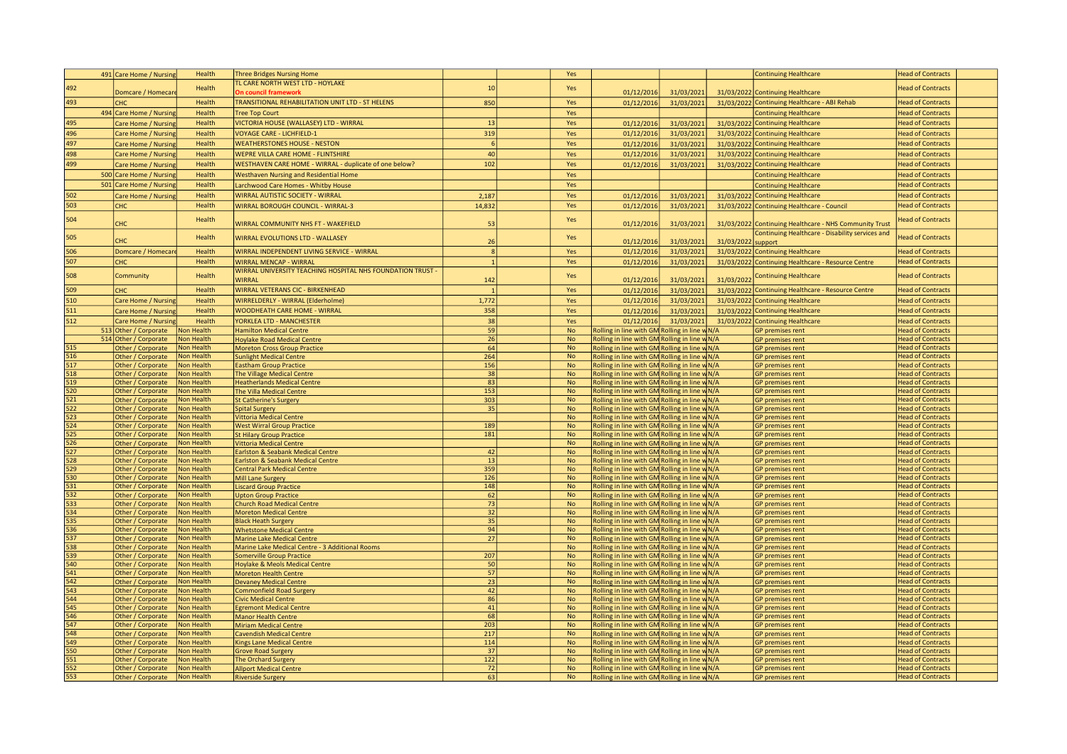|                  | 491 Care Home / Nursing                | Health                   | <b>Three Bridges Nursing Home</b>                            |                 | Yes                    |                                                                                                |            |            | <b>Continuing Healthcare</b>                           | <b>Head of Contracts</b>                             |
|------------------|----------------------------------------|--------------------------|--------------------------------------------------------------|-----------------|------------------------|------------------------------------------------------------------------------------------------|------------|------------|--------------------------------------------------------|------------------------------------------------------|
|                  |                                        |                          | TL CARE NORTH WEST LTD - HOYLAKE                             |                 |                        |                                                                                                |            |            |                                                        |                                                      |
| 492              | Domcare / Homecar                      | Health                   | <b>In council framework</b>                                  | 10              | Yes                    | 01/12/2016                                                                                     | 31/03/2021 |            | 31/03/2022 Continuing Healthcare                       | <b>Head of Contracts</b>                             |
| 493              | CHC                                    | Health                   | TRANSITIONAL REHABILITATION UNIT LTD - ST HELENS             | 850             | Yes                    | 01/12/2016                                                                                     | 31/03/2021 |            | 31/03/2022 Continuing Healthcare - ABI Rehab           | <b>Head of Contracts</b>                             |
|                  | 494 Care Home / Nursing                | Health                   | <b>Tree Top Court</b>                                        |                 | Yes                    |                                                                                                |            |            | <b>Continuing Healthcare</b>                           | <b>Head of Contracts</b>                             |
| 495              | Care Home / Nursin                     | Health                   | VICTORIA HOUSE (WALLASEY) LTD - WIRRAL                       | 13              | Yes                    | 01/12/2016                                                                                     | 31/03/2021 |            | 31/03/2022 Continuing Healthcare                       | <b>Head of Contracts</b>                             |
| 496              | Care Home / Nursing                    | Health                   | <b>VOYAGE CARE - LICHFIELD-1</b>                             | 319             | Yes                    | 01/12/2016                                                                                     | 31/03/2021 |            | 31/03/2022 Continuing Healthcare                       | <b>Head of Contracts</b>                             |
|                  |                                        |                          |                                                              |                 |                        |                                                                                                |            |            |                                                        |                                                      |
| 497              | Care Home / Nursing                    | Health                   | <b>WEATHERSTONES HOUSE - NESTON</b>                          | 6               | Yes                    | 01/12/2016                                                                                     | 31/03/2021 |            | 31/03/2022 Continuing Healthcare                       | <b>Head of Contracts</b>                             |
| 498              | Care Home / Nursing                    | Health                   | <b>WEPRE VILLA CARE HOME - FLINTSHIRE</b>                    | 40              | Yes                    | 01/12/2016                                                                                     | 31/03/2021 |            | 31/03/2022 Continuing Healthcare                       | <b>Head of Contracts</b>                             |
| 499              | Care Home / Nursin                     | Health                   | WESTHAVEN CARE HOME - WIRRAL - duplicate of one below?       | 102             | Yes                    | 01/12/2016                                                                                     | 31/03/2021 |            | 31/03/2022 Continuing Healthcare                       | <b>Head of Contracts</b>                             |
|                  | 500 Care Home / Nursing                | Health                   | <b>Westhaven Nursing and Residential Home</b>                |                 | Yes                    |                                                                                                |            |            | <b>Continuing Healthcare</b>                           | <b>Head of Contracts</b>                             |
|                  | 501 Care Home / Nursing                | Health                   | Larchwood Care Homes - Whitby House                          |                 | Yes                    |                                                                                                |            |            | <b>Continuing Healthcare</b>                           | <b>Head of Contracts</b>                             |
| 502              | Care Home / Nursing                    | Health                   | <b>WIRRAL AUTISTIC SOCIETY - WIRRAL</b>                      | 2,187           | Yes                    | 01/12/2016                                                                                     | 31/03/2021 |            | 31/03/2022 Continuing Healthcare                       | <b>Head of Contracts</b>                             |
| 503              | <b>CHC</b>                             | Health                   | <b>WIRRAL BOROUGH COUNCIL - WIRRAL-3</b>                     | 14,832          | Yes                    | 01/12/2016                                                                                     | 31/03/2021 |            | 31/03/2022 Continuing Healthcare - Council             | <b>Head of Contracts</b>                             |
|                  |                                        |                          |                                                              |                 |                        |                                                                                                |            |            |                                                        |                                                      |
| 504              | CHC                                    | Health                   | WIRRAL COMMUNITY NHS FT - WAKEFIELD                          | 53              | Yes                    | 01/12/2016                                                                                     | 31/03/2021 |            | 31/03/2022 Continuing Healthcare - NHS Community Trust | <b>Head of Contracts</b>                             |
|                  |                                        |                          |                                                              |                 |                        |                                                                                                |            |            | Continuing Healthcare - Disability services and        |                                                      |
| 505              | CHC                                    | Health                   | WIRRAL EVOLUTIONS LTD - WALLASEY                             | 26              | Yes                    | 01/12/2016                                                                                     | 31/03/2021 | 31/03/2022 | support                                                | <b>Head of Contracts</b>                             |
| 506              | Domcare / Homecar                      | Health                   | WIRRAL INDEPENDENT LIVING SERVICE - WIRRAL                   | 8               | Yes                    | 01/12/2016                                                                                     | 31/03/2021 |            | 31/03/2022 Continuing Healthcare                       | <b>Head of Contracts</b>                             |
| 507              | CHC                                    | Health                   | <b>WIRRAL MENCAP - WIRRAL</b>                                | 1               | Yes                    | 01/12/2016                                                                                     | 31/03/2021 |            | 31/03/2022 Continuing Healthcare - Resource Centre     | <b>Head of Contracts</b>                             |
|                  |                                        |                          | WIRRAL UNIVERSITY TEACHING HOSPITAL NHS FOUNDATION TRUST -   |                 |                        |                                                                                                |            |            |                                                        |                                                      |
| 508              | Community                              | Health                   | WIRRAL                                                       | 142             | Yes                    | 01/12/2016                                                                                     | 31/03/2021 | 31/03/2022 | <b>Continuing Healthcare</b>                           | <b>Head of Contracts</b>                             |
| 509              | <b>CHC</b>                             | Health                   | <b>WIRRAL VETERANS CIC - BIRKENHEAD</b>                      |                 | Yes                    | 01/12/2016                                                                                     | 31/03/2021 |            | 31/03/2022 Continuing Healthcare - Resource Centre     | <b>Head of Contracts</b>                             |
| 510              |                                        | Health                   | WIRRELDERLY - WIRRAL (Elderholme)                            | 1,772           | Yes                    | 01/12/2016                                                                                     | 31/03/2021 |            |                                                        |                                                      |
|                  | Care Home / Nursing                    |                          |                                                              |                 |                        |                                                                                                |            | 31/03/2022 | <b>Continuing Healthcare</b>                           | <b>Head of Contracts</b>                             |
| 511              | Care Home / Nursing                    | Health                   | <b>WOODHEATH CARE HOME - WIRRAL</b>                          | 358             | Yes                    | 01/12/2016                                                                                     | 31/03/2021 |            | 31/03/2022 Continuing Healthcare                       | <b>Head of Contracts</b>                             |
| 512              | Care Home / Nursing                    | Health                   | YORKLEA LTD - MANCHESTER                                     | 38              | Yes                    | 01/12/2016                                                                                     | 31/03/2021 |            | 31/03/2022 Continuing Healthcare                       | <b>Head of Contracts</b>                             |
|                  | 513 Other / Corporate                  | Non Health               | <b>Hamilton Medical Centre</b>                               | 59              | <b>No</b>              | Rolling in line with GM Rolling in line w N/A                                                  |            |            | <b>GP</b> premises rent                                | <b>Head of Contracts</b>                             |
|                  | 514 Other / Corporate                  | Non Health               | <b>Hoylake Road Medical Centre</b>                           | 26              | <b>No</b>              | Rolling in line with GM Rolling in line w N/A                                                  |            |            | <b>GP</b> premises rent                                | <b>Head of Contracts</b>                             |
| 515              | Other / Corporate                      | Non Health               | <b>Moreton Cross Group Practice</b>                          | 64<br>264       | <b>No</b>              | Rolling in line with GM Rolling in line w N/A                                                  |            |            | GP premises rent                                       | <b>Head of Contracts</b>                             |
| 516<br>517       | Other / Corporate                      | Non Health<br>Non Health | <b>Sunlight Medical Centre</b>                               |                 | <b>No</b><br><b>No</b> | Rolling in line with GM Rolling in line w N/A                                                  |            |            | GP premises rent                                       | <b>Head of Contracts</b>                             |
| 518              | Other / Corporate<br>Other / Corporate | Non Health               | Eastham Group Practice<br>The Village Medical Centre         | 156<br>38       | No                     | Rolling in line with GM Rolling in line w N/A<br>Rolling in line with GM Rolling in line w N/A |            |            | GP premises rent<br>GP premises rent                   | <b>Head of Contracts</b><br><b>Head of Contracts</b> |
| 519              | Other / Corporate                      | Non Health               | <b>Heatherlands Medical Centre</b>                           | 83              | <b>No</b>              | Rolling in line with GM Rolling in line w N/A                                                  |            |            | <b>GP</b> premises rent                                | <b>Head of Contracts</b>                             |
| 520              | Other / Corporate                      | Non Health               | The Villa Medical Centre                                     | 153             | <b>No</b>              | Rolling in line with GM Rolling in line w N/A                                                  |            |            | GP premises rent                                       | <b>Head of Contracts</b>                             |
| 521              | Other / Corporate                      | Non Health               | <b>St Catherine's Surgery</b>                                | 303             | <b>No</b>              | Rolling in line with GM Rolling in line w N/A                                                  |            |            | GP premises rent                                       | <b>Head of Contracts</b>                             |
| 522              | Other / Corporate                      | Non Health               | <b>Spital Surgery</b>                                        | 35              | <b>No</b>              | Rolling in line with GM Rolling in line w N/A                                                  |            |            | <b>GP</b> premises rent                                | <b>Head of Contracts</b>                             |
| 523              | Other / Corporate                      | Non Health               | Vittoria Medical Centre                                      |                 | <b>No</b>              | Rolling in line with GM Rolling in line w N/A                                                  |            |            | <b>GP</b> premises rent                                | <b>Head of Contracts</b>                             |
| 524              | Other / Corporate                      | Non Health               | <b>West Wirral Group Practice</b>                            | 189             | <b>No</b>              | Rolling in line with GM Rolling in line w N/A                                                  |            |            | <b>GP</b> premises rent                                | <b>Head of Contracts</b>                             |
| 525              | Other / Corporate                      | Non Health               | <b>St Hilary Group Practice</b>                              | 181             | <b>No</b>              | Rolling in line with GM Rolling in line w N/A                                                  |            |            | <b>GP</b> premises rent                                | <b>Head of Contracts</b>                             |
| 526              | Other / Corporate                      | Non Health               | <b>Vittoria Medical Centre</b>                               |                 | <b>No</b>              | Rolling in line with GM Rolling in line w N/A                                                  |            |            | GP premises rent                                       | <b>Head of Contracts</b>                             |
| 527              | Other / Corporate                      | Non Health               | Earlston & Seabank Medical Centre                            | 42              | No                     | Rolling in line with GM Rolling in line w N/A                                                  |            |            | GP premises rent                                       | <b>Head of Contracts</b>                             |
| 528              | Other / Corporate                      | Non Health               | Earlston & Seabank Medical Centre                            | 13              | <b>No</b>              | Rolling in line with GM Rolling in line w N/A                                                  |            |            | <b>GP</b> premises rent                                | <b>Head of Contracts</b>                             |
| 529              | Other / Corporate                      | Non Health               | <b>Central Park Medical Centre</b>                           | 359             | No                     | Rolling in line with GM Rolling in line w N/A                                                  |            |            | GP premises rent                                       | <b>Head of Contracts</b>                             |
| 530<br>531       | Other / Corporate                      | Non Health               | Mill Lane Surgery                                            | 126<br>148      | <b>No</b>              | Rolling in line with GM Rolling in line w N/A<br>Rolling in line with GM Rolling in line w N/A |            |            | GP premises rent                                       | <b>Head of Contracts</b>                             |
| 532              | Other / Corporate<br>Other / Corporate | Non Health<br>Non Health | <b>Liscard Group Practice</b><br><b>Upton Group Practice</b> | 62              | No<br><b>No</b>        | Rolling in line with GM Rolling in line w N/A                                                  |            |            | <b>GP</b> premises rent<br><b>GP</b> premises rent     | <b>Head of Contracts</b><br><b>Head of Contracts</b> |
| 533              | Other / Corporate                      | Non Health               | <b>Church Road Medical Centre</b>                            | 73              | <b>No</b>              | Rolling in line with GM Rolling in line w N/A                                                  |            |            | <b>GP</b> premises rent                                | <b>Head of Contracts</b>                             |
| 534              | Other / Corporate                      | Non Health               | <b>Moreton Medical Centre</b>                                | 32              | <b>No</b>              | Rolling in line with GM Rolling in line w N/A                                                  |            |            | GP premises rent                                       | <b>Head of Contracts</b>                             |
| 535              | Other / Corporate                      | Non Health               | <b>Black Heath Surgery</b>                                   | 35              | $\mathsf{No}$          | Rolling in line with GM Rolling in line w N/A                                                  |            |            | GP premises rent                                       | <b>Head of Contracts</b>                             |
| 536              | Other / Corporate                      | Non Health               | <b>Whetstone Medical Centre</b>                              | 94              | No                     | Rolling in line with GM Rolling in line w N/A                                                  |            |            | GP premises rent                                       | <b>Head of Contracts</b>                             |
| 537              | Other / Corporate                      | Non Health               | <b>Marine Lake Medical Centre</b>                            | $\overline{27}$ | No                     | Rolling in line with GM Rolling in line w N/A                                                  |            |            | <b>GP</b> premises rent                                | <b>Head of Contracts</b>                             |
| 538              | Other / Corporate                      | Non Health               | Marine Lake Medical Centre - 3 Additional Rooms              |                 | <b>No</b>              | Rolling in line with GM Rolling in line w N/A                                                  |            |            | GP premises rent                                       | <b>Head of Contracts</b>                             |
| 539              | Other / Corporate                      | Non Health               | Somerville Group Practice                                    | 207             | <b>No</b>              | Rolling in line with GM Rolling in line w N/A                                                  |            |            | <b>GP</b> premises rent                                | <b>Head of Contracts</b>                             |
| 540              | Other / Corporate                      | Non Health               | <b>Hoylake &amp; Meols Medical Centre</b>                    | 50              | No                     | Rolling in line with GM Rolling in line w N/A                                                  |            |            | GP premises rent                                       | <b>Head of Contracts</b>                             |
| $\overline{541}$ | Other / Corporate                      | Non Health               | <b>Moreton Health Centre</b>                                 | 57              | No                     | Rolling in line with GM Rolling in line w N/A                                                  |            |            | <b>GP</b> premises rent                                | <b>Head of Contracts</b>                             |
| $\overline{542}$ | Other / Corporate                      | Non Health               | <b>Devaney Medical Centre</b>                                | 23              | <b>No</b>              | Rolling in line with GM Rolling in line w N/A                                                  |            |            | <b>GP</b> premises rent                                | <b>Head of Contracts</b>                             |
| 543<br>544       | Other / Corporate                      | Non Health               | Commonfield Road Surgery                                     | 42              | <b>No</b>              | Rolling in line with GM Rolling in line w N/A                                                  |            |            | GP premises rent                                       | <b>Head of Contracts</b>                             |
| $\overline{545}$ | Other / Corporate                      | Non Health               | <b>Civic Medical Centre</b>                                  | 86<br>41        | $\mathsf{No}$<br>No    | Rolling in line with GM Rolling in line w N/A                                                  |            |            | GP premises rent                                       | <b>Head of Contracts</b><br><b>Head of Contracts</b> |
| 546              | Other / Corporate                      | Non Health<br>Non Health | <b>Egremont Medical Centre</b><br><b>Manor Health Centre</b> | 68              | $\mathsf{No}$          | Rolling in line with GM Rolling in line w N/A<br>Rolling in line with GM Rolling in line w N/A |            |            | <b>GP</b> premises rent<br>GP premises rent            | <b>Head of Contracts</b>                             |
| 547              | Other / Corporate<br>Other / Corporate | Non Health               | <b>Miriam Medical Centre</b>                                 | 203             | <b>No</b>              | Rolling in line with GM Rolling in line w N/A                                                  |            |            | GP premises rent                                       | <b>Head of Contracts</b>                             |
| 548              | Other / Corporate                      | Non Health               | <b>Cavendish Medical Centre</b>                              | 217             | <b>No</b>              | Rolling in line with GM Rolling in line w N/A                                                  |            |            | <b>GP</b> premises rent                                | <b>Head of Contracts</b>                             |
| 549              | Other / Corporate                      | Non Health               | <b>Kings Lane Medical Centre</b>                             | 114             | No                     | Rolling in line with GM Rolling in line w N/A                                                  |            |            | <b>GP</b> premises rent                                | <b>Head of Contracts</b>                             |
| 550              | Other / Corporate                      | Non Health               | <b>Grove Road Surgery</b>                                    | 37              | No                     | Rolling in line with GM Rolling in line w N/A                                                  |            |            | <b>GP</b> premises rent                                | <b>Head of Contracts</b>                             |
| 551              | Other / Corporate                      | Non Health               | The Orchard Surgery                                          | $122$           | <b>No</b>              | Rolling in line with GM Rolling in line w N/A                                                  |            |            | <b>GP</b> premises rent                                | <b>Head of Contracts</b>                             |
| 552              | Other / Corporate                      | Non Health               | <b>Allport Medical Centre</b>                                | 72              | No                     | Rolling in line with GM Rolling in line w N/A                                                  |            |            | <b>GP</b> premises rent                                | <b>Head of Contracts</b>                             |
| 553              | Other / Corporate                      | Non Health               | <b>Riverside Surgery</b>                                     | 63              | <b>No</b>              | Rolling in line with GM Rolling in line w N/A                                                  |            |            | <b>GP</b> premises rent                                | <b>Head of Contracts</b>                             |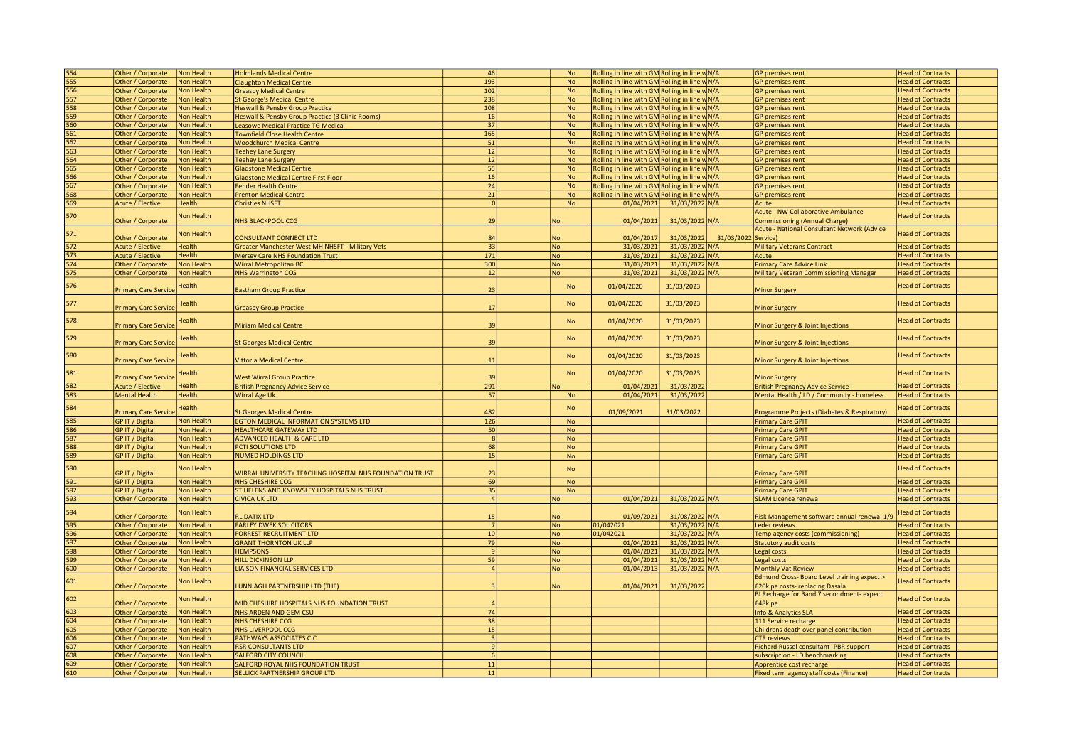| 554               | Other / Corporate                      | Non Health        | <b>Holmlands Medical Centre</b>                                            | 46               | No        | Rolling in line with GM Rolling in line w N/A     |                |            | <b>GP</b> premises rent                                             | <b>Head of Contracts</b> |
|-------------------|----------------------------------------|-------------------|----------------------------------------------------------------------------|------------------|-----------|---------------------------------------------------|----------------|------------|---------------------------------------------------------------------|--------------------------|
| 555               | Other / Corporate                      | <b>Non Health</b> | <b>Claughton Medical Centre</b>                                            | 193              | <b>No</b> | Rolling in line with GM Rolling in line w N/A     |                |            | <b>GP</b> premises rent                                             | <b>Head of Contracts</b> |
| 556               |                                        | <b>Non Health</b> |                                                                            | 102              | <b>No</b> | Rolling in line with GM Rolling in line w N/A     |                |            | <b>GP</b> premises rent                                             | <b>Head of Contracts</b> |
|                   | Other / Corporate                      |                   | <b>Greasby Medical Centre</b>                                              |                  |           |                                                   |                |            |                                                                     |                          |
| 557               | Other / Corporate                      | Non Health        | <b>St George's Medical Centre</b>                                          | 238              | <b>No</b> | Rolling in line with GM Rolling in line w N/A     |                |            | <b>GP</b> premises rent                                             | <b>Head of Contracts</b> |
| 558               | Other / Corporate                      | Non Health        | <b>Heswall &amp; Pensby Group Practice</b>                                 | 108              | No        | Rolling in line with GM Rolling in line w N/A     |                |            | <b>GP</b> premises rent                                             | <b>Head of Contracts</b> |
| 559               | Other / Corporate                      | <b>Non Health</b> | Heswall & Pensby Group Practice (3 Clinic Rooms)                           | 16               | <b>No</b> | Rolling in line with GM Rolling in line w N/A     |                |            | <b>GP</b> premises rent                                             | <b>Head of Contracts</b> |
| 560               | Other / Corporate                      | Non Health        | Leasowe Medical Practice TG Medical                                        | 37               | <b>No</b> | Rolling in line with GM Rolling in line w N/A     |                |            | <b>GP</b> premises rent                                             | <b>Head of Contracts</b> |
|                   |                                        |                   |                                                                            |                  |           |                                                   |                |            |                                                                     |                          |
| 561               | Other / Corporate                      | Non Health        | <b>Townfield Close Health Centre</b>                                       | 165              | No        | Rolling in line with GM Rolling in line w N/A     |                |            | <b>GP</b> premises rent                                             | <b>Head of Contracts</b> |
| 562               | Other / Corporate                      | Non Health        | <b>Woodchurch Medical Centre</b>                                           | 51               | <b>No</b> | Rolling in line with GM Rolling in line w N/A     |                |            | <b>GP</b> premises rent                                             | <b>Head of Contracts</b> |
| 563               | Other / Corporate                      | <b>Non Health</b> | <b>Teehey Lane Surgery</b>                                                 | 12               | <b>No</b> | Rolling in line with $GM$ Rolling in line $w/N/A$ |                |            | <b>GP</b> premises rent                                             | <b>Head of Contracts</b> |
| 564               | Other / Corporate                      | Non Health        |                                                                            | 12               | No        | Rolling in line with GM Rolling in line w N/A     |                |            | <b>GP</b> premises rent                                             | <b>Head of Contracts</b> |
|                   |                                        |                   | <b>Teehey Lane Surgery</b>                                                 |                  |           |                                                   |                |            |                                                                     |                          |
| 565               | Other / Corporate                      | Non Health        | <b>Gladstone Medical Centre</b>                                            | 55               | No        | Rolling in line with GM Rolling in line w N/A     |                |            | <b>GP</b> premises rent                                             | <b>Head of Contracts</b> |
| 566               | Other / Corporate                      | Non Health        | <b>Gladstone Medical Centre First Floor</b>                                | 16               | <b>No</b> | Rolling in line with GM Rolling in line w N/A     |                |            | <b>GP</b> premises rent                                             | <b>Head of Contracts</b> |
| 567               | Other / Corporate                      | Non Health        | Fender Health Centre                                                       | 24               | <b>No</b> | Rolling in line with GM Rolling in line w N/A     |                |            | <b>GP</b> premises rent                                             | <b>Head of Contracts</b> |
| 568               | Other / Corporate                      | Non Health        | <b>Prenton Medical Centre</b>                                              | 21               | No        | Rolling in line with GM Rolling in line w N/A     |                |            |                                                                     | <b>Head of Contracts</b> |
|                   |                                        |                   |                                                                            |                  |           |                                                   |                |            | <b>GP</b> premises rent                                             |                          |
| 569               | <b>Acute / Elective</b>                | Health            | <b>Christies NHSFT</b>                                                     | 0                | No        | 01/04/2021                                        | 31/03/2022 N/A |            | Acute                                                               | <b>Head of Contracts</b> |
|                   |                                        |                   |                                                                            |                  |           |                                                   |                |            | <b>Acute - NW Collaborative Ambulance</b>                           |                          |
| 570               | Other / Corporate                      | <b>Jon Health</b> | <b>NHS BLACKPOOL CCG</b>                                                   | 29               | <b>No</b> | 01/04/2021                                        | 31/03/2022 N/A |            | <b>Commissioning (Annual Charge)</b>                                | <b>Head of Contracts</b> |
|                   |                                        |                   |                                                                            |                  |           |                                                   |                |            |                                                                     |                          |
| 571               |                                        | Non Health        |                                                                            |                  |           |                                                   |                |            | Acute - National Consultant Network (Advice                         | <b>Head of Contracts</b> |
|                   | Other / Corporate                      |                   | CONSULTANT CONNECT LTD                                                     | 84               | <b>No</b> | 01/04/2017                                        | 31/03/2022     | 31/03/2022 | Service)                                                            |                          |
| 572               | Acute / Elective                       | <b>lealth</b>     | Greater Manchester West MH NHSFT - Military Vets                           | 33               | <b>No</b> | 31/03/2021                                        | 31/03/2022 N/A |            | <b>Military Veterans Contract</b>                                   | <b>Head of Contracts</b> |
| 573               | <b>Acute / Elective</b>                | <b>lealth</b>     | <b>Mersey Care NHS Foundation Trust</b>                                    | 171              | <b>No</b> | 31/03/2021                                        | 31/03/2022 N/A |            | Acute                                                               | <b>Head of Contracts</b> |
| $\overline{574}$  |                                        | Non Health        |                                                                            |                  |           |                                                   |                |            |                                                                     |                          |
|                   | Other / Corporate                      |                   | <b>Wirral Metropolitan BC</b>                                              | 300              | <b>No</b> | 31/03/2021                                        | 31/03/2022 N/A |            | <b>Primary Care Advice Link</b>                                     | <b>Head of Contracts</b> |
| 575               | Other / Corporate                      | Non Health        | <b>NHS Warrington CCG</b>                                                  | 12               | <b>No</b> | 31/03/2021                                        | 31/03/2022 N/A |            | Military Veteran Commissioning Manager                              | <b>Head of Contracts</b> |
|                   |                                        |                   |                                                                            |                  |           |                                                   |                |            |                                                                     |                          |
| 576               | <b>Primary Care Service</b>            | <b>lealth</b>     | <b>Eastham Group Practice</b>                                              | 23               | No        | 01/04/2020                                        | 31/03/2023     |            | <b>Minor Surgery</b>                                                | <b>Head of Contracts</b> |
|                   |                                        |                   |                                                                            |                  |           |                                                   |                |            |                                                                     |                          |
| 577               |                                        | <b>lealth</b>     |                                                                            |                  | <b>No</b> | 01/04/2020                                        | 31/03/2023     |            |                                                                     | <b>Head of Contracts</b> |
|                   | <b>Primary Care Service</b>            |                   | <b>Greasby Group Practice</b>                                              | 17               |           |                                                   |                |            | <b>Minor Surgery</b>                                                |                          |
|                   |                                        |                   |                                                                            |                  |           |                                                   |                |            |                                                                     |                          |
| 578               |                                        | <b>lealth</b>     |                                                                            |                  | <b>No</b> | 01/04/2020                                        | 31/03/2023     |            |                                                                     | <b>Head of Contracts</b> |
|                   | <b>Primary Care Service</b>            |                   | <b>Miriam Medical Centre</b>                                               | 39               |           |                                                   |                |            | Minor Surgery & Joint Injections                                    |                          |
|                   |                                        |                   |                                                                            |                  |           |                                                   |                |            |                                                                     |                          |
| 579               | <b>Primary Care Service</b>            | <b>lealth</b>     | <b>St Georges Medical Centre</b>                                           | 39               | <b>No</b> | 01/04/2020                                        | 31/03/2023     |            | Minor Surgery & Joint Injections                                    | <b>Head of Contracts</b> |
|                   |                                        |                   |                                                                            |                  |           |                                                   |                |            |                                                                     |                          |
| 580               |                                        | lealth            |                                                                            |                  | <b>No</b> | 01/04/2020                                        | 31/03/2023     |            |                                                                     | <b>Head of Contracts</b> |
|                   | <b>Primary Care Service</b>            |                   | <b>Vittoria Medical Centre</b>                                             | 11               |           |                                                   |                |            | Minor Surgery & Joint Injections                                    |                          |
|                   |                                        |                   |                                                                            |                  |           |                                                   |                |            |                                                                     |                          |
| 581               | <b>Primary Care Service</b>            | Health            | <b>West Wirral Group Practice</b>                                          | 39               | <b>No</b> | 01/04/2020                                        | 31/03/2023     |            | <b>Minor Surgery</b>                                                | <b>Head of Contracts</b> |
|                   |                                        |                   |                                                                            | 291              |           |                                                   | 31/03/2022     |            |                                                                     |                          |
| 582               | Acute / Elective                       | Health            | <b>British Pregnancy Advice Service</b>                                    |                  | <b>No</b> | 01/04/2021                                        |                |            | <b>British Pregnancy Advice Service</b>                             | <b>Head of Contracts</b> |
| 583               | <b>Mental Health</b>                   | Health            | Wirral Age Uk                                                              | 57               | <b>No</b> | 01/04/2021                                        | 31/03/2022     |            | Mental Health / LD / Community - homeless                           | <b>Head of Contracts</b> |
|                   |                                        |                   |                                                                            |                  |           |                                                   |                |            |                                                                     |                          |
| 584               | <b>Primary Care Service</b>            | <b>lealth</b>     | <b>St Georges Medical Centre</b>                                           | 482              | No        | 01/09/2021                                        | 31/03/2022     |            | Programme Projects (Diabetes & Respiratory)                         | <b>Head of Contracts</b> |
|                   |                                        | Non Health        |                                                                            | 126              |           |                                                   |                |            |                                                                     |                          |
| $\frac{585}{586}$ | GP IT / Digital                        |                   | EGTON MEDICAL INFORMATION SYSTEMS LTD                                      |                  | <b>No</b> |                                                   |                |            | <b>Primary Care GPIT</b>                                            | <b>Head of Contracts</b> |
|                   | GP IT / Digital                        | Non Health        | <b>HEALTHCARE GATEWAY LTD</b>                                              | 50               | <b>No</b> |                                                   |                |            | <b>Primary Care GPIT</b>                                            | <b>Head of Contracts</b> |
| 587               | GP IT / Digital                        | Non Health        | <b>ADVANCED HEALTH &amp; CARE LTD</b>                                      | 8                | <b>No</b> |                                                   |                |            | <b>Primary Care GPIT</b>                                            | <b>Head of Contracts</b> |
| 588               | GP IT / Digital                        | Non Health        | PCTI SOLUTIONS LTD                                                         | 68               | <b>No</b> |                                                   |                |            | <b>Primary Care GPIT</b>                                            | <b>Head of Contracts</b> |
|                   |                                        |                   |                                                                            |                  |           |                                                   |                |            |                                                                     |                          |
| 589               | <b>GP IT / Digital</b>                 | Non Health        | <b>NUMED HOLDINGS LTD</b>                                                  | 15               | <b>No</b> |                                                   |                |            | <b>Primary Care GPIT</b>                                            | <b>Head of Contracts</b> |
|                   |                                        |                   |                                                                            |                  |           |                                                   |                |            |                                                                     |                          |
| 590               | GP IT / Digital                        | Non Health        | WIRRAL UNIVERSITY TEACHING HOSPITAL NHS FOUNDATION TRUST                   | 23               | No        |                                                   |                |            | <b>Primary Care GPIT</b>                                            | <b>Head of Contracts</b> |
| 591               |                                        | Non Health        | NHS CHESHIRE CCG                                                           | 69               |           |                                                   |                |            |                                                                     | <b>Head of Contracts</b> |
|                   | GP IT / Digital                        |                   |                                                                            |                  | No        |                                                   |                |            | <b>Primary Care GPIT</b>                                            |                          |
| 592               | GP IT / Digital                        | Non Health        | ST HELENS AND KNOWSLEY HOSPITALS NHS TRUST                                 | 35               | <b>No</b> |                                                   |                |            | <b>Primary Care GPIT</b>                                            | <b>Head of Contracts</b> |
| 593               | Other / Corporate                      | Non Health        | <b>CIVICA UK LTD</b>                                                       | $\overline{4}$   | No        | 01/04/2021                                        | 31/03/2022 N/A |            | <b>SLAM Licence renewal</b>                                         | <b>Head of Contracts</b> |
|                   |                                        |                   |                                                                            |                  |           |                                                   |                |            |                                                                     |                          |
| 594               |                                        | Non Health        | <b>RL DATIX LTD</b>                                                        | 15               | <b>No</b> |                                                   | 31/08/2022 N/A |            |                                                                     | <b>Head of Contracts</b> |
|                   | Other / Corporate                      |                   |                                                                            |                  |           | 01/09/2021                                        |                |            | Risk Management software annual renewal 1/9                         |                          |
| 595               | Other / Corporate                      | Non Health        | <b>FARLEY DWEK SOLICITORS</b>                                              | 7                | No        | 01/042021                                         | 31/03/2022 N/A |            | <b>Leder reviews</b>                                                | <b>Head of Contracts</b> |
| 596               | Other / Corporate                      | Non Health        | <b>FORREST RECRUITMENT LTD</b>                                             | 10               | <b>No</b> | 01/042021                                         | 31/03/2022 N/A |            | Temp agency costs (commissioning)                                   | <b>Head of Contracts</b> |
| 597               | Other / Corporate                      | Non Health        | <b>GRANT THORNTON UK LLP</b>                                               | 79               | <b>No</b> | 01/04/2021                                        | 31/03/2022 N/A |            | <b>Statutory audit costs</b>                                        | <b>Head of Contracts</b> |
| 598               |                                        | Non Health        | <b>HEMPSONS</b>                                                            | $\mathbf{q}$     |           | 01/04/2021                                        | 31/03/2022 N/A |            |                                                                     | <b>Head of Contracts</b> |
|                   | Other / Corporate                      |                   |                                                                            |                  | No        |                                                   |                |            | Legal costs                                                         |                          |
| 599               | Other / Corporate                      | Non Health        | <b>HILL DICKINSON LLP</b>                                                  | 59               | <b>No</b> | 01/04/2021                                        | 31/03/2022 N/A |            | Legal costs                                                         | <b>Head of Contracts</b> |
| 600               | Other / Corporate                      | Non Health        | <b>LIAISON FINANCIAL SERVICES LTD</b>                                      | $\overline{4}$   | <b>No</b> | 01/04/2013                                        | 31/03/2022 N/A |            | <b>Monthly Vat Review</b>                                           | <b>Head of Contracts</b> |
|                   |                                        |                   |                                                                            |                  |           |                                                   |                |            | <b>Edmund Cross-Board Level training expect &gt;</b>                |                          |
| 601               |                                        | <b>Jon Health</b> |                                                                            |                  |           |                                                   |                |            |                                                                     | <b>Head of Contracts</b> |
|                   | Other / Corporate                      |                   | <b>UNNIAGH PARTNERSHIP LTD (THE)</b>                                       |                  | <b>No</b> | 01/04/2021                                        | 31/03/2022     |            | £20k pa costs-replacing Dasala                                      |                          |
| 602               |                                        | Non Health        |                                                                            |                  |           |                                                   |                |            | BI Recharge for Band 7 secondment-expect                            | <b>Head of Contracts</b> |
|                   | Other / Corporate                      |                   | MID CHESHIRE HOSPITALS NHS FOUNDATION TRUST                                |                  |           |                                                   |                |            | £48k pa                                                             |                          |
| 603               | Other / Corporate                      | Non Health        | NHS ARDEN AND GEM CSU                                                      | 74               |           |                                                   |                |            | Info & Analytics SLA                                                | <b>Head of Contracts</b> |
|                   |                                        |                   |                                                                            |                  |           |                                                   |                |            |                                                                     |                          |
| 604               | Other / Corporate                      | <b>Non Health</b> | NHS CHESHIRE CCG                                                           | 38               |           |                                                   |                |            | 111 Service recharge                                                | <b>Head of Contracts</b> |
| 605               | Other / Corporate                      | Non Health        | NHS LIVERPOOL CCG                                                          | 15               |           |                                                   |                |            | Childrens death over panel contribution                             | <b>Head of Contracts</b> |
| 606               | Other / Corporate                      | <b>Non Health</b> | PATHWAYS ASSOCIATES CIC                                                    | $\vert$ 3        |           |                                                   |                |            | <b>CTR</b> reviews                                                  | <b>Head of Contracts</b> |
|                   |                                        |                   |                                                                            | $\overline{9}$   |           |                                                   |                |            |                                                                     |                          |
|                   |                                        |                   |                                                                            |                  |           |                                                   |                |            |                                                                     |                          |
| 607               | Other / Corporate                      | Non Health        | <b>RSR CONSULTANTS LTD</b>                                                 |                  |           |                                                   |                |            | Richard Russel consultant- PBR support                              | <b>Head of Contracts</b> |
| 608               | Other / Corporate                      | <b>Non Health</b> | <b>SALFORD CITY COUNCIL</b>                                                | $6 \overline{6}$ |           |                                                   |                |            | subscription - LD benchmarking                                      | <b>Head of Contracts</b> |
| 609               |                                        | Non Health        |                                                                            | 11               |           |                                                   |                |            |                                                                     | <b>Head of Contracts</b> |
| 610               | Other / Corporate<br>Other / Corporate | Non Health        | SALFORD ROYAL NHS FOUNDATION TRUST<br><b>SELLICK PARTNERSHIP GROUP LTD</b> | 11               |           |                                                   |                |            | Apprentice cost recharge<br>Fixed term agency staff costs (Finance) | <b>Head of Contracts</b> |